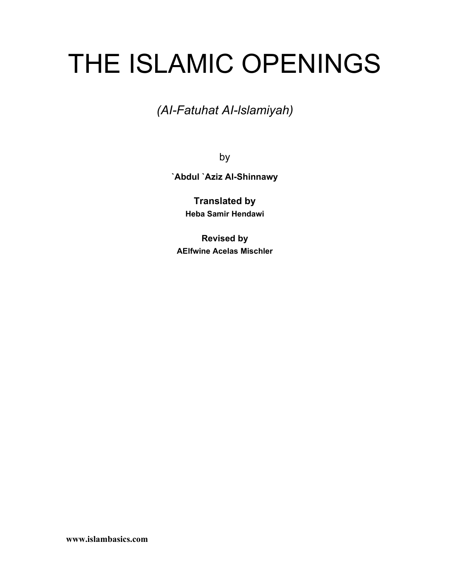# THE ISLAMIC OPENINGS

*(AI-Fatuhat AI-lslamiyah)*

by

**`Abdul `Aziz Al-Shinnawy**

**Translated by Heba Samir Hendawi**

**Revised by AElfwine Acelas Mischler**

**www.islambasics.com**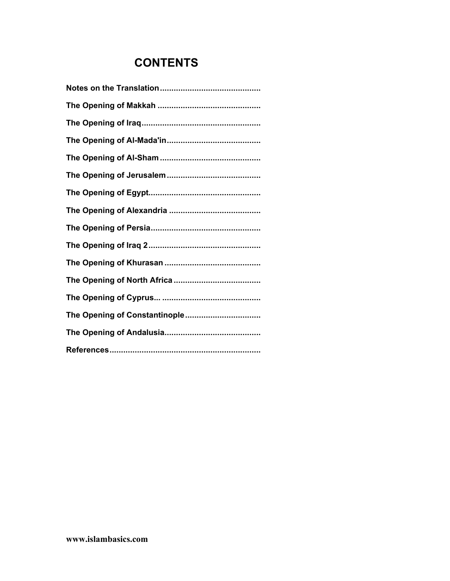# **CONTENTS**

| The Opening of Constantinople |
|-------------------------------|
|                               |
|                               |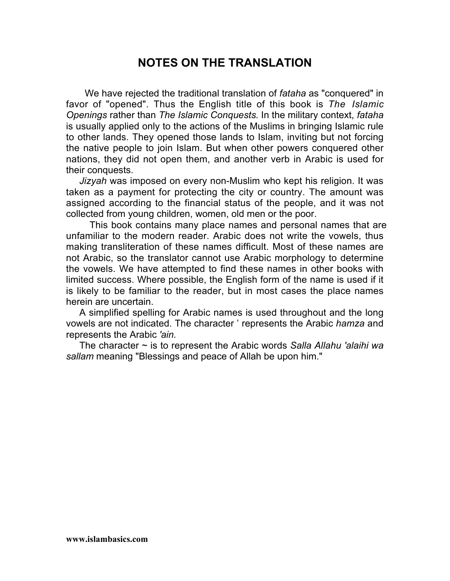# **NOTES ON THE TRANSLATION**

 We have rejected the traditional translation of *fataha* as "conquered" in favor of "opened". Thus the English title of this book is *The Islamic Openings* rather than *The Islamic Conquests.* In the military context, *fataha* is usually applied only to the actions of the Muslims in bringing Islamic rule to other lands. They opened those lands to Islam, inviting but not forcing the native people to join Islam. But when other powers conquered other nations, they did not open them, and another verb in Arabic is used for their conquests.

*Jizyah* was imposed on every non-Muslim who kept his religion. It was taken as a payment for protecting the city or country. The amount was assigned according to the financial status of the people, and it was not collected from young children, women, old men or the poor.

 This book contains many place names and personal names that are unfamiliar to the modern reader. Arabic does not write the vowels, thus making transliteration of these names difficult. Most of these names are not Arabic, so the translator cannot use Arabic morphology to determine the vowels. We have attempted to find these names in other books with limited success. Where possible, the English form of the name is used if it is likely to be familiar to the reader, but in most cases the place names herein are uncertain.

A simplified spelling for Arabic names is used throughout and the long vowels are not indicated. The character ' represents the Arabic *hamza* and represents the Arabic *'ain.*

The character ~ is to represent the Arabic words *Salla Allahu 'alaihi wa sallam* meaning "Blessings and peace of Allah be upon him."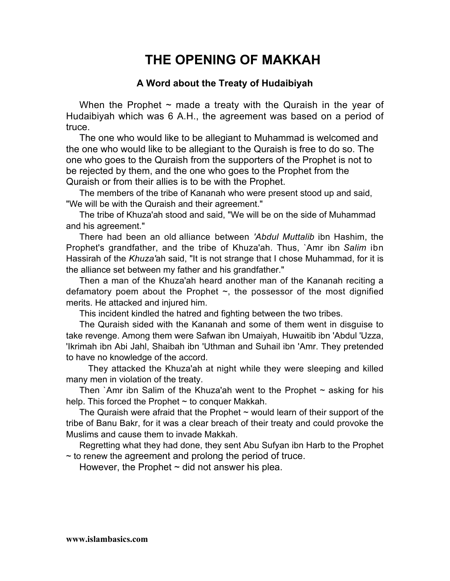# **THE OPENING OF MAKKAH**

# **A Word about the Treaty of Hudaibiyah**

When the Prophet  $\sim$  made a treaty with the Quraish in the year of Hudaibiyah which was 6 A.H., the agreement was based on a period of truce.

The one who would like to be allegiant to Muhammad is welcomed and the one who would like to be allegiant to the Quraish is free to do so. The one who goes to the Quraish from the supporters of the Prophet is not to be rejected by them, and the one who goes to the Prophet from the Quraish or from their allies is to be with the Prophet.

The members of the tribe of Kananah who were present stood up and said, "We will be with the Quraish and their agreement."

The tribe of Khuza'ah stood and said, "We will be on the side of Muhammad and his agreement."

There had been an old alliance between *'Abdul Muttalib* ibn Hashim, the Prophet's grandfather, and the tribe of Khuza'ah. Thus, `Amr ibn *Salim* ibn Hassirah of the *Khuza'*ah said, "It is not strange that I chose Muhammad, for it is the alliance set between my father and his grandfather."

Then a man of the Khuza'ah heard another man of the Kananah reciting a defamatory poem about the Prophet  $\sim$ , the possessor of the most dignified merits. He attacked and injured him.

This incident kindled the hatred and fighting between the two tribes.

The Quraish sided with the Kananah and some of them went in disguise to take revenge. Among them were Safwan ibn Umaiyah, Huwaitib ibn 'Abdul 'Uzza, 'Ikrimah ibn Abi Jahl, Shaibah ibn 'Uthman and Suhail ibn 'Amr. They pretended to have no knowledge of the accord.

They attacked the Khuza'ah at night while they were sleeping and killed many men in violation of the treaty.

Then `Amr ibn Salim of the Khuza'ah went to the Prophet  $\sim$  asking for his help. This forced the Prophet  $\sim$  to conquer Makkah.

The Quraish were afraid that the Prophet  $\sim$  would learn of their support of the tribe of Banu Bakr, for it was a clear breach of their treaty and could provoke the Muslims and cause them to invade Makkah.

Regretting what they had done, they sent Abu Sufyan ibn Harb to the Prophet  $\sim$  to renew the agreement and prolong the period of truce.

However, the Prophet  $\sim$  did not answer his plea.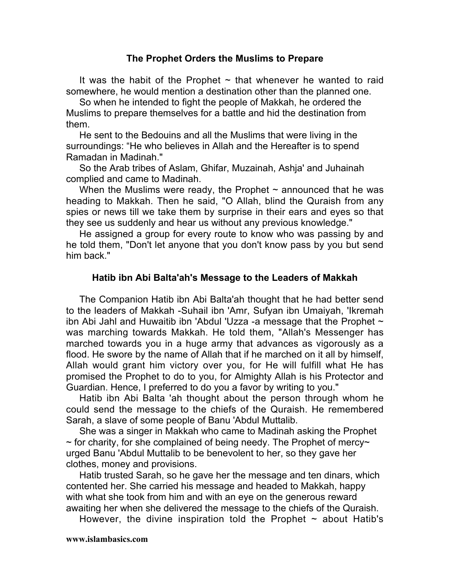#### **The Prophet Orders the Muslims to Prepare**

It was the habit of the Prophet  $\sim$  that whenever he wanted to raid somewhere, he would mention a destination other than the planned one.

So when he intended to fight the people of Makkah, he ordered the Muslims to prepare themselves for a battle and hid the destination from them.

He sent to the Bedouins and all the Muslims that were living in the surroundings: "He who believes in Allah and the Hereafter is to spend Ramadan in Madinah."

So the Arab tribes of Aslam, Ghifar, Muzainah, Ashja' and Juhainah complied and came to Madinah.

When the Muslims were ready, the Prophet  $\sim$  announced that he was heading to Makkah. Then he said, "O Allah, blind the Quraish from any spies or news till we take them by surprise in their ears and eyes so that they see us suddenly and hear us without any previous knowledge."

He assigned a group for every route to know who was passing by and he told them, "Don't let anyone that you don't know pass by you but send him back."

#### **Hatib ibn Abi Balta'ah's Message to the Leaders of Makkah**

The Companion Hatib ibn Abi Balta'ah thought that he had better send to the leaders of Makkah -Suhail ibn 'Amr, Sufyan ibn Umaiyah, 'Ikremah ibn Abi Jahl and Huwaitib ibn 'Abdul 'Uzza -a message that the Prophet  $\sim$ was marching towards Makkah. He told them, "Allah's Messenger has marched towards you in a huge army that advances as vigorously as a flood. He swore by the name of Allah that if he marched on it all by himself, Allah would grant him victory over you, for He will fulfill what He has promised the Prophet to do to you, for Almighty Allah is his Protector and Guardian. Hence, I preferred to do you a favor by writing to you."

Hatib ibn Abi Balta 'ah thought about the person through whom he could send the message to the chiefs of the Quraish. He remembered Sarah, a slave of some people of Banu 'Abdul Muttalib.

She was a singer in Makkah who came to Madinah asking the Prophet  $\sim$  for charity, for she complained of being needy. The Prophet of mercy $\sim$ urged Banu 'Abdul Muttalib to be benevolent to her, so they gave her clothes, money and provisions.

Hatib trusted Sarah, so he gave her the message and ten dinars, which contented her. She carried his message and headed to Makkah, happy with what she took from him and with an eye on the generous reward awaiting her when she delivered the message to the chiefs of the Quraish.

However, the divine inspiration told the Prophet  $\sim$  about Hatib's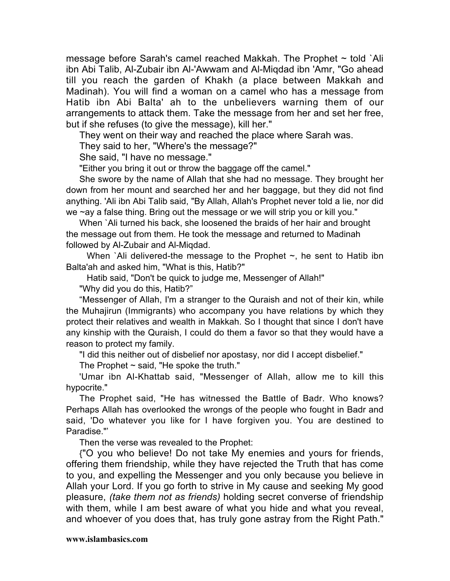message before Sarah's camel reached Makkah. The Prophet  $\sim$  told `Ali ibn Abi Talib, Al-Zubair ibn Al-'Awwam and Al-Miqdad ibn 'Amr, "Go ahead till you reach the garden of Khakh (a place between Makkah and Madinah). You will find a woman on a camel who has a message from Hatib ibn Abi Balta' ah to the unbelievers warning them of our arrangements to attack them. Take the message from her and set her free, but if she refuses (to give the message), kill her."

They went on their way and reached the place where Sarah was.

They said to her, "Where's the message?"

She said, "I have no message."

"Either you bring it out or throw the baggage off the camel."

She swore by the name of Allah that she had no message. They brought her down from her mount and searched her and her baggage, but they did not find anything. 'Ali ibn Abi Talib said, "By Allah, Allah's Prophet never told a lie, nor did we ~ay a false thing. Bring out the message or we will strip you or kill you."

When `Ali turned his back, she loosened the braids of her hair and brought the message out from them. He took the message and returned to Madinah followed by Al-Zubair and Al-Miqdad.

When `Ali delivered-the message to the Prophet  $\sim$ , he sent to Hatib ibn Balta'ah and asked him, "What is this, Hatib?"

Hatib said, "Don't be quick to judge me, Messenger of Allah!"

"Why did you do this, Hatib?"

"Messenger of Allah, I'm a stranger to the Quraish and not of their kin, while the Muhajirun (Immigrants) who accompany you have relations by which they protect their relatives and wealth in Makkah. So I thought that since I don't have any kinship with the Quraish, I could do them a favor so that they would have a reason to protect my family.

"I did this neither out of disbelief nor apostasy, nor did I accept disbelief."

The Prophet  $\sim$  said, "He spoke the truth."

'Umar ibn Al-Khattab said, "Messenger of Allah, allow me to kill this hypocrite."

The Prophet said, "He has witnessed the Battle of Badr. Who knows? Perhaps Allah has overlooked the wrongs of the people who fought in Badr and said, 'Do whatever you like for I have forgiven you. You are destined to Paradise."'

Then the verse was revealed to the Prophet:

{"O you who believe! Do not take My enemies and yours for friends, offering them friendship, while they have rejected the Truth that has come to you, and expelling the Messenger and you only because you believe in Allah your Lord. If you go forth to strive in My cause and seeking My good pleasure, *(take them not as friends)* holding secret converse of friendship with them, while I am best aware of what you hide and what you reveal, and whoever of you does that, has truly gone astray from the Right Path."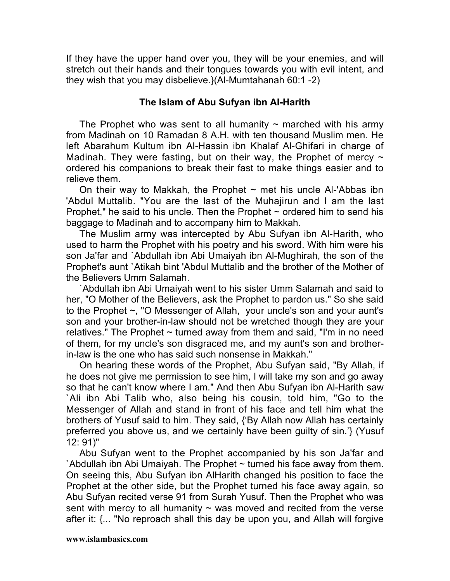If they have the upper hand over you, they will be your enemies, and will stretch out their hands and their tongues towards you with evil intent, and they wish that you may disbelieve.}(Al-Mumtahanah 60:1 -2)

# **The Islam of Abu Sufyan ibn AI-Harith**

The Prophet who was sent to all humanity  $\sim$  marched with his army from Madinah on 10 Ramadan 8 A.H. with ten thousand Muslim men. He left Abarahum Kultum ibn Al-Hassin ibn Khalaf Al-Ghifari in charge of Madinah. They were fasting, but on their way, the Prophet of mercy  $\sim$ ordered his companions to break their fast to make things easier and to relieve them.

On their way to Makkah, the Prophet  $\sim$  met his uncle Al-'Abbas ibn 'Abdul Muttalib. "You are the last of the Muhajirun and I am the last Prophet," he said to his uncle. Then the Prophet  $\sim$  ordered him to send his baggage to Madinah and to accompany him to Makkah.

The Muslim army was intercepted by Abu Sufyan ibn Al-Harith, who used to harm the Prophet with his poetry and his sword. With him were his son Ja'far and `Abdullah ibn Abi Umaiyah ibn Al-Mughirah, the son of the Prophet's aunt `Atikah bint 'Abdul Muttalib and the brother of the Mother of the Believers Umm Salamah.

`Abdullah ibn Abi Umaiyah went to his sister Umm Salamah and said to her, "O Mother of the Believers, ask the Prophet to pardon us." So she said to the Prophet ~, "O Messenger of Allah, your uncle's son and your aunt's son and your brother-in-law should not be wretched though they are your relatives." The Prophet  $\sim$  turned away from them and said, "I'm in no need of them, for my uncle's son disgraced me, and my aunt's son and brotherin-law is the one who has said such nonsense in Makkah."

On hearing these words of the Prophet, Abu Sufyan said, "By Allah, if he does not give me permission to see him, I will take my son and go away so that he can't know where I am." And then Abu Sufyan ibn Al-Harith saw `Ali ibn Abi Talib who, also being his cousin, told him, "Go to the Messenger of Allah and stand in front of his face and tell him what the brothers of Yusuf said to him. They said, {'By Allah now Allah has certainly preferred you above us, and we certainly have been guilty of sin.'} (Yusuf 12: 91)"

Abu Sufyan went to the Prophet accompanied by his son Ja'far and `Abdullah ibn Abi Umaiyah. The Prophet  $\sim$  turned his face away from them. On seeing this, Abu Sufyan ibn AlHarith changed his position to face the Prophet at the other side, but the Prophet turned his face away again, so Abu Sufyan recited verse 91 from Surah Yusuf. Then the Prophet who was sent with mercy to all humanity  $\sim$  was moved and recited from the verse after it: {... "No reproach shall this day be upon you, and Allah will forgive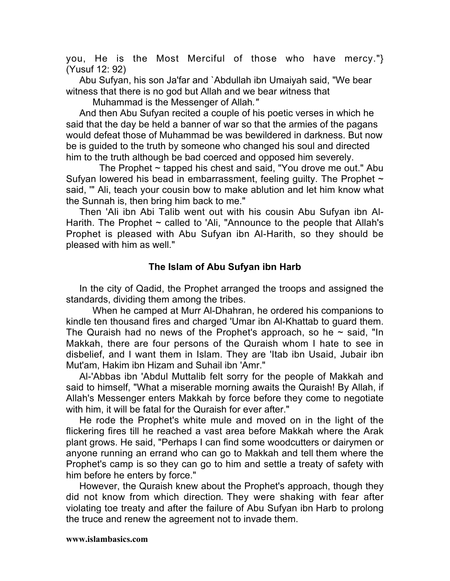you, He is the Most Merciful of those who have mercy."} (Yusuf 12: 92)

Abu Sufyan, his son Ja'far and `Abdullah ibn Umaiyah said, "We bear witness that there is no god but Allah and we bear *w*itness that

Muhammad is the Messenger of Allah*."*

And then Abu Sufyan recited a couple of his poetic verses in which he said that the day be held a banner of war so that the armies of the pagans would defeat those of Muhammad be was bewildered in darkness. But now be is guided to the truth by someone who changed his soul and directed him to the truth although be bad coerced and opposed him severely.

The Prophet  $\sim$  tapped his chest and said, "You drove me out." Abu Sufyan lowered his bead in embarrassment, feeling guilty. The Prophet  $\sim$ said, '" Ali, teach your cousin bow to make ablution and let him know what the Sunnah is, then bring him back to me."

Then 'Ali ibn Abi Talib went out with his cousin Abu Sufyan ibn Al-Harith. The Prophet  $\sim$  called to 'Ali, "Announce to the people that Allah's Prophet is pleased with Abu Sufyan ibn Al-Harith, so they should be pleased with him as well."

# **The Islam of Abu Sufyan ibn Harb**

In the city of Qadid, the Prophet arranged the troops and assigned the standards, dividing them among the tribes.

When he camped at Murr Al-Dhahran, he ordered his companions to kindle ten thousand fires and charged 'Umar ibn Al-Khattab to guard them. The Quraish had no news of the Prophet's approach, so he  $\sim$  said, "In Makkah, there are four persons of the Quraish whom I hate to see in disbelief, and I want them in Islam. They are 'Itab ibn Usaid, Jubair ibn Mut'am, Hakim ibn Hizam and Suhail ibn 'Amr."

Al-'Abbas ibn 'Abdul Muttalib felt sorry for the people of Makkah and said to himself, "What a miserable morning awaits the Quraish! By Allah, if Allah's Messenger enters Makkah by force before they come to negotiate with him, it will be fatal for the Quraish for ever after."

He rode the Prophet's white mule and moved on in the light of the flickering fires till he reached a vast area before Makkah where the Arak plant grows. He said, "Perhaps I can find some woodcutters or dairymen or anyone running an errand who can go to Makkah and tell them where the Prophet's camp is so they can go to him and settle a treaty of safety with him before he enters by force."

However, the Quraish knew about the Prophet's approach, though they did not know from which direction*.* They were shaking with fear after violating toe treaty and after the failure of Abu Sufyan ibn Harb to prolong the truce and renew the agreement not to invade them.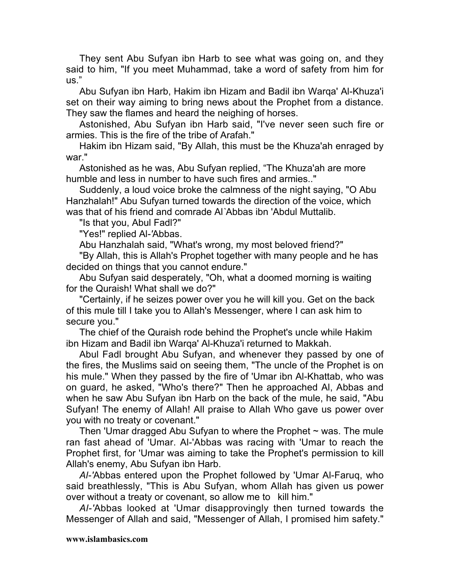They sent Abu Sufyan ibn Harb to see what was going on, and they said to him, "If you meet Muhammad, take a word of safety from him for us."

Abu Sufyan ibn Harb, Hakim ibn Hizam and Badil ibn Warqa' Al-Khuza'i set on their way aiming to bring news about the Prophet from a distance. They saw the flames and heard the neighing of horses.

Astonished, Abu Sufyan ibn Harb said, "I've never seen such fire or armies. This is the fire of the tribe of Arafah."

Hakim ibn Hizam said, "By Allah, this must be the Khuza'ah enraged by war."

Astonished as he was, Abu Sufyan replied, "The Khuza'ah are more humble and less in number to have such fires and armies.."

Suddenly, a loud voice broke the calmness of the night saying, "O Abu Hanzhalah!" Abu Sufyan turned towards the direction of the voice, which was that of his friend and comrade Al*`*Abbas ibn 'Abdul Muttalib.

"Is that you, Abul Fadl?"

"Yes!" replied Al*-'*Abbas.

Abu Hanzhalah said, "What's wrong, my most beloved friend?"

"By Allah, this is Allah's Prophet together with many people and he has decided on things that you cannot endure."

Abu Sufyan said desperately, "Oh, what a doomed morning is waiting for the Quraish! What shall we do?"

"Certainly, if he seizes power over you he will kill you. Get on the back of this mule till I take you to Allah's Messenger, where I can ask him to secure you."

The chief of the Quraish rode behind the Prophet's uncle while Hakim ibn Hizam and Badil ibn Warqa' Al-Khuza'i returned to Makkah.

Abul Fadl brought Abu Sufyan, and whenever they passed by one of the fires, the Muslims said on seeing them, "The uncle of the Prophet is on his mule." When they passed by the fire of 'Umar ibn Al-Khattab, who was on guard, he asked, "Who's there?" Then he approached Al, Abbas and when he saw Abu Sufyan ibn Harb on the back of the mule, he said, "Abu Sufyan! The enemy of Allah! All praise to Allah Who gave us power over you with no treaty or covenant."

Then 'Umar dragged Abu Sufyan to where the Prophet  $\sim$  was. The mule ran fast ahead of 'Umar. Al-'Abbas was racing with 'Umar to reach the Prophet first, for 'Umar was aiming to take the Prophet's permission to kill Allah's enemy, Abu Sufyan ibn Harb.

*Al-'*Abbas entered upon the Prophet followed by 'Umar Al-Faruq, who said breathlessly, "This is Abu Sufyan, whom Allah has given us power over without a treaty or covenant, so allow me to kill him."

*Al-'*Abbas looked at 'Umar disapprovingly then turned towards the Messenger of Allah and said, "Messenger of Allah, I promised him safety."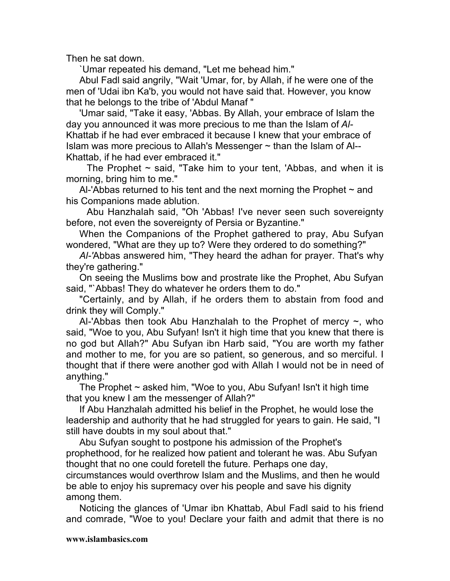Then he sat down.

`Umar repeated his demand, "Let me behead him."

Abul Fadl said angrily, "Wait 'Umar, for, by Allah, if he were one of the men of 'Udai ibn Ka'b, you would not have said that. However, you know that he belongs to the tribe of 'Abdul Manaf "

'Umar said, "Take it easy, 'Abbas. By Allah, your embrace of Islam the day you announced it was more precious to me than the Islam of *Al-*Khattab if he had ever embraced it because I knew that your embrace of Islam was more precious to Allah's Messenger  $\sim$  than the Islam of Al--Khattab, if he had ever embraced it."

The Prophet  $\sim$  said, "Take him to your tent, 'Abbas, and when it is morning, bring him to me."

Al-'Abbas returned to his tent and the next morning the Prophet  $\sim$  and his Companions made ablution.

Abu Hanzhalah said, "Oh 'Abbas! I've never seen such sovereignty before, not even the sovereignty of Persia or Byzantine."

When the Companions of the Prophet gathered to pray, Abu Sufyan wondered, "What are they up to? Were they ordered to do something?"

*Al-'*Abbas answered him, "They heard the adhan for prayer. That's why they're gathering."

On seeing the Muslims bow and prostrate like the Prophet, Abu Sufyan said, "`Abbas! They do whatever he orders them to do."

"Certainly, and by Allah, if he orders them to abstain from food and drink they will Comply."

Al-'Abbas then took Abu Hanzhalah to the Prophet of mercy  $\sim$ , who said, "Woe to you, Abu Sufyan! Isn't it high time that you knew that there is no god but Allah?" Abu Sufyan ibn Harb said, "You are worth my father and mother to me, for you are so patient, so generous, and so merciful. I thought that if there were another god with Allah I would not be in need of anything."

The Prophet  $\sim$  asked him, "Woe to you, Abu Sufyan! Isn't it high time that you knew I am the messenger of Allah?"

If Abu Hanzhalah admitted his belief in the Prophet, he would lose the leadership and authority that he had struggled for years to gain. He said, "I still have doubts in my soul about that."

Abu Sufyan sought to postpone his admission of the Prophet's prophethood, for he realized how patient and tolerant he was. Abu Sufyan thought that no one could foretell the future. Perhaps one day,

circumstances would overthrow Islam and the Muslims, and then he would be able to enjoy his supremacy over his people and save his dignity among them.

Noticing the glances of 'Umar ibn Khattab, Abul Fadl said to his friend and comrade, "Woe to you! Declare your faith and admit that there is no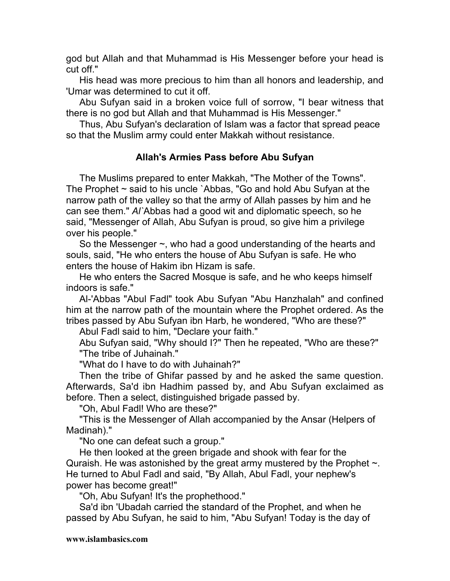god but Allah and that Muhammad is His Messenger before your head is cut off."

His head was more precious to him than all honors and leadership, and 'Umar was determined to cut it off.

Abu Sufyan said in a broken voice full of sorrow, "I bear witness that there is no god but Allah and that Muhammad is His Messenger."

Thus, Abu Sufyan's declaration of Islam was a factor that spread peace so that the Muslim army could enter Makkah without resistance.

# **Allah's Armies Pass before Abu Sufyan**

The Muslims prepared to enter Makkah, "The Mother of the Towns". The Prophet  $\sim$  said to his uncle `Abbas, "Go and hold Abu Sufyan at the narrow path of the valley so that the army of Allah passes by him and he can see them." *Al`*Abbas had a good wit and diplomatic speech, so he said, "Messenger of Allah, Abu Sufyan is proud, so give him a privilege over his people."

So the Messenger  $\sim$ , who had a good understanding of the hearts and souls, said, "He who enters the house of Abu Sufyan is safe. He who enters the house of Hakim ibn Hizam is safe.

He who enters the Sacred Mosque is safe, and he who keeps himself indoors is safe."

Al-'Abbas "Abul Fadl" took Abu Sufyan "Abu Hanzhalah" and confined him at the narrow path of the mountain where the Prophet ordered. As the tribes passed by Abu Sufyan ibn Harb, he wondered, "Who are these?"

Abul Fadl said to him, "Declare your faith."

Abu Sufyan said, "Why should I?" Then he repeated, "Who are these?" "The tribe of Juhainah."

"What do I have to do with Juhainah?"

Then the tribe of Ghifar passed by and he asked the same question. Afterwards, Sa'd ibn Hadhim passed by, and Abu Sufyan exclaimed as before. Then a select, distinguished brigade passed by.

"Oh, Abul Fadl! Who are these?"

"This is the Messenger of Allah accompanied by the Ansar (Helpers of Madinah)."

"No one can defeat such a group."

He then looked at the green brigade and shook with fear for the Quraish. He was astonished by the great army mustered by the Prophet  $\sim$ . He turned to Abul Fadl and said, "By Allah, Abul Fadl, your nephew's power has become great!"

"Oh, Abu Sufyan! It's the prophethood."

Sa'd ibn 'Ubadah carried the standard of the Prophet, and when he passed by Abu Sufyan, he said to him, "Abu Sufyan! Today is the day of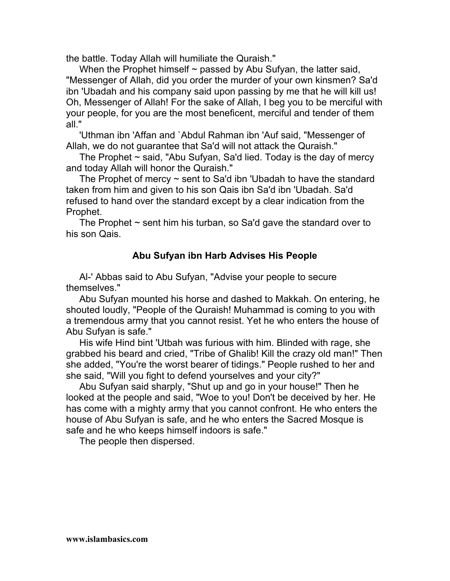the battle. Today Allah will humiliate the Quraish."

When the Prophet himself  $\sim$  passed by Abu Sufyan, the latter said, "Messenger of Allah, did you order the murder of your own kinsmen? Sa'd ibn 'Ubadah and his company said upon passing by me that he will kill us! Oh, Messenger of Allah! For the sake of Allah, I beg you to be merciful with your people, for you are the most beneficent, merciful and tender of them all."

'Uthman ibn 'Affan and `Abdul Rahman ibn 'Auf said, "Messenger of Allah, we do not guarantee that Sa'd will not attack the Quraish."

The Prophet  $\sim$  said, "Abu Sufyan, Sa'd lied. Today is the day of mercy and today Allah will honor the Quraish."

The Prophet of mercy  $\sim$  sent to Sa'd ibn 'Ubadah to have the standard taken from him and given to his son Qais ibn Sa'd ibn 'Ubadah. Sa'd refused to hand over the standard except by a clear indication from the Prophet.

The Prophet  $\sim$  sent him his turban, so Sa'd gave the standard over to his son Qais.

# **Abu Sufyan ibn Harb Advises His People**

Al-' Abbas said to Abu Sufyan, "Advise your people to secure themselves."

Abu Sufyan mounted his horse and dashed to Makkah. On entering, he shouted loudly, "People of the Quraish! Muhammad is coming to you with a tremendous army that you cannot resist. Yet he who enters the house of Abu Sufyan is safe."

His wife Hind bint 'Utbah was furious with him. Blinded with rage, she grabbed his beard and cried, "Tribe of Ghalib! Kill the crazy old man!" Then she added, "You're the worst bearer of tidings." People rushed to her and she said, "Will you fight to defend yourselves and your city?"

Abu Sufyan said sharply, "Shut up and go in your house!" Then he looked at the people and said, "Woe to you! Don't be deceived by her. He has come with a mighty army that you cannot confront. He who enters the house of Abu Sufyan is safe, and he who enters the Sacred Mosque is safe and he who keeps himself indoors is safe."

The people then dispersed.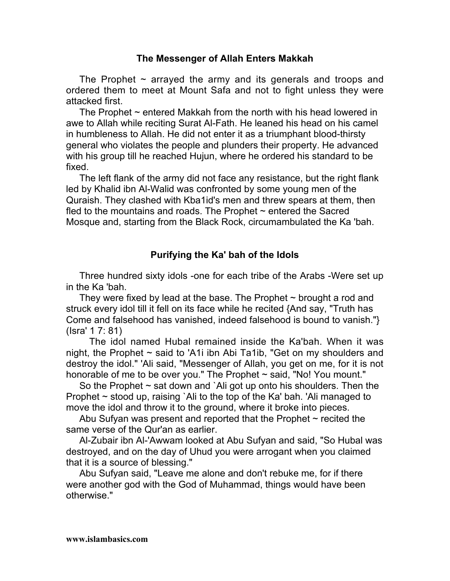#### **The Messenger of Allah Enters Makkah**

The Prophet  $\sim$  arrayed the army and its generals and troops and ordered them to meet at Mount Safa and not to fight unless they were attacked first.

The Prophet  $\sim$  entered Makkah from the north with his head lowered in awe to Allah while reciting Surat Al-Fath. He leaned his head on his camel in humbleness to Allah. He did not enter it as a triumphant blood-thirsty general who violates the people and plunders their property. He advanced with his group till he reached Hujun, where he ordered his standard to be fixed.

The left flank of the army did not face any resistance, but the right flank led by Khalid ibn Al-Walid was confronted by some young men of the Quraish. They clashed with Kba1id's men and threw spears at them, then fled to the mountains and roads. The Prophet  $\sim$  entered the Sacred Mosque and, starting from the Black Rock, circumambulated the Ka 'bah.

# **Purifying the Ka' bah of the Idols**

Three hundred sixty idols -one for each tribe of the Arabs -Were set up in the Ka 'bah.

They were fixed by lead at the base. The Prophet  $\sim$  brought a rod and struck every idol till it fell on its face while he recited {And say, "Truth has Come and falsehood has vanished, indeed falsehood is bound to vanish."} (Isra' 1 7: 81)

The idol named Hubal remained inside the Ka'bah. When it was night, the Prophet ~ said to 'A1i ibn Abi Ta1ib, "Get on my shoulders and destroy the idol." 'Ali said, "Messenger of Allah, you get on me, for it is not honorable of me to be over you." The Prophet  $\sim$  said, "No! You mount."

So the Prophet  $\sim$  sat down and `Ali got up onto his shoulders. Then the Prophet ~ stood up, raising `Ali to the top of the Ka' bah. 'Ali managed to move the idol and throw it to the ground, where it broke into pieces.

Abu Sufyan was present and reported that the Prophet  $\sim$  recited the same verse of the Qur'an as earlier.

Al-Zubair ibn Al-'Awwam looked at Abu Sufyan and said, "So Hubal was destroyed, and on the day of Uhud you were arrogant when you claimed that it is a source of blessing."

Abu Sufyan said, "Leave me alone and don't rebuke me, for if there were another god with the God of Muhammad, things would have been otherwise."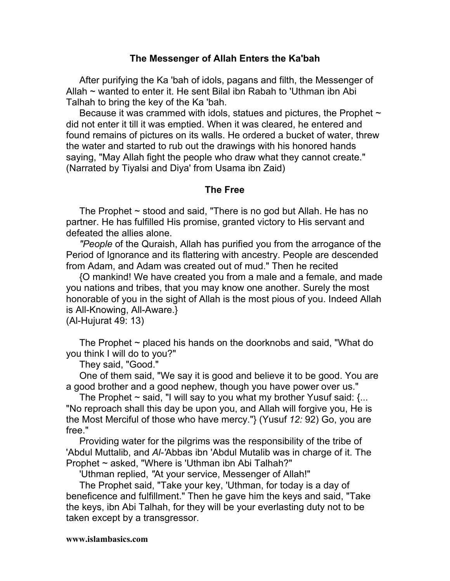#### **The Messenger of Allah Enters the Ka'bah**

After purifying the Ka 'bah of idols, pagans and filth, the Messenger of Allah ~ wanted to enter it. He sent Bilal ibn Rabah to 'Uthman ibn Abi Talhah to bring the key of the Ka 'bah.

Because it was crammed with idols, statues and pictures, the Prophet  $\sim$ did not enter it till it was emptied. When it was cleared, he entered and found remains of pictures on its walls. He ordered a bucket of water, threw the water and started to rub out the drawings with his honored hands saying, "May Allah fight the people who draw what they cannot create." (Narrated by Tiyalsi and Diya' from Usama ibn Zaid)

#### **The Free**

The Prophet  $\sim$  stood and said, "There is no god but Allah. He has no partner. He has fulfilled His promise, granted victory to His servant and defeated the allies alone.

*"People* of the Quraish, Allah has purified you from the arrogance of the Period of Ignorance and its flattering with ancestry. People are descended from Adam, and Adam was created out of mud." Then he recited

{O mankind! We have created you from a male and a female, and made you nations and tribes, that you may know one another. Surely the most honorable of you in the sight of Allah is the most pious of you. Indeed Allah is All-Knowing, All-Aware.}

(Al-Hujurat 49: 13)

The Prophet  $\sim$  placed his hands on the doorknobs and said, "What do you think I will do to you?"

They said, "Good."

One of them said, "We say it is good and believe it to be good. You are a good brother and a good nephew, though you have power over us."

The Prophet  $\sim$  said, "I will say to you what my brother Yusuf said: {... "No reproach shall this day be upon you, and Allah will forgive you, He is the Most Merciful of those who have mercy."} (Yusuf *12:* 92) Go, you are free."

Providing water for the pilgrims was the responsibility of the tribe of 'Abdul Muttalib, and *Al-'*Abbas ibn 'Abdul Mutalib was in charge of it. The Prophet ~ asked, "Where is 'Uthman ibn Abi Talhah?"

'Uthman replied, *"*At your service, Messenger of Allah!"

The Prophet said, "Take your key, 'Uthman, for today is a day of beneficence and fulfillment." Then he gave him the keys and said, "Take the keys, ibn Abi Talhah, for they will be your everlasting duty not to be taken except by a transgressor.

#### **www.islambasics.com**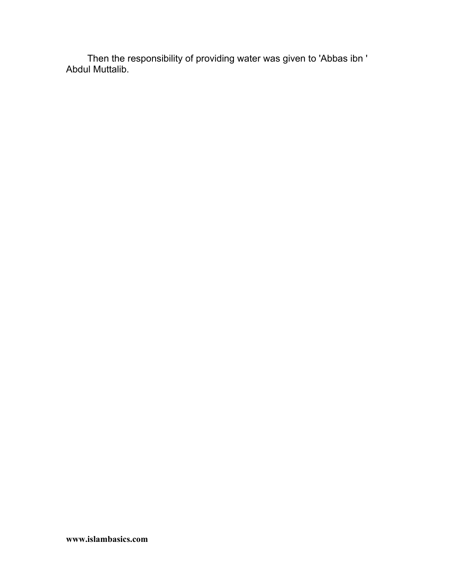Then the responsibility of providing water was given to 'Abbas ibn ' Abdul Muttalib.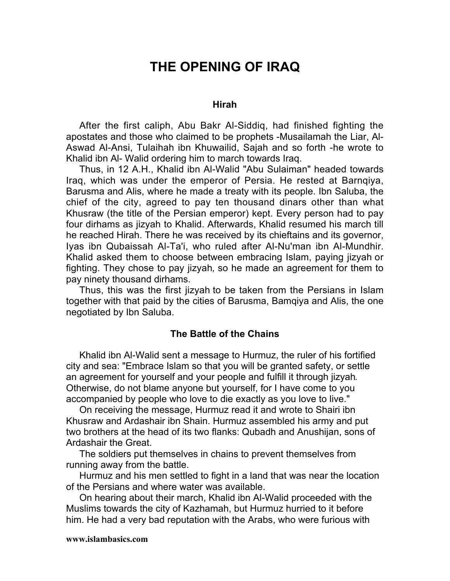# **THE OPENING OF IRAQ**

#### **Hirah**

After the first caliph, Abu Bakr Al-Siddiq, had finished fighting the apostates and those who claimed to be prophets -Musailamah the Liar, Al-Aswad Al-Ansi, Tulaihah ibn Khuwailid, Sajah and so forth -he wrote to Khalid ibn Al- Walid ordering him to march towards Iraq.

Thus, in 12 A.H., Khalid ibn Al-Walid "Abu Sulaiman" headed towards Iraq, which was under the emperor of Persia. He rested at Barnqiya, Barusma and Alis, where he made a treaty with its people. Ibn Saluba, the chief of the city, agreed to pay ten thousand dinars other than what Khusraw (the title of the Persian emperor) kept. Every person had to pay four dirhams as jizyah to Khalid. Afterwards, Khalid resumed his march till he reached Hirah. There he was received by its chieftains and its governor, Iyas ibn Qubaissah Al-Ta'i, who ruled after Al-Nu'man ibn Al-Mundhir. Khalid asked them to choose between embracing Islam, paying jizyah or fighting. They chose to pay jizyah*,* so he made an agreement for them to pay ninety thousand dirhams.

Thus, this was the first jizyah to be taken from the Persians in Islam together with that paid by the cities of Barusma, Bamqiya and Alis, the one negotiated by Ibn Saluba.

#### **The Battle of the Chains**

Khalid ibn Al-Walid sent a message to Hurmuz, the ruler of his fortified city and sea: "Embrace Islam so that you will be granted safety, or settle an agreement for yourself and your people and fulfill it through jizyah*.* Otherwise, do not blame anyone but yourself, for I have come to you accompanied by people who love to die exactly as you love to live."

On receiving the message, Hurmuz read it and wrote to Shairi ibn Khusraw and Ardashair ibn Shain. Hurmuz assembled his army and put two brothers at the head of its two flanks: Qubadh and Anushijan, sons of Ardashair the Great.

The soldiers put themselves in chains to prevent themselves from running away from the battle.

Hurmuz and his men settled to fight in a land that was near the location of the Persians and where water was available.

On hearing about their march, Khalid ibn Al-Walid proceeded with the Muslims towards the city of Kazhamah, but Hurmuz hurried to it before him. He had a very bad reputation with the Arabs, who were furious with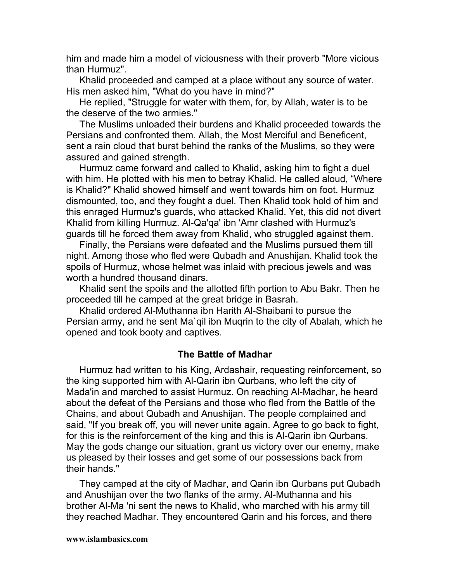him and made him a model of viciousness with their proverb "More vicious than Hurmuz".

Khalid proceeded and camped at a place without any source of water. His men asked him, "What do you have in mind?"

He replied, "Struggle for water with them, for, by Allah, water is to be the deserve of the two armies."

The Muslims unloaded their burdens and Khalid proceeded towards the Persians and confronted them. Allah, the Most Merciful and Beneficent, sent a rain cloud that burst behind the ranks of the Muslims, so they were assured and gained strength.

Hurmuz came forward and called to Khalid, asking him to fight a duel with him. He plotted with his men to betray Khalid. He called aloud, "Where is Khalid?" Khalid showed himself and went towards him on foot. Hurmuz dismounted, too, and they fought a duel. Then Khalid took hold of him and this enraged Hurmuz's guards, who attacked Khalid. Yet, this did not divert Khalid from killing Hurmuz. Al-Qa'qa' ibn 'Amr clashed with Hurmuz's guards till he forced them away from Khalid, who struggled against them.

Finally, the Persians were defeated and the Muslims pursued them till night. Among those who fled were Qubadh and Anushijan. Khalid took the spoils of Hurmuz, whose helmet was inlaid with precious jewels and was worth a hundred thousand dinars.

Khalid sent the spoils and the allotted fifth portion to Abu Bakr. Then he proceeded till he camped at the great bridge in Basrah.

Khalid ordered Al-Muthanna ibn Harith Al-Shaibani to pursue the Persian army, and he sent Ma`qil ibn Muqrin to the city of Abalah, which he opened and took booty and captives.

#### **The Battle of Madhar**

Hurmuz had written to his King, Ardashair, requesting reinforcement, so the king supported him with Al-Qarin ibn Qurbans, who left the city of Mada'in and marched to assist Hurmuz. On reaching Al-Madhar, he heard about the defeat of the Persians and those who fled from the Battle of the Chains, and about Qubadh and Anushijan. The people complained and said, "If you break off, you will never unite again. Agree to go back to fight, for this is the reinforcement of the king and this is Al-Qarin ibn Qurbans. May the gods change our situation, grant us victory over our enemy, make us pleased by their losses and get some of our possessions back from their hands."

They camped at the city of Madhar, and Qarin ibn Qurbans put Qubadh and Anushijan over the two flanks of the army. Al-Muthanna and his brother Al-Ma 'ni sent the news to Khalid, who marched with his army till they reached Madhar. They encountered Qarin and his forces, and there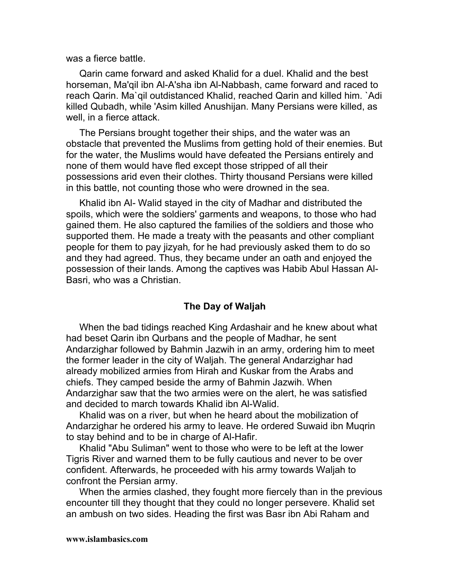was a fierce battle.

Qarin came forward and asked Khalid for a duel. Khalid and the best horseman, Ma'qil ibn Al-A'sha ibn Al-Nabbash, came forward and raced to reach Qarin. Ma`qil outdistanced Khalid, reached Qarin and killed him. `Adi killed Qubadh, while 'Asim killed Anushijan. Many Persians were killed, as well, in a fierce attack.

The Persians brought together their ships, and the water was an obstacle that prevented the Muslims from getting hold of their enemies. But for the water, the Muslims would have defeated the Persians entirely and none of them would have fled except those stripped of all their possessions arid even their clothes. Thirty thousand Persians were killed in this battle, not counting those who were drowned in the sea.

Khalid ibn Al*-* Walid stayed in the city of Madhar and distributed the spoils, which were the soldiers' garments and weapons, to those who had gained them. He also captured the families of the soldiers and those who supported them. He made a treaty with the peasants and other compliant people for them to pay jizyah*,* for he had previously asked them to do so and they had agreed. Thus, they became under an oath and enjoyed the possession of their lands. Among the captives was Habib Abul Hassan Al-Basri, who was a Christian.

#### **The Day of Waljah**

When the bad tidings reached King Ardashair and he knew about what had beset Qarin ibn Qurbans and the people of Madhar, he sent Andarzighar followed by Bahmin Jazwih in an army, ordering him to meet the former leader in the city of Waljah. The general Andarzighar had already mobilized armies from Hirah and Kuskar from the Arabs and chiefs. They camped beside the army of Bahmin Jazwih. When Andarzighar saw that the two armies were on the alert, he was satisfied and decided to march towards Khalid ibn Al-Walid.

Khalid was on a river, but when he heard about the mobilization of Andarzighar he ordered his army to leave. He ordered Suwaid ibn Muqrin to stay behind and to be in charge of Al-Hafir.

Khalid "Abu Suliman" went to those who were to be left at the lower Tigris River and warned them to be fully cautious and never to be over confident. Afterwards, he proceeded with his army towards Waljah to confront the Persian army.

When the armies clashed, they fought more fiercely than in the previous encounter till they thought that they could no longer persevere. Khalid set an ambush on two sides. Heading the first was Basr ibn Abi Raham and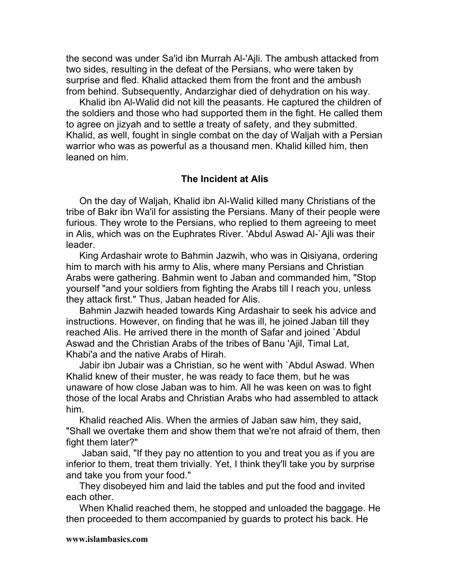the second was under Sa'id ibn Murrah Al-'Ajli. The ambush attacked from two sides, resulting in the defeat of the Persians, who were taken by surprise and fled. Khalid attacked them from the front and the ambush from behind. Subsequently, Andarzighar died of dehydration on his way.

Khalid ibn Al-Walid did not kill the peasants. He captured the children of the soldiers and those who had supported them in the fight. He called them to agree on jizyah and to settle a treaty of safety, and they submitted. Khalid, as well, fought in single combat on the day of Waljah with a Persian warrior who was as powerful as a thousand men. Khalid killed him, then leaned on him.

#### **The Incident at Alis**

On the day of Waljah, Khalid ibn Al-Walid killed many Christians of the tribe of Bakr ibn Wa'il for assisting the Persians. Many of their people were furious. They wrote to the Persians, who replied to them agreeing to meet in Alis, which was on the Euphrates River. 'Abdul Aswad Al-`Ajli was their leader.

King Ardashair wrote to Bahmin Jazwih, who was in Qisiyana, ordering him to march with his army to Alis, where many Persians and Christian Arabs were gathering. Bahmin went to Jaban and commanded him, "Stop yourself "and your soldiers from fighting the Arabs till I reach you, unless they attack first." Thus, Jaban headed for Alis.

Bahmin Jazwih headed towards King Ardashair to seek his advice and instructions. However, on finding that he was ill, he joined Jaban till they reached Alis. He arrived there in the month of Safar and joined `Abdul Aswad and the Christian Arabs of the tribes of Banu 'Ajil, Timal Lat, Khabi'a and the native Arabs of Hirah.

Jabir ibn Jubair was a Christian, so he went with `Abdul Aswad. When Khalid knew of their muster, he was ready to face them, but he was unaware of how close Jaban was to him. All he was keen on was to fight those of the local Arabs and Christian Arabs who had assembled to attack him.

Khalid reached Alis. When the armies of Jaban saw him, they said, "Shall we overtake them and show them that we're not afraid of them, then fight them later?"

 Jaban said, "If they pay no attention to you and treat you as if you are inferior to them, treat them trivially. Yet, I think they'll take you by surprise and take you from your food."

They disobeyed him and laid the tables and put the food and invited each other.

When Khalid reached them, he stopped and unloaded the baggage. He then proceeded to them accompanied by guards to protect his back. He

#### **www.islambasics.com**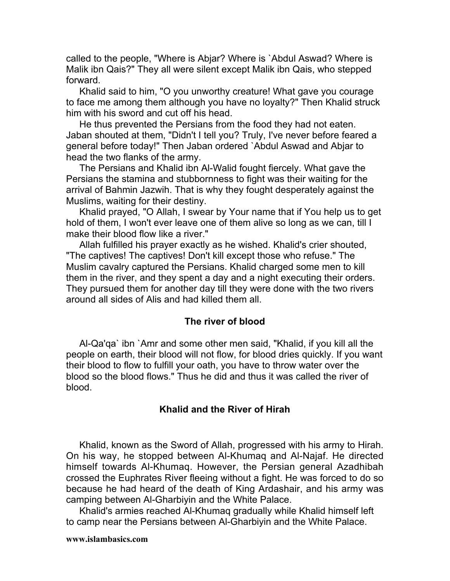called to the people, "Where is Abjar? Where is `Abdul Aswad? Where is Malik ibn Qais?" They all were silent except Malik ibn Qais, who stepped forward.

Khalid said to him, "O you unworthy creature! What gave you courage to face me among them although you have no loyalty?" Then Khalid struck him with his sword and cut off his head.

He thus prevented the Persians from the food they had not eaten. Jaban shouted at them, "Didn't I tell you? Truly, I've never before feared a general before today!" Then Jaban ordered `Abdul Aswad and Abjar to head the two flanks of the army.

The Persians and Khalid ibn Al-Walid fought fiercely. What gave the Persians the stamina and stubbornness to fight was their waiting for the arrival of Bahmin Jazwih. That is why they fought desperately against the Muslims, waiting for their destiny.

Khalid prayed, "O Allah, I swear by Your name that if You help us to get hold of them, I won't ever leave one of them alive so long as we can, till I make their blood flow like a river."

Allah fulfilled his prayer exactly as he wished. Khalid's crier shouted, "The captives! The captives! Don't kill except those who refuse." The Muslim cavalry captured the Persians. Khalid charged some men to kill them in the river, and they spent a day and a night executing their orders. They pursued them for another day till they were done with the two rivers around all sides of Alis and had killed them all.

#### **The river of blood**

Al-Qa'qa` ibn `Amr and some other men said, "Khalid, if you kill all the people on earth, their blood will not flow, for blood dries quickly. If you want their blood to flow to fulfill your oath, you have to throw water over the blood so the blood flows." Thus he did and thus it was called the river of blood.

## **Khalid and the River of Hirah**

Khalid, known as the Sword of Allah, progressed with his army to Hirah. On his way, he stopped between Al-Khumaq and Al-Najaf. He directed himself towards Al-Khumaq. However, the Persian general Azadhibah crossed the Euphrates River fleeing without a fight. He was forced to do so because he had heard of the death of King Ardashair, and his army was camping between Al-Gharbiyin and the White Palace.

Khalid's armies reached Al-Khumaq gradually while Khalid himself left to camp near the Persians between Al-Gharbiyin and the White Palace.

#### **www.islambasics.com**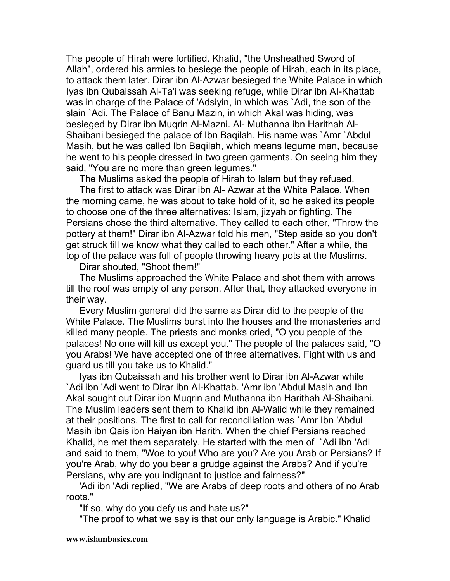The people of Hirah were fortified. Khalid, "the Unsheathed Sword of Allah", ordered his armies to besiege the people of Hirah, each in its place, to attack them later. Dirar ibn Al-Azwar besieged the White Palace in which Iyas ibn Qubaissah Al-Ta'i was seeking refuge, while Dirar ibn AI-Khattab was in charge of the Palace of 'Adsiyin, in which was `Adi, the son of the slain `Adi. The Palace of Banu Mazin, in which Akal was hiding, was besieged by Dirar ibn Muqrin Al-Mazni. Al- Muthanna ibn Harithah Al-Shaibani besieged the palace of Ibn Baqilah. His name was `Amr `Abdul Masih, but he was called Ibn Baqilah, which means legume man, because he went to his people dressed in two green garments. On seeing him they said, "You are no more than green legumes."

The Muslims asked the people of Hirah to Islam but they refused.

The first to attack was Dirar ibn Al- Azwar at the White Palace. When the morning came, he was about to take hold of it, so he asked its people to choose one of the three alternatives: Islam, jizyah or fighting. The Persians chose the third alternative. They called to each other, "Throw the pottery at them!" Dirar ibn Al-Azwar told his men, "Step aside so you don't get struck till we know what they called to each other." After a while, the top of the palace was full of people throwing heavy pots at the Muslims.

Dirar shouted, "Shoot them!"

The Muslims approached the White Palace and shot them with arrows till the roof was empty of any person. After that, they attacked everyone in their way.

Every Muslim general did the same as Dirar did to the people of the White Palace. The Muslims burst into the houses and the monasteries and killed many people. The priests and monks cried, "O you people of the palaces! No one will kill us except you." The people of the palaces said, "O you Arabs! We have accepted one of three alternatives. Fight with us and guard us till you take us to Khalid."

Iyas ibn Qubaissah and his brother went to Dirar ibn Al-Azwar while `Adi ibn 'Adi went to Dirar ibn AI-Khattab. 'Amr ibn 'Abdul Masih and Ibn Akal sought out Dirar ibn Muqrin and Muthanna ibn Harithah Al-Shaibani. The Muslim leaders sent them to Khalid ibn Al-Walid while they remained at their positions. The first to call for reconciliation was `Amr Ibn 'Abdul Masih ibn Qais ibn Haiyan ibn Harith. When the chief Persians reached Khalid, he met them separately. He started with the men of `Adi ibn 'Adi and said to them, "Woe to you! Who are you? Are you Arab or Persians? If you're Arab, why do you bear a grudge against the Arabs? And if you're Persians, why are you indignant to justice and fairness?"

'Adi ibn 'Adi replied, "We are Arabs of deep roots and others of no Arab roots."

"If so, why do you defy us and hate us?"

"The proof to what we say is that our only language is Arabic." Khalid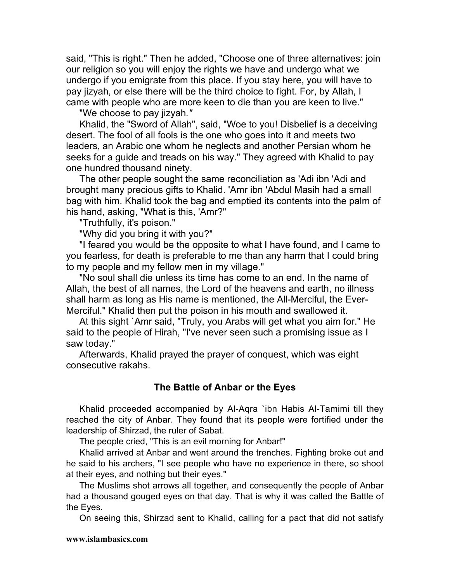said, "This is right." Then he added, "Choose one of three alternatives: join our religion so you will enjoy the rights we have and undergo what we undergo if you emigrate from this place. If you stay here, you will have to pay jizyah, or else there will be the third choice to fight. For, by Allah, I came with people who are more keen to die than you are keen to live."

"We choose to pay jizyah*."*

Khalid, the "Sword of Allah", said, "Woe to you! Disbelief is a deceiving desert. The fool of all fools is the one who goes into it and meets two leaders, an Arabic one whom he neglects and another Persian whom he seeks for a guide and treads on his way." They agreed with Khalid to pay one hundred thousand ninety.

The other people sought the same reconciliation as 'Adi ibn 'Adi and brought many precious gifts to Khalid. 'Amr ibn 'Abdul Masih had a small bag with him. Khalid took the bag and emptied its contents into the palm of his hand, asking, "What is this, 'Amr?"

"Truthfully, it's poison."

"Why did you bring it with you?"

"I feared you would be the opposite to what I have found, and I came to you fearless, for death is preferable to me than any harm that I could bring to my people and my fellow men in my village."

"No soul shall die unless its time has come to an end. In the name of Allah, the best of all names, the Lord of the heavens and earth, no illness shall harm as long as His name is mentioned, the All-Merciful, the Ever-Merciful." Khalid then put the poison in his mouth and swallowed it.

At this sight `Amr said, "Truly, you Arabs will get what you aim for." He said to the people of Hirah, "I've never seen such a promising issue as I saw today."

Afterwards, Khalid prayed the prayer of conquest, which was eight consecutive rakahs.

#### **The Battle of Anbar or the Eyes**

Khalid proceeded accompanied by Al-Aqra `ibn Habis Al-Tamimi till they reached the city of Anbar. They found that its people were fortified under the leadership of Shirzad, the ruler of Sabat.

The people cried, "This is an evil morning for Anbar!"

Khalid arrived at Anbar and went around the trenches. Fighting broke out and he said to his archers, "I see people who have no experience in there, so shoot at their eyes, and nothing but their eyes."

The Muslims shot arrows all together, and consequently the people of Anbar had a thousand gouged eyes on that day. That is why it was called the Battle of the Eyes.

On seeing this, Shirzad sent to Khalid, calling for a pact that did not satisfy

#### **www.islambasics.com**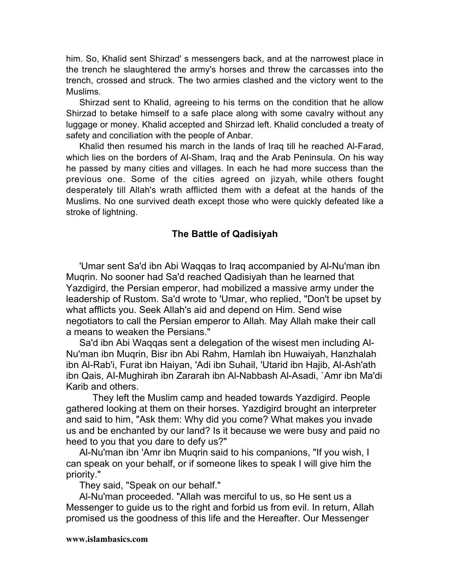him. So, Khalid sent Shirzad' s messengers back, and at the narrowest place in the trench he slaughtered the army's horses and threw the carcasses into the trench, crossed and struck. The two armies clashed and the victory went to the Muslims.

Shirzad sent to Khalid, agreeing to his terms on the condition that he allow Shirzad to betake himself to a safe place along with some cavalry without any luggage or money. Khalid accepted and Shirzad left. Khalid concluded a treaty of safety and conciliation with the people of Anbar.

Khalid then resumed his march in the lands of Iraq till he reached Al-Farad, which lies on the borders of Al-Sham, Iraq and the Arab Peninsula. On his way he passed by many cities and villages. In each he had more success than the previous one. Some of the cities agreed on jizyah*,* while others fought desperately till Allah's wrath afflicted them with a defeat at the hands of the Muslims. No one survived death except those who were quickly defeated like a stroke of lightning.

#### **The Battle of Qadisiyah**

'Umar sent Sa'd ibn Abi Waqqas to Iraq accompanied by Al-Nu'man ibn Muqrin. No sooner had Sa'd reached Qadisiyah than he learned that Yazdigird, the Persian emperor, had mobilized a massive army under the leadership of Rustom. Sa'd wrote to 'Umar, who replied, "Don't be upset by what afflicts you. Seek Allah's aid and depend on Him. Send wise negotiators to call the Persian emperor to Allah. May Allah make their call a means to weaken the Persians."

Sa'd ibn Abi Waqqas sent a delegation of the wisest men including Al-Nu'man ibn Muqrin, Bisr ibn Abi Rahm, Hamlah ibn Huwaiyah, Hanzhalah ibn Al-Rab'i, Furat ibn Haiyan, 'Adi ibn Suhail, 'Utarid ibn Hajib, Al-Ash'ath ibn Qais, AI-Mughirah ibn Zararah ibn Al-Nabbash Al-Asadi, `Amr ibn Ma'di Karib and others.

They left the Muslim camp and headed towards Yazdigird. People gathered looking at them on their horses. Yazdigird brought an interpreter and said to him, "Ask them: Why did you come? What makes you invade us and be enchanted by our land? Is it because we were busy and paid no heed to you that you dare to defy us?"

Al-Nu'man ibn 'Amr ibn Muqrin said to his companions, "If you wish, I can speak on your behalf, or if someone likes to speak I will give him the priority."

They said, "Speak on our behalf."

Al-Nu'man proceeded. "Allah was merciful to us, so He sent us a Messenger to guide us to the right and forbid us from evil. In return, Allah promised us the goodness of this life and the Hereafter. Our Messenger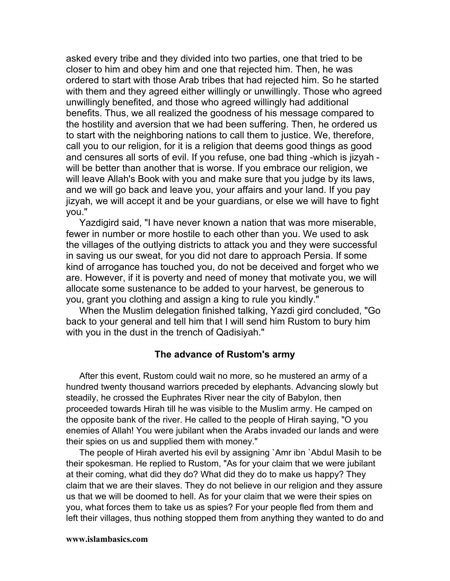asked every tribe and they divided into two parties, one that tried to be closer to him and obey him and one that rejected him. Then, he was ordered to start with those Arab tribes that had rejected him. So he started with them and they agreed either willingly or unwillingly. Those who agreed unwillingly benefited, and those who agreed willingly had additional benefits. Thus, we all realized the goodness of his message compared to the hostility and aversion that we had been suffering. Then, he ordered us to start with the neighboring nations to call them to justice. We, therefore, call you to our religion, for it is a religion that deems good things as good and censures all sorts of evil. If you refuse, one bad thing -which is jizyah will be better than another that is worse. If you embrace our religion, we will leave Allah's Book with you and make sure that you judge by its laws, and we will go back and leave you, your affairs and your land. If you pay jizyah*,* we will accept it and be your guardians, or else we will have to fight you."

Yazdigird said, "I have never known a nation that was more miserable, fewer in number or more hostile to each other than you. We used to ask the villages of the outlying districts to attack you and they were successful in saving us our sweat, for you did not dare to approach Persia. If some kind of arrogance has touched you, do not be deceived and forget who we are. However, if it is poverty and need of money that motivate you, we will allocate some sustenance to be added to your harvest, be generous to you, grant you clothing and assign a king to rule you kindly."

When the Muslim delegation finished talking, Yazdi gird concluded, "Go back to your general and tell him that I will send him Rustom to bury him with you in the dust in the trench of Qadisiyah."

#### **The advance of Rustom's army**

After this event, Rustom could wait no more, so he mustered an army of a hundred twenty thousand warriors preceded by elephants. Advancing slowly but steadily, he crossed the Euphrates River near the city of Babylon, then proceeded towards Hirah till he was visible to the Muslim army. He camped on the opposite bank of the river. He called to the people of Hirah saying, "O you enemies of Allah! You were jubilant when the Arabs invaded our lands and were their spies on us and supplied them with money."

The people of Hirah averted his evil by assigning `Amr ibn `Abdul Masih to be their spokesman. He replied to Rustom, "As for your claim that we were jubilant at their coming, what did they do? What did they do to make us happy? They claim that we are their slaves. They do not believe in our religion and they assure us that we will be doomed to hell. As for your claim that we were their spies on you, what forces them to take us as spies? For your people fled from them and left their villages, thus nothing stopped them from anything they wanted to do and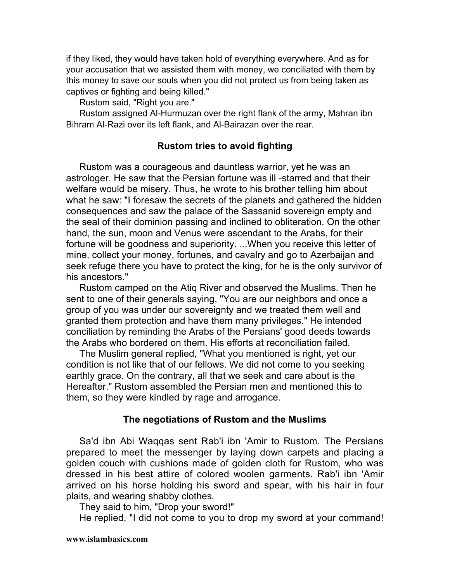if they liked, they would have taken hold of everything everywhere. And as for your accusation that we assisted them with money, we conciliated with them by this money to save our souls when you did not protect us from being taken as captives or fighting and being killed."

Rustom said, "Right you are."

Rustom assigned Al-Hurmuzan over the right flank of the army, Mahran ibn Bihram Al-Razi over its left flank, and Al-Bairazan over the rear.

## **Rustom tries to avoid fighting**

Rustom was a courageous and dauntless warrior, yet he was an astrologer. He saw that the Persian fortune was ill -starred and that their welfare would be misery. Thus, he wrote to his brother telling him about what he saw: "I foresaw the secrets of the planets and gathered the hidden consequences and saw the palace of the Sassanid sovereign empty and the seal of their dominion passing and inclined to obliteration. On the other hand, the sun, moon and Venus were ascendant to the Arabs, for their fortune will be goodness and superiority. ...When you receive this letter of mine, collect your money, fortunes, and cavalry and go to Azerbaijan and seek refuge there you have to protect the king, for he is the only survivor of his ancestors."

Rustom camped on the Atiq River and observed the Muslims. Then he sent to one of their generals saying, "You are our neighbors and once a group of you was under our sovereignty and we treated them well and granted them protection and have them many privileges." He intended conciliation by reminding the Arabs of the Persians' good deeds towards the Arabs who bordered on them. His efforts at reconciliation failed.

The Muslim general replied, "What you mentioned is right, yet our condition is not like that of our fellows. We did not come to you seeking earthly grace. On the contrary, all that we seek and care about is the Hereafter." Rustom assembled the Persian men and mentioned this to them, so they were kindled by rage and arrogance.

#### **The negotiations of Rustom and the Muslims**

Sa'd ibn Abi Waqqas sent Rab'i ibn 'Amir to Rustom. The Persians prepared to meet the messenger by laying down carpets and placing a golden couch with cushions made of golden cloth for Rustom, who was dressed in his best attire of colored woolen garments. Rab'i ibn 'Amir arrived on his horse holding his sword and spear, with his hair in four plaits, and wearing shabby clothes*.*

They said to him, "Drop your sword!"

He replied, "I did not come to you to drop my sword at your command!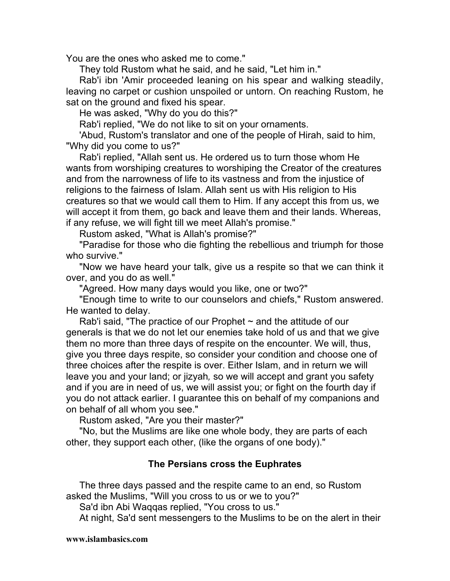You are the ones who asked me to come."

They told Rustom what he said, and he said, "Let him in."

Rab'i ibn 'Amir proceeded leaning on his spear and walking steadily, leaving no carpet or cushion unspoiled or untorn. On reaching Rustom, he sat on the ground and fixed his spear.

He was asked, "Why do you do this?"

Rab'i replied, "We do not like to sit on your ornaments.

'Abud, Rustom's translator and one of the people of Hirah, said to him, "Why did you come to us?"

Rab'i replied, "Allah sent us. He ordered us to turn those whom He wants from worshiping creatures to worshiping the Creator of the creatures and from the narrowness of life to its vastness and from the injustice of religions to the fairness of Islam. Allah sent us with His religion to His creatures so that we would call them to Him. If any accept this from us, we will accept it from them, go back and leave them and their lands. Whereas, if any refuse, we will fight till we meet Allah's promise."

Rustom asked, "What is Allah's promise?"

"Paradise for those who die fighting the rebellious and triumph for those who survive."

"Now we have heard your talk, give us a respite so that we can think it over, and you do as well."

"Agreed. How many days would you like, one or two?"

"Enough time to write to our counselors and chiefs," Rustom answered. He wanted to delay.

Rab'i said, "The practice of our Prophet  $\sim$  and the attitude of our generals is that we do not let our enemies take hold of us and that we give them no more than three days of respite on the encounter. We will, thus, give you three days respite, so consider your condition and choose one of three choices after the respite is over. Either Islam, and in return we will leave you and your land; or jizyah*,* so we will accept and grant you safety and if you are in need of us, we will assist you; or fight on the fourth day if you do not attack earlier. I guarantee this on behalf of my companions and on behalf of all whom you see."

Rustom asked, "Are you their master?"

"No, but the Muslims are like one whole body, they are parts of each other, they support each other, (like the organs of one body)."

## **The Persians cross the Euphrates**

The three days passed and the respite came to an end, so Rustom asked the Muslims, "Will you cross to us or we to you?"

Sa'd ibn Abi Waqqas replied, "You cross to us."

At night, Sa'd sent messengers to the Muslims to be on the alert in their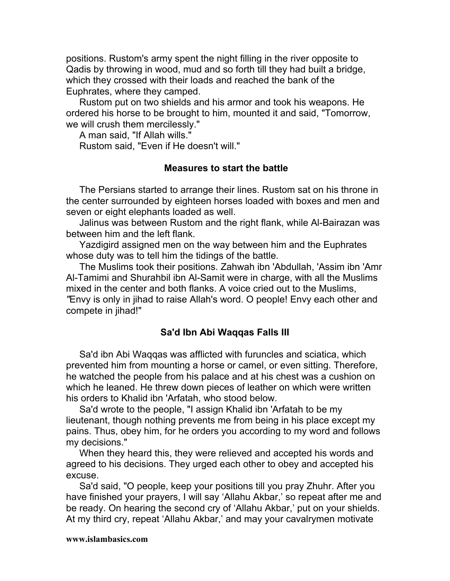positions. Rustom's army spent the night filling in the river opposite to Qadis by throwing in wood, mud and so forth till they had built a bridge, which they crossed with their loads and reached the bank of the Euphrates, where they camped.

Rustom put on two shields and his armor and took his weapons. He ordered his horse to be brought to him, mounted it and said, "Tomorrow, we will crush them mercilessly."

A man said, "If Allah wills." Rustom said, "Even if He doesn't will."

#### **Measures to start the battle**

The Persians started to arrange their lines. Rustom sat on his throne in the center surrounded by eighteen horses loaded with boxes and men and seven or eight elephants loaded as well.

Jalinus was between Rustom and the right flank, while Al-Bairazan was between him and the left flank.

Yazdigird assigned men on the way between him and the Euphrates whose duty was to tell him the tidings of the battle.

The Muslims took their positions. Zahwah ibn 'Abdullah, 'Assim ibn 'Amr Al-Tamimi and Shurahbil ibn Al-Samit were in charge, with all the Muslims mixed in the center and both flanks. A voice cried out to the Muslims, *"*Envy is only in jihad to raise Allah's word. O people! Envy each other and compete in jihad!"

## **Sa'd Ibn Abi Waqqas Falls III**

Sa'd ibn Abi Waqqas was afflicted with furuncles and sciatica, which prevented him from mounting a horse or camel, or even sitting. Therefore, he watched the people from his palace and at his chest was a cushion on which he leaned. He threw down pieces of leather on which were written his orders to Khalid ibn 'Arfatah, who stood below.

Sa'd wrote to the people, "I assign Khalid ibn 'Arfatah to be my lieutenant, though nothing prevents me from being in his place except my pains. Thus, obey him, for he orders you according to my word and follows my decisions."

When they heard this, they were relieved and accepted his words and agreed to his decisions. They urged each other to obey and accepted his excuse.

Sa'd said, "O people, keep your positions till you pray Zhuhr. After you have finished your prayers, I will say 'Allahu Akbar,' so repeat after me and be ready. On hearing the second cry of 'Allahu Akbar,' put on your shields. At my third cry, repeat 'Allahu Akbar,' and may your cavalrymen motivate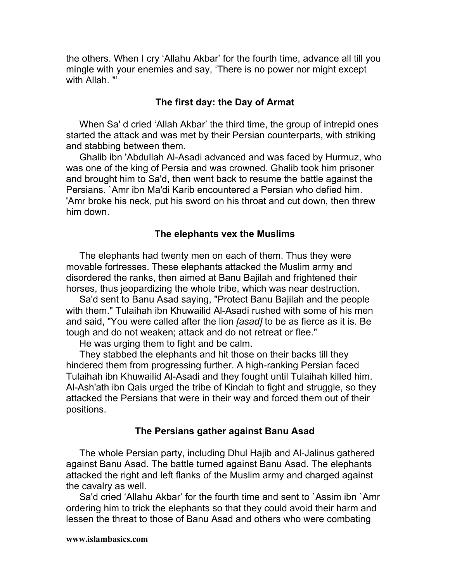the others. When I cry 'Allahu Akbar' for the fourth time, advance all till you mingle with your enemies and say, 'There is no power nor might except with Allah. "'

#### **The first day: the Day of Armat**

When Sa' d cried 'Allah Akbar' the third time, the group of intrepid ones started the attack and was met by their Persian counterparts, with striking and stabbing between them.

Ghalib ibn 'Abdullah Al-Asadi advanced and was faced by Hurmuz, who was one of the king of Persia and was crowned. Ghalib took him prisoner and brought him to Sa'd, then went back to resume the battle against the Persians. `Amr ibn Ma'di Karib encountered a Persian who defied him. 'Amr broke his neck, put his sword on his throat and cut down, then threw him down.

#### **The elephants vex the Muslims**

The elephants had twenty men on each of them. Thus they were movable fortresses. These elephants attacked the Muslim army and disordered the ranks, then aimed at Banu Bajilah and frightened their horses, thus jeopardizing the whole tribe, which was near destruction.

Sa'd sent to Banu Asad saying, "Protect Banu Bajilah and the people with them." Tulaihah ibn Khuwailid Al-Asadi rushed with some of his men and said, "You were called after the lion *[asad]* to be as fierce as it is. Be tough and do not weaken; attack and do not retreat or flee."

He was urging them to fight and be calm.

They stabbed the elephants and hit those on their backs till they hindered them from progressing further. A high-ranking Persian faced Tulaihah ibn Khuwailid Al-Asadi and they fought until Tulaihah killed him. Al-Ash'ath ibn Qais urged the tribe of Kindah to fight and struggle, so they attacked the Persians that were in their way and forced them out of their positions.

#### **The Persians gather against Banu Asad**

The whole Persian party, including Dhul Hajib and Al-Jalinus gathered against Banu Asad. The battle turned against Banu Asad. The elephants attacked the right and left flanks of the Muslim army and charged against the cavalry as well.

Sa'd cried 'Allahu Akbar' for the fourth time and sent to `Assim ibn `Amr ordering him to trick the elephants so that they could avoid their harm and lessen the threat to those of Banu Asad and others who were combating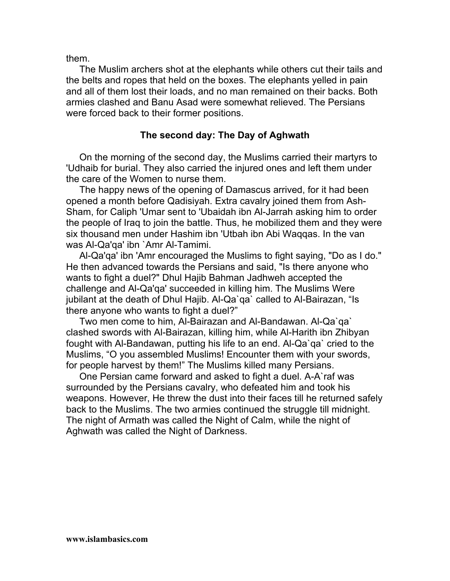them.

The Muslim archers shot at the elephants while others cut their tails and the belts and ropes that held on the boxes. The elephants yelled in pain and all of them lost their loads, and no man remained on their backs. Both armies clashed and Banu Asad were somewhat relieved. The Persians were forced back to their former positions.

# **The second day: The Day of Aghwath**

On the morning of the second day, the Muslims carried their martyrs to 'Udhaib for burial. They also carried the injured ones and left them under the care of the Women to nurse them.

The happy news of the opening of Damascus arrived, for it had been opened a month before Qadisiyah. Extra cavalry joined them from Ash-Sham, for Caliph 'Umar sent to 'Ubaidah ibn Al-Jarrah asking him to order the people of Iraq to join the battle. Thus, he mobilized them and they were six thousand men under Hashim ibn 'Utbah ibn Abi Waqqas. In the van was Al-Qa'qa' ibn `Amr Al-Tamimi.

Al-Qa'qa' ibn 'Amr encouraged the Muslims to fight saying, "Do as I do." He then advanced towards the Persians and said, "Is there anyone who wants to fight a duel?" Dhul Hajib Bahman Jadhweh accepted the challenge and Al-Qa'qa' succeeded in killing him. The Muslims Were jubilant at the death of Dhul Hajib. Al-Qa`qa` called to Al-Bairazan, "Is there anyone who wants to fight a duel?"

Two men come to him, Al-Bairazan and Al-Bandawan. Al-Qa`qa` clashed swords with Al-Bairazan, killing him, while Al-Harith ibn Zhibyan fought with Al-Bandawan, putting his life to an end. Al-Qa`qa` cried to the Muslims, "O you assembled Muslims! Encounter them with your swords, for people harvest by them!" The Muslims killed many Persians.

One Persian came forward and asked to fight a duel. A-A`raf was surrounded by the Persians cavalry, who defeated him and took his weapons. However, He threw the dust into their faces till he returned safely back to the Muslims. The two armies continued the struggle till midnight. The night of Armath was called the Night of Calm, while the night of Aghwath was called the Night of Darkness.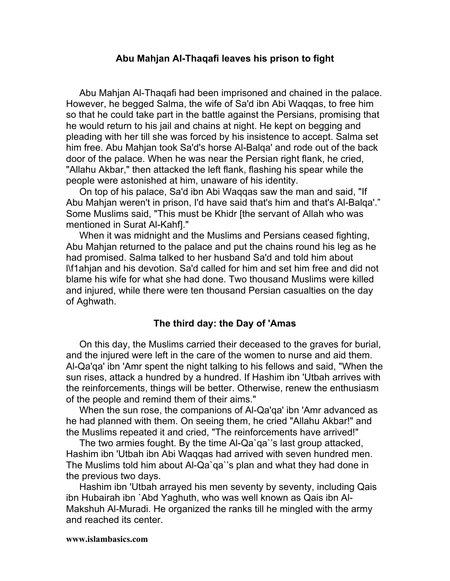#### **Abu Mahjan AI-Thaqafi leaves his prison to fight**

Abu Mahjan Al-Thaqafi had been imprisoned and chained in the palace. However, he begged Salma, the wife of Sa'd ibn Abi Waqqas, to free him so that he could take part in the battle against the Persians, promising that he would return to his jail and chains at night. He kept on begging and pleading with her till she was forced by his insistence to accept. Salma set him free. Abu Mahjan took Sa'd's horse Al-Balqa' and rode out of the back door of the palace. When he was near the Persian right flank, he cried, "Allahu Akbar," then attacked the left flank, flashing his spear while the people were astonished at him, unaware of his identity.

On top of his palace, Sa'd ibn Abi Waqqas saw the man and said, "If Abu Mahjan weren't in prison, I'd have said that's him and that's Al-Balqa'." Some Muslims said, "This must be Khidr [the servant of Allah who was mentioned in Surat Al-Kahf]."

When it was midnight and the Muslims and Persians ceased fighting, Abu Mahjan returned to the palace and put the chains round his leg as he had promised. Salma talked to her husband Sa'd and told him about l\f1ahjan and his devotion. Sa'd called for him and set him free and did not blame his wife for what she had done. Two thousand Muslims were killed and injured, while there were ten thousand Persian casualties on the day of Aghwath.

#### **The third day: the Day of 'Amas**

On this day, the Muslims carried their deceased to the graves for burial, and the injured were left in the care of the women to nurse and aid them. Al-Qa'qa' ibn 'Amr spent the night talking to his fellows and said, "When the sun rises, attack a hundred by a hundred. If Hashim ibn 'Utbah arrives with the reinforcements, things will be better. Otherwise, renew the enthusiasm of the people and remind them of their aims."

When the sun rose, the companions of Al-Qa'qa' ibn 'Amr advanced as he had planned with them. On seeing them, he cried "Allahu Akbar!" and the Muslims repeated it and cried, "The reinforcements have arrived!"

The two armies fought. By the time Al-Qa`qa`'s last group attacked, Hashim ibn 'Utbah ibn Abi Waqqas had arrived with seven hundred men. The Muslims told him about Al-Qa`qa`'s plan and what they had done in the previous two days.

Hashim ibn 'Utbah arrayed his men seventy by seventy, including Qais ibn Hubairah ibn `Abd Yaghuth, who was well known as Qais ibn Al-Makshuh Al-Muradi. He organized the ranks till he mingled with the army and reached its center.

#### **www.islambasics.com**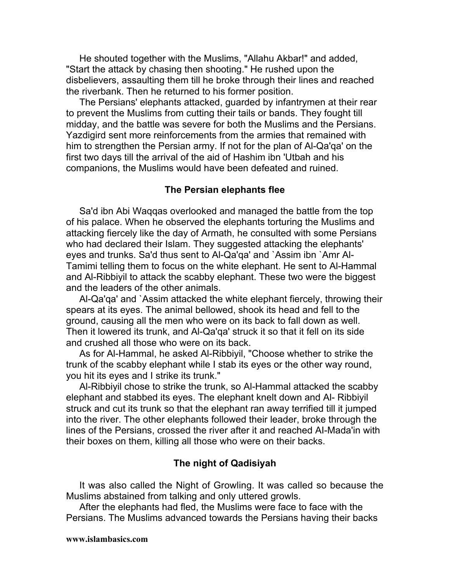He shouted together with the Muslims, "Allahu Akbar!" and added, "Start the attack by chasing then shooting." He rushed upon the disbelievers, assaulting them till he broke through their lines and reached the riverbank. Then he returned to his former position.

The Persians' elephants attacked, guarded by infantrymen at their rear to prevent the Muslims from cutting their tails or bands. They fought till midday, and the battle was severe for both the Muslims and the Persians. Yazdigird sent more reinforcements from the armies that remained with him to strengthen the Persian army. If not for the plan of Al-Qa'qa' on the first two days till the arrival of the aid of Hashim ibn 'Utbah and his companions, the Muslims would have been defeated and ruined.

#### **The Persian elephants flee**

Sa'd ibn Abi Waqqas overlooked and managed the battle from the top of his palace. When he observed the elephants torturing the Muslims and attacking fiercely like the day of Armath, he consulted with some Persians who had declared their Islam. They suggested attacking the elephants' eyes and trunks. Sa'd thus sent to Al-Qa'qa' and `Assim ibn `Amr Al-Tamimi telling them to focus on the white elephant. He sent to Al-Hammal and Al-Ribbiyil to attack the scabby elephant. These two were the biggest and the leaders of the other animals.

Al-Qa'qa' and `Assim attacked the white elephant fiercely, throwing their spears at its eyes. The animal bellowed, shook its head and fell to the ground, causing all the men who were on its back to fall down as well. Then it lowered its trunk, and Al-Qa'qa' struck it so that it fell on its side and crushed all those who were on its back.

As for Al-Hammal, he asked Al-Ribbiyil, "Choose whether to strike the trunk of the scabby elephant while I stab its eyes or the other way round, you hit its eyes and I strike its trunk."

Al-Ribbiyil chose to strike the trunk, so Al-Hammal attacked the scabby elephant and stabbed its eyes. The elephant knelt down and Al- Ribbiyil struck and cut its trunk so that the elephant ran away terrified till it jumped into the river. The other elephants followed their leader, broke through the lines of the Persians, crossed the river after it and reached AI-Mada'in with their boxes on them, killing all those who were on their backs.

#### **The night of Qadisiyah**

It was also called the Night of Growling. It was called so because the Muslims abstained from talking and only uttered growls.

After the elephants had fled, the Muslims were face to face with the Persians. The Muslims advanced towards the Persians having their backs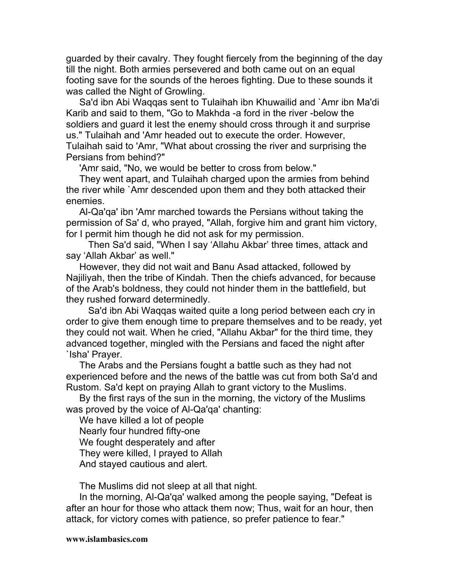guarded by their cavalry. They fought fiercely from the beginning of the day till the night. Both armies persevered and both came out on an equal footing save for the sounds of the heroes fighting. Due to these sounds it was called the Night of Growling.

Sa'd ibn Abi Waqqas sent to Tulaihah ibn Khuwailid and `Amr ibn Ma'di Karib and said to them, "Go to Makhda -a ford in the river -below the soldiers and guard it lest the enemy should cross through it and surprise us." Tulaihah and 'Amr headed out to execute the order. However, Tulaihah said to 'Amr, "What about crossing the river and surprising the Persians from behind?"

'Amr said, "No, we would be better to cross from below."

They went apart, and Tulaihah charged upon the armies from behind the river while `Amr descended upon them and they both attacked their enemies.

Al-Qa'qa' ibn 'Amr marched towards the Persians without taking the permission of Sa' d, who prayed, "Allah, forgive him and grant him victory, for I permit him though he did not ask for my permission.

Then Sa'd said, "When I say 'Allahu Akbar' three times, attack and say 'Allah Akbar' as well."

However, they did not wait and Banu Asad attacked, followed by Najiliyah, then the tribe of Kindah. Then the chiefs advanced, for because of the Arab's boldness, they could not hinder them in the battlefield, but they rushed forward determinedly.

Sa'd ibn Abi Waqqas waited quite a long period between each cry in order to give them enough time to prepare themselves and to be ready, yet they could not wait. When he cried, "Allahu Akbar" for the third time, they advanced together, mingled with the Persians and faced the night after `Isha' Prayer.

The Arabs and the Persians fought a battle such as they had not experienced before and the news of the battle was cut from both Sa'd and Rustom. Sa'd kept on praying Allah to grant victory to the Muslims.

By the first rays of the sun in the morning, the victory of the Muslims was proved by the voice of Al-Qa'qa' chanting:

We have killed a lot of people Nearly four hundred fifty-one We fought desperately and after They were killed, I prayed to Allah And stayed cautious and alert.

The Muslims did not sleep at all that night.

In the morning, Al-Qa'qa' walked among the people saying, "Defeat is after an hour for those who attack them now; Thus, wait for an hour, then attack, for victory comes with patience, so prefer patience to fear."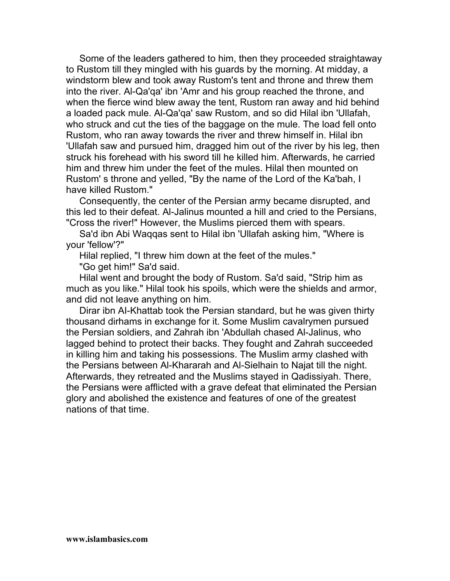Some of the leaders gathered to him, then they proceeded straightaway to Rustom till they mingled with his guards by the morning. At midday, a windstorm blew and took away Rustom's tent and throne and threw them into the river. Al-Qa'qa' ibn 'Amr and his group reached the throne, and when the fierce wind blew away the tent, Rustom ran away and hid behind a loaded pack mule. Al-Qa'qa' saw Rustom, and so did Hilal ibn 'Ullafah, who struck and cut the ties of the baggage on the mule. The load fell onto Rustom, who ran away towards the river and threw himself in. Hilal ibn 'Ullafah saw and pursued him, dragged him out of the river by his leg, then struck his forehead with his sword till he killed him. Afterwards, he carried him and threw him under the feet of the mules. Hilal then mounted on Rustom' s throne and yelled, "By the name of the Lord of the Ka'bah, I have killed Rustom."

Consequently, the center of the Persian army became disrupted, and this led to their defeat. Al-Jalinus mounted a hill and cried to the Persians, "Cross the river!" However, the Muslims pierced them with spears.

Sa'd ibn Abi Waqqas sent to Hilal ibn 'Ullafah asking him, "Where is your 'fellow'?"

Hilal replied, "I threw him down at the feet of the mules."

"Go get him!" Sa'd said.

Hilal went and brought the body of Rustom. Sa'd said, "Strip him as much as you like." Hilal took his spoils, which were the shields and armor, and did not leave anything on him.

Dirar ibn AI-Khattab took the Persian standard, but he was given thirty thousand dirhams in exchange for it. Some Muslim cavalrymen pursued the Persian soldiers, and Zahrah ibn 'Abdullah chased Al-Jalinus, who lagged behind to protect their backs. They fought and Zahrah succeeded in killing him and taking his possessions. The Muslim army clashed with the Persians between Al-Khararah and Al-Sielhain to Najat till the night. Afterwards, they retreated and the Muslims stayed in Qadissiyah. There, the Persians were afflicted with a grave defeat that eliminated the Persian glory and abolished the existence and features of one of the greatest nations of that time.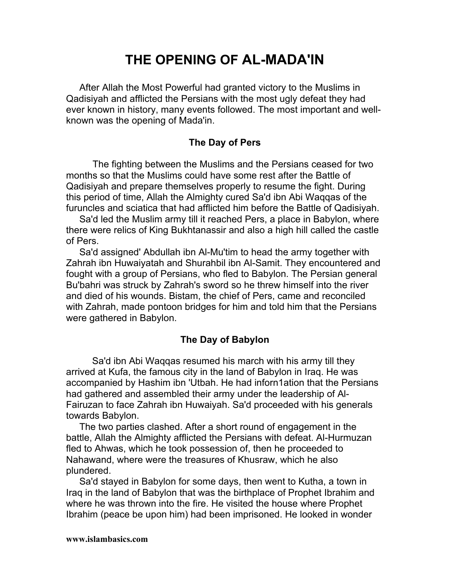# **THE OPENING OF AL-MADA'IN**

After Allah the Most Powerful had granted victory to the Muslims in Qadisiyah and afflicted the Persians with the most ugly defeat they had ever known in history, many events followed. The most important and wellknown was the opening of Mada'in.

# **The Day of Pers**

The fighting between the Muslims and the Persians ceased for two months so that the Muslims could have some rest after the Battle of Qadisiyah and prepare themselves properly to resume the fight. During this period of time, Allah the Almighty cured Sa'd ibn Abi Waqqas of the furuncles and sciatica that had afflicted him before the Battle of Qadisiyah.

Sa'd led the Muslim army till it reached Pers, a place in Babylon, where there were relics of King Bukhtanassir and also a high hill called the castle of Pers.

Sa'd assigned' Abdullah ibn Al-Mu'tim to head the army together with Zahrah ibn Huwaiyatah and Shurahbil ibn Al-Samit. They encountered and fought with a group of Persians, who fled to Babylon. The Persian general Bu'bahri was struck by Zahrah's sword so he threw himself into the river and died of his wounds. Bistam, the chief of Pers, came and reconciled with Zahrah, made pontoon bridges for him and told him that the Persians were gathered in Babylon.

## **The Day of Babylon**

Sa'd ibn Abi Waqqas resumed his march with his army till they arrived at Kufa, the famous city in the land of Babylon in Iraq. He was accompanied by Hashim ibn 'Utbah. He had inforn1ation that the Persians had gathered and assembled their army under the leadership of Al-Fairuzan to face Zahrah ibn Huwaiyah. Sa'd proceeded with his generals towards Babylon.

The two parties clashed. After a short round of engagement in the battle, Allah the Almighty afflicted the Persians with defeat. Al-Hurmuzan fled to Ahwas, which he took possession of, then he proceeded to Nahawand, where were the treasures of Khusraw, which he also plundered.

Sa'd stayed in Babylon for some days, then went to Kutha, a town in Iraq in the land of Babylon that was the birthplace of Prophet Ibrahim and where he was thrown into the fire. He visited the house where Prophet Ibrahim (peace be upon him) had been imprisoned. He looked in wonder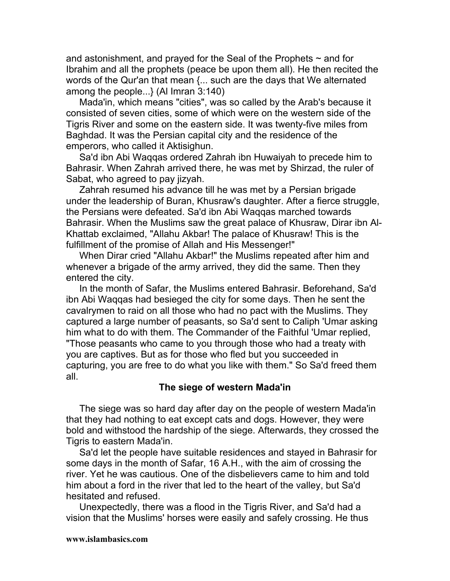and astonishment, and prayed for the Seal of the Prophets  $\sim$  and for Ibrahim and all the prophets (peace be upon them all). He then recited the words of the Qur'an that mean {... such are the days that We alternated among the people...} (Al Imran 3:140)

Mada'in, which means "cities", was so called by the Arab's because it consisted of seven cities, some of which were on the western side of the Tigris River and some on the eastern side. It was twenty-five miles from Baghdad. It was the Persian capital city and the residence of the emperors, who called it Aktisighun.

Sa'd ibn Abi Waqqas ordered Zahrah ibn Huwaiyah to precede him to Bahrasir. When Zahrah arrived there, he was met by Shirzad, the ruler of Sabat, who agreed to pay jizyah.

Zahrah resumed his advance till he was met by a Persian brigade under the leadership of Buran, Khusraw's daughter. After a fierce struggle, the Persians were defeated. Sa'd ibn Abi Waqqas marched towards Bahrasir. When the Muslims saw the great palace of Khusraw, Dirar ibn Al-Khattab exclaimed, "Allahu Akbar! The palace of Khusraw! This is the fulfillment of the promise of Allah and His Messenger!"

When Dirar cried "Allahu Akbar!" the Muslims repeated after him and whenever a brigade of the army arrived, they did the same. Then they entered the city.

In the month of Safar, the Muslims entered Bahrasir. Beforehand, Sa'd ibn Abi Waqqas had besieged the city for some days. Then he sent the cavalrymen to raid on all those who had no pact with the Muslims. They captured a large number of peasants, so Sa'd sent to Caliph 'Umar asking him what to do with them. The Commander of the Faithful 'Umar replied, "Those peasants who came to you through those who had a treaty with you are captives. But as for those who fled but you succeeded in capturing, you are free to do what you like with them." So Sa'd freed them all.

#### **The siege of western Mada'in**

The siege was so hard day after day on the people of western Mada'in that they had nothing to eat except cats and dogs. However, they were bold and withstood the hardship of the siege. Afterwards, they crossed the Tigris to eastern Mada'in.

Sa'd let the people have suitable residences and stayed in Bahrasir for some days in the month of Safar, 16 A.H., with the aim of crossing the river. Yet he was cautious. One of the disbelievers came to him and told him about a ford in the river that led to the heart of the valley, but Sa'd hesitated and refused.

Unexpectedly, there was a flood in the Tigris River, and Sa'd had a vision that the Muslims' horses were easily and safely crossing. He thus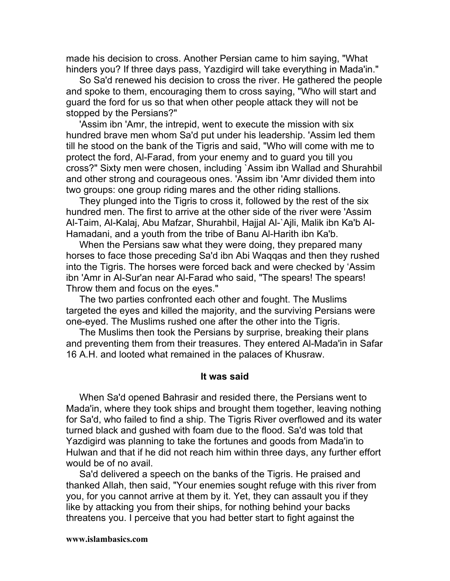made his decision to cross. Another Persian came to him saying, "What hinders you? If three days pass, Yazdigird will take everything in Mada'in."

So Sa'd renewed his decision to cross the river. He gathered the people and spoke to them, encouraging them to cross saying, "Who will start and guard the ford for us so that when other people attack they will not be stopped by the Persians?"

'Assim ibn 'Amr, the intrepid, went to execute the mission with six hundred brave men whom Sa'd put under his leadership. 'Assim led them till he stood on the bank of the Tigris and said, "Who will come with me to protect the ford, Al-Farad, from your enemy and to guard you till you cross?" Sixty men were chosen, including `Assim ibn Wallad and Shurahbil and other strong and courageous ones. 'Assim ibn 'Amr divided them into two groups: one group riding mares and the other riding stallions.

They plunged into the Tigris to cross it, followed by the rest of the six hundred men. The first to arrive at the other side of the river were 'Assim Al-Taim, Al-Kalaj, Abu Mafzar, Shurahbil, Hajjal Al-`Ajli, Malik ibn Ka'b Al-Hamadani, and a youth from the tribe of Banu Al-Harith ibn Ka'b.

When the Persians saw what they were doing, they prepared many horses to face those preceding Sa'd ibn Abi Waqqas and then they rushed into the Tigris. The horses were forced back and were checked by 'Assim ibn 'Amr in Al-Sur'an near Al-Farad who said, "The spears! The spears! Throw them and focus on the eyes."

The two parties confronted each other and fought. The Muslims targeted the eyes and killed the majority, and the surviving Persians were one-eyed. The Muslims rushed one after the other into the Tigris.

The Muslims then took the Persians by surprise, breaking their plans and preventing them from their treasures. They entered Al-Mada'in in Safar 16 A.H. and looted what remained in the palaces of Khusraw.

#### **It was said**

When Sa'd opened Bahrasir and resided there, the Persians went to Mada'in, where they took ships and brought them together, leaving nothing for Sa'd, who failed to find a ship. The Tigris River overflowed and its water turned black and gushed with foam due to the flood. Sa'd was told that Yazdigird was planning to take the fortunes and goods from Mada'in to Hulwan and that if he did not reach him within three days, any further effort would be of no avail.

Sa'd delivered a speech on the banks of the Tigris. He praised and thanked Allah, then said, "Your enemies sought refuge with this river from you, for you cannot arrive at them by it. Yet, they can assault you if they like by attacking you from their ships, for nothing behind your backs threatens you. I perceive that you had better start to fight against the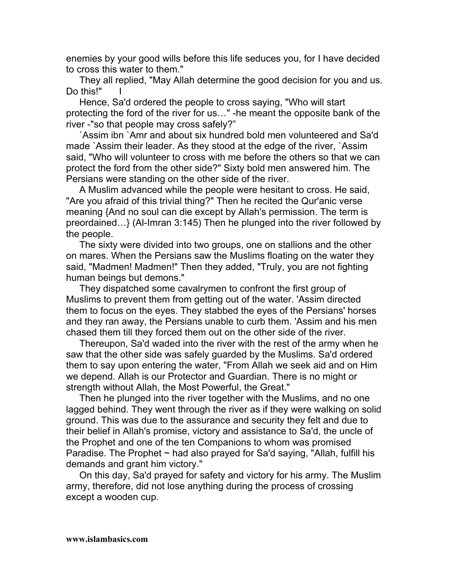enemies by your good wills before this life seduces you, for I have decided to cross this water to them."

They all replied, "May Allah determine the good decision for you and us. Do this!"

Hence, Sa'd ordered the people to cross saying, "Who will start protecting the ford of the river for us…" -he meant the opposite bank of the river -"so that people may cross safely?"

`Assim ibn `Amr and about six hundred bold men volunteered and Sa'd made `Assim their leader. As they stood at the edge of the river, `Assim said, "Who will volunteer to cross with me before the others so that we can protect the ford from the other side?" Sixty bold men answered him. The Persians were standing on the other side of the river.

A Muslim advanced while the people were hesitant to cross. He said, "Are you afraid of this trivial thing?" Then he recited the Qur'anic verse meaning {And no soul can die except by Allah's permission. The term is preordained…} (Al-Imran 3:145) Then he plunged into the river followed by the people.

The sixty were divided into two groups, one on stallions and the other on mares. When the Persians saw the Muslims floating on the water they said, "Madmen! Madmen!" Then they added, "Truly, you are not fighting human beings but demons."

They dispatched some cavalrymen to confront the first group of Muslims to prevent them from getting out of the water. 'Assim directed them to focus on the eyes. They stabbed the eyes of the Persians' horses and they ran away, the Persians unable to curb them. 'Assim and his men chased them till they forced them out on the other side of the river.

Thereupon, Sa'd waded into the river with the rest of the army when he saw that the other side was safely guarded by the Muslims. Sa'd ordered them to say upon entering the water, "From Allah we seek aid and on Him we depend. Allah is our Protector and Guardian. There is no might or strength without Allah, the Most Powerful, the Great."

Then he plunged into the river together with the Muslims, and no one lagged behind. They went through the river as if they were walking on solid ground. This was due to the assurance and security they felt and due to their belief in Allah's promise, victory and assistance to Sa'd, the uncle of the Prophet and one of the ten Companions to whom was promised Paradise. The Prophet  $\sim$  had also prayed for Sa'd saying, "Allah, fulfill his demands and grant him victory."

On this day, Sa'd prayed for safety and victory for his army. The Muslim army, therefore, did not lose anything during the process of crossing except a wooden cup.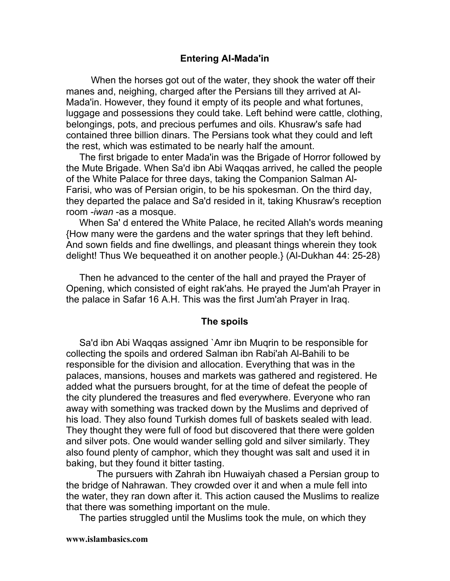### **Entering AI-Mada'in**

When the horses got out of the water, they shook the water off their manes and, neighing, charged after the Persians till they arrived at Al-Mada'in. However, they found it empty of its people and what fortunes, luggage and possessions they could take. Left behind were cattle, clothing, belongings, pots, and precious perfumes and oils. Khusraw's safe had contained three billion dinars. The Persians took what they could and left the rest, which was estimated to be nearly half the amount.

The first brigade to enter Mada'in was the Brigade of Horror followed by the Mute Brigade. When Sa'd ibn Abi Waqqas arrived, he called the people of the White Palace for three days, taking the Companion Salman Al-Farisi, who was of Persian origin, to be his spokesman. On the third day, they departed the palace and Sa'd resided in it, taking Khusraw's reception room *-iwan* -as a mosque.

When Sa' d entered the White Palace, he recited Allah's words meaning {How many were the gardens and the water springs that they left behind. And sown fields and fine dwellings, and pleasant things wherein they took delight! Thus We bequeathed it on another people.} (Al-Dukhan 44: 25-28)

Then he advanced to the center of the hall and prayed the Prayer of Opening, which consisted of eight rak'ahs*.* He prayed the Jum'ah Prayer in the palace in Safar 16 A.H. This was the first Jum'ah Prayer in Iraq.

#### **The spoils**

Sa'd ibn Abi Waqqas assigned `Amr ibn Muqrin to be responsible for collecting the spoils and ordered Salman ibn Rabi'ah Al-Bahili to be responsible for the division and allocation. Everything that was in the palaces, mansions, houses and markets was gathered and registered. He added what the pursuers brought, for at the time of defeat the people of the city plundered the treasures and fled everywhere. Everyone who ran away with something was tracked down by the Muslims and deprived of his load. They also found Turkish domes full of baskets sealed with lead. They thought they were full of food but discovered that there were golden and silver pots. One would wander selling gold and silver similarly. They also found plenty of camphor, which they thought was salt and used it in baking, but they found it bitter tasting.

The pursuers with Zahrah ibn Huwaiyah chased a Persian group to the bridge of Nahrawan. They crowded over it and when a mule fell into the water, they ran down after it. This action caused the Muslims to realize that there was something important on the mule.

The parties struggled until the Muslims took the mule, on which they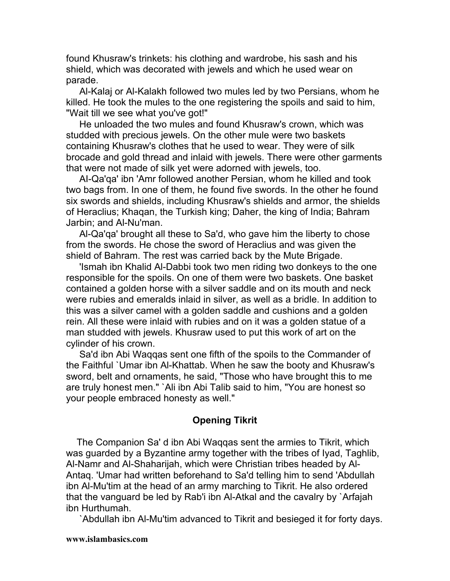found Khusraw's trinkets: his clothing and wardrobe, his sash and his shield, which was decorated with jewels and which he used wear on parade.

Al-Kalaj or Al-Kalakh followed two mules led by two Persians, whom he killed. He took the mules to the one registering the spoils and said to him, "Wait till we see what you've got!"

He unloaded the two mules and found Khusraw's crown, which was studded with precious jewels. On the other mule were two baskets containing Khusraw's clothes that he used to wear. They were of silk brocade and gold thread and inlaid with jewels. There were other garments that were not made of silk yet were adorned with jewels, too.

AI-Qa'qa' ibn 'Amr followed another Persian, whom he killed and took two bags from. In one of them, he found five swords. In the other he found six swords and shields, including Khusraw's shields and armor, the shields of Heraclius; Khaqan, the Turkish king; Daher, the king of India; Bahram Jarbin; and Al-Nu'man.

Al-Qa'qa' brought all these to Sa'd, who gave him the liberty to chose from the swords. He chose the sword of Heraclius and was given the shield of Bahram. The rest was carried back by the Mute Brigade.

'Ismah ibn Khalid Al-Dabbi took two men riding two donkeys to the one responsible for the spoils. On one of them were two baskets. One basket contained a golden horse with a silver saddle and on its mouth and neck were rubies and emeralds inlaid in silver, as well as a bridle. In addition to this was a silver camel with a golden saddle and cushions and a golden rein. All these were inlaid with rubies and on it was a golden statue of a man studded with jewels. Khusraw used to put this work of art on the cylinder of his crown.

Sa'd ibn Abi Waqqas sent one fifth of the spoils to the Commander of the Faithful `Umar ibn Al-Khattab. When he saw the booty and Khusraw's sword, belt and ornaments, he said, "Those who have brought this to me are truly honest men." `Ali ibn Abi Talib said to him, "You are honest so your people embraced honesty as well."

# **Opening Tikrit**

The Companion Sa' d ibn Abi Waqqas sent the armies to Tikrit, which was guarded by a Byzantine army together with the tribes of Iyad, Taghlib, Al-Namr and Al-Shaharijah, which were Christian tribes headed by Al-Antaq. 'Umar had written beforehand to Sa'd telling him to send 'Abdullah ibn Al-Mu'tim at the head of an army marching to Tikrit. He also ordered that the vanguard be led by Rab'i ibn Al-Atkal and the cavalry by `Arfajah ibn Hurthumah.

`Abdullah ibn Al-Mu'tim advanced to Tikrit and besieged it for forty days.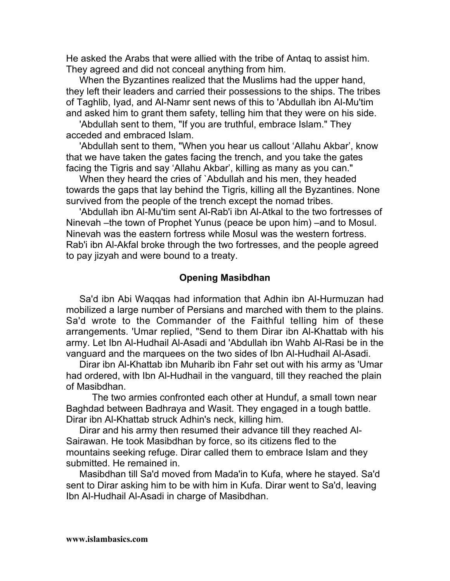He asked the Arabs that were allied with the tribe of Antaq to assist him. They agreed and did not conceal anything from him.

When the Byzantines realized that the Muslims had the upper hand, they left their leaders and carried their possessions to the ships. The tribes of Taghlib, Iyad, and Al-Namr sent news of this to 'Abdullah ibn Al-Mu'tim and asked him to grant them safety, telling him that they were on his side.

'Abdullah sent to them, "If you are truthful, embrace Islam." They acceded and embraced Islam.

'Abdullah sent to them, "When you hear us callout 'Allahu Akbar', know that we have taken the gates facing the trench, and you take the gates facing the Tigris and say 'Allahu Akbar', killing as many as you can."

When they heard the cries of `Abdullah and his men, they headed towards the gaps that lay behind the Tigris, killing all the Byzantines. None survived from the people of the trench except the nomad tribes.

'Abdullah ibn Al-Mu'tim sent Al-Rab'i ibn Al-Atkal to the two fortresses of Ninevah –the town of Prophet Yunus (peace be upon him) –and to Mosul. Ninevah was the eastern fortress while Mosul was the western fortress. Rab'i ibn Al-Akfal broke through the two fortresses, and the people agreed to pay jizyah and were bound to a treaty.

#### **Opening Masibdhan**

Sa'd ibn Abi Waqqas had information that Adhin ibn Al-Hurmuzan had mobilized a large number of Persians and marched with them to the plains. Sa'd wrote to the Commander of the Faithful telling him of these arrangements. 'Umar replied, "Send to them Dirar ibn Al-Khattab with his army. Let Ibn Al-Hudhail Al-Asadi and 'Abdullah ibn Wahb Al-Rasi be in the vanguard and the marquees on the two sides of Ibn Al-Hudhail Al-Asadi.

Dirar ibn Al-Khattab ibn Muharib ibn Fahr set out with his army as 'Umar had ordered, with Ibn Al-Hudhail in the vanguard, till they reached the plain of Masibdhan.

The two armies confronted each other at Hunduf, a small town near Baghdad between Badhraya and Wasit. They engaged in a tough battle. Dirar ibn Al-Khattab struck Adhin's neck, killing him.

Dirar and his army then resumed their advance till they reached Al-Sairawan. He took Masibdhan by force, so its citizens fled to the mountains seeking refuge. Dirar called them to embrace Islam and they submitted. He remained in.

Masibdhan till Sa'd moved from Mada'in to Kufa, where he stayed. Sa'd sent to Dirar asking him to be with him in Kufa. Dirar went to Sa'd, leaving Ibn Al-Hudhail Al-Asadi in charge of Masibdhan.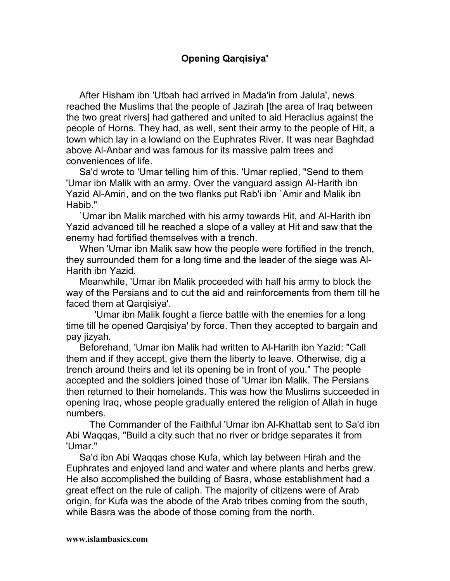# **Opening Qarqisiya'**

After Hisham ibn 'Utbah had arrived in Mada'in from Jalula', news reached the Muslims that the people of Jazirah [the area of Iraq between the two great rivers] had gathered and united to aid Heraclius against the people of Horns. They had, as well, sent their army to the people of Hit, a town which lay in a lowland on the Euphrates River. It was near Baghdad above Al-Anbar and was famous for its massive palm trees and conveniences of life.

Sa'd wrote to 'Umar telling him of this. 'Umar replied, "Send to them 'Umar ibn Malik with an army. Over the vanguard assign Al-Harith ibn Yazid Al-Amiri, and on the two flanks put Rab'i ibn `Amir and Malik ibn Habib."

`Umar ibn Malik marched with his army towards Hit, and Al-Harith ibn Yazid advanced till he reached a slope of a valley at Hit and saw that the enemy had fortified themselves with a trench.

When 'Umar ibn Malik saw how the people were fortified in the trench, they surrounded them for a long time and the leader of the siege was Al-Harith ibn Yazid.

Meanwhile, 'Umar ibn Malik proceeded with half his army to block the way of the Persians and to cut the aid and reinforcements from them till he faced them at Qarqisiya'.

'Umar ibn Malik fought a fierce battle with the enemies for a long time till he opened Qarqisiya' by force. Then they accepted to bargain and pay jizyah*.*

Beforehand, 'Umar ibn Malik had written to Al-Harith ibn Yazid: "Call them and if they accept, give them the liberty to leave. Otherwise, dig a trench around theirs and let its opening be in front of you." The people accepted and the soldiers joined those of 'Umar ibn Malik. The Persians then returned to their homelands. This was how the Muslims succeeded in opening Iraq, whose people gradually entered the religion of Allah in huge numbers.

The Commander of the Faithful 'Umar ibn Al-Khattab sent to Sa'd ibn Abi Waqqas, "Build a city such that no river or bridge separates it from 'Umar."

Sa'd ibn Abi Waqqas chose Kufa, which lay between Hirah and the Euphrates and enjoyed land and water and where plants and herbs grew. He also accomplished the building of Basra, whose establishment had a great effect on the rule of caliph. The majority of citizens were of Arab origin, for Kufa was the abode of the Arab tribes coming from the south, while Basra was the abode of those coming from the north.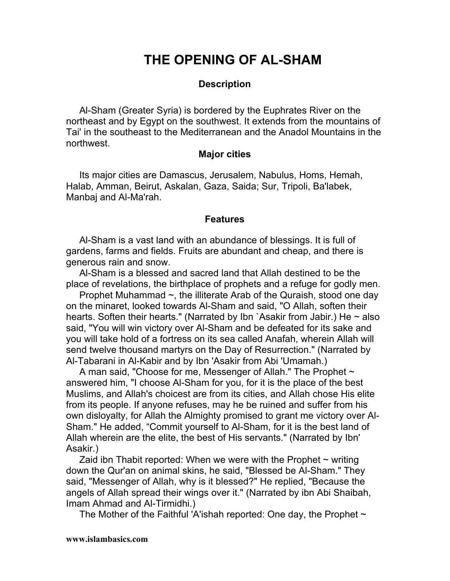# **THE OPENING OF AL-SHAM**

### **Description**

Al-Sham (Greater Syria) is bordered by the Euphrates River on the northeast and by Egypt on the southwest. It extends from the mountains of Tai' in the southeast to the Mediterranean and the Anadol Mountains in the northwest.

#### **Major cities**

Its major cities are Damascus, Jerusalem, Nabulus, Homs, Hemah, Halab, Amman, Beirut, Askalan, Gaza, Saida; Sur, Tripoli, Ba'labek, Manbaj and Al-Ma'rah.

#### **Features**

Al-Sham is a vast land with an abundance of blessings. It is full of gardens, farms and fields. Fruits are abundant and cheap, and there is generous rain and snow.

Al-Sham is a blessed and sacred land that Allah destined to be the place of revelations, the birthplace of prophets and a refuge for godly men.

Prophet Muhammad ~, the illiterate Arab of the Quraish, stood one day on the minaret, looked towards Al-Sham and said, "O Allah, soften their hearts. Soften their hearts." (Narrated by Ibn `Asakir from Jabir.) He  $\sim$  also said, "You will win victory over Al-Sham and be defeated for its sake and you will take hold of a fortress on its sea called Anafah, wherein Allah will send twelve thousand martyrs on the Day of Resurrection." (Narrated by Al-Tabarani in Al-Kabir and by Ibn 'Asakir from Abi 'Umamah.)

A man said, "Choose for me, Messenger of Allah." The Prophet  $\sim$ answered him, "I choose Al-Sham for you, for it is the place of the best Muslims, and Allah's choicest are from its cities, and Allah chose His elite from its people. If anyone refuses, may he be ruined and suffer from his own disloyalty, for Allah the Almighty promised to grant me victory over Al-Sham." He added, "Commit yourself to Al-Sham, for it is the best land of Allah wherein are the elite, the best of His servants." (Narrated by Ibn' Asakir.)

Zaid ibn Thabit reported: When we were with the Prophet  $\sim$  writing down the Qur'an on animal skins, he said, "Blessed be Al-Sham." They said, "Messenger of Allah, why is it blessed?" He replied, "Because the angels of Allah spread their wings over it." (Narrated by ibn Abi Shaibah, Imam Ahmad and Al-Tirmidhi.)

The Mother of the Faithful 'A'ishah reported: One day, the Prophet  $\sim$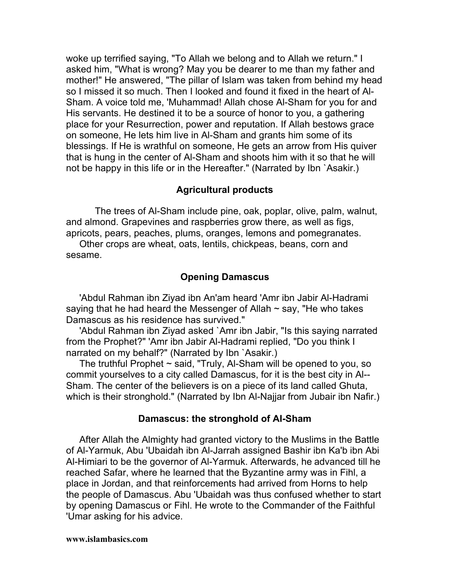woke up terrified saying, "To Allah we belong and to Allah we return." I asked him, "What is wrong? May you be dearer to me than my father and mother!" He answered, "The pillar of Islam was taken from behind my head so I missed it so much. Then I looked and found it fixed in the heart of Al-Sham. A voice told me, 'Muhammad! Allah chose Al-Sham for you for and His servants. He destined it to be a source of honor to you, a gathering place for your Resurrection, power and reputation. If Allah bestows grace on someone, He lets him live in Al-Sham and grants him some of its blessings. If He is wrathful on someone, He gets an arrow from His quiver that is hung in the center of Al-Sham and shoots him with it so that he will not be happy in this life or in the Hereafter." (Narrated by Ibn `Asakir.)

# **Agricultural products**

The trees of Al-Sham include pine, oak, poplar, olive, palm, walnut, and almond. Grapevines and raspberries grow there, as well as figs, apricots, pears, peaches, plums, oranges, lemons and pomegranates.

Other crops are wheat, oats, lentils, chickpeas, beans, corn and sesame.

# **Opening Damascus**

'Abdul Rahman ibn Ziyad ibn An'am heard 'Amr ibn Jabir Al-Hadrami saying that he had heard the Messenger of Allah  $\sim$  say, "He who takes Damascus as his residence has survived."

'Abdul Rahman ibn Ziyad asked `Amr ibn Jabir, "Is this saying narrated from the Prophet?" 'Amr ibn Jabir Al-Hadrami replied, "Do you think I narrated on my behalf?" (Narrated by Ibn `Asakir.)

The truthful Prophet  $\sim$  said, "Truly, Al-Sham will be opened to you, so commit yourselves to a city called Damascus, for it is the best city in Al-- Sham. The center of the believers is on a piece of its land called Ghuta, which is their stronghold." (Narrated by Ibn Al-Najjar from Jubair ibn Nafir.)

## **Damascus: the stronghold of AI-Sham**

After Allah the Almighty had granted victory to the Muslims in the Battle of Al-Yarmuk, Abu 'Ubaidah ibn Al-Jarrah assigned Bashir ibn Ka'b ibn Abi Al-Himiari to be the governor of Al-Yarmuk. Afterwards, he advanced till he reached Safar, where he learned that the Byzantine army was in Fihl, a place in Jordan, and that reinforcements had arrived from Horns to help the people of Damascus. Abu 'Ubaidah was thus confused whether to start by opening Damascus or Fihl. He wrote to the Commander of the Faithful 'Umar asking for his advice.

#### **www.islambasics.com**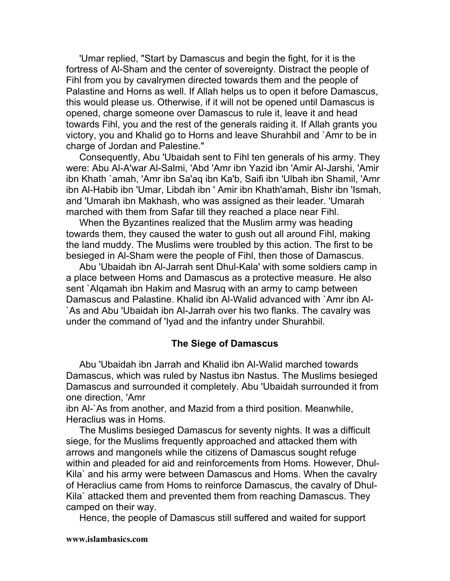'Umar replied, "Start by Damascus and begin the fight, for it is the fortress of Al-Sham and the center of sovereignty. Distract the people of Fihl from you by cavalrymen directed towards them and the people of Palastine and Horns as well. If Allah helps us to open it before Damascus, this would please us. Otherwise, if it will not be opened until Damascus is opened, charge someone over Damascus to rule it, leave it and head towards Fihl, you and the rest of the generals raiding it. If Allah grants you victory, you and Khalid go to Horns and leave Shurahbil and `Amr to be in charge of Jordan and Palestine."

Consequently, Abu 'Ubaidah sent to Fihl ten generals of his army. They were: Abu Al-A'war Al-Salmi, 'Abd 'Amr ibn Yazid ibn 'Amir Al-Jarshi, 'Amir ibn Khath `amah, 'Amr ibn Sa'aq ibn Ka'b, Saifi ibn 'Ulbah ibn Shamil, 'Amr ibn Al-Habib ibn 'Umar, Libdah ibn ' Amir ibn Khath'amah, Bishr ibn 'Ismah, and 'Umarah ibn Makhash, who was assigned as their leader. 'Umarah marched with them from Safar till they reached a place near Fihl.

When the Byzantines realized that the Muslim army was heading towards them, they caused the water to gush out all around Fihl, making the land muddy. The Muslims were troubled by this action. The first to be besieged in Al-Sham were the people of Fihl, then those of Damascus.

Abu 'Ubaidah ibn Al-Jarrah sent Dhul-Kala' with some soldiers camp in a place between Homs and Damascus as a protective measure. He also sent `Alqamah ibn Hakim and Masruq with an army to camp between Damascus and Palastine. Khalid ibn Al-Walid advanced with `Amr ibn Al- `As and Abu 'Ubaidah ibn Al-Jarrah over his two flanks. The cavalry was under the command of 'Iyad and the infantry under Shurahbil.

#### **The Siege of Damascus**

Abu 'Ubaidah ibn Jarrah and Khalid ibn Al-Walid marched towards Damascus, which was ruled by Nastus ibn Nastus. The Muslims besieged Damascus and surrounded it completely. Abu 'Ubaidah surrounded it from one direction, 'Amr

ibn Al-`As from another, and Mazid from a third position. Meanwhile, Heraclius was in Homs.

The Muslims besieged Damascus for seventy nights. It was a difficult siege, for the Muslims frequently approached and attacked them with arrows and mangonels while the citizens of Damascus sought refuge within and pleaded for aid and reinforcements from Homs. However, Dhul-Kila` and his army were between Damascus and Homs. When the cavalry of Heraclius came from Homs to reinforce Damascus, the cavalry of Dhul-Kila` attacked them and prevented them from reaching Damascus. They camped on their way.

Hence, the people of Damascus still suffered and waited for support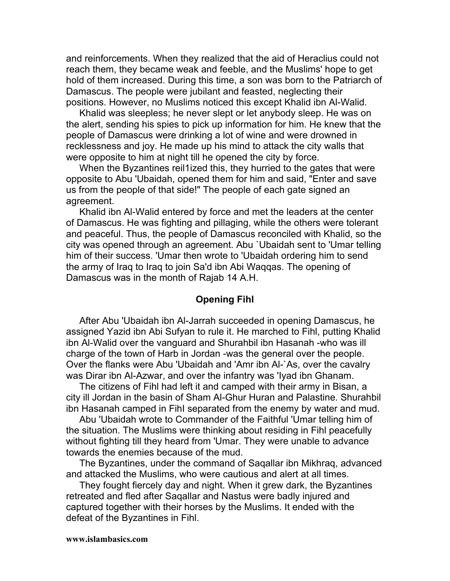and reinforcements. When they realized that the aid of Heraclius could not reach them, they became weak and feeble, and the Muslims' hope to get hold of them increased. During this time, a son was born to the Patriarch of Damascus. The people were jubilant and feasted, neglecting their positions. However, no Muslims noticed this except Khalid ibn Al-Walid.

Khalid was sleepless; he never slept or let anybody sleep. He was on the alert, sending his spies to pick up information for him. He knew that the people of Damascus were drinking a lot of wine and were drowned in recklessness and joy. He made up his mind to attack the city walls that were opposite to him at night till he opened the city by force.

When the Byzantines reil1ized this, they hurried to the gates that were opposite to Abu 'Ubaidah, opened them for him and said, "Enter and save us from the people of that side!" The people of each gate signed an agreement.

Khalid ibn Al-Walid entered by force and met the leaders at the center of Damascus. He was fighting and pillaging, while the others were tolerant and peaceful. Thus, the people of Damascus reconciled with Khalid, so the city was opened through an agreement. Abu `Ubaidah sent to 'Umar telling him of their success. 'Umar then wrote to 'Ubaidah ordering him to send the army of Iraq to Iraq to join Sa'd ibn Abi Waqqas. The opening of Damascus was in the month of Rajab 14 A.H.

#### **Opening Fihl**

After Abu 'Ubaidah ibn Al-Jarrah succeeded in opening Damascus, he assigned Yazid ibn Abi Sufyan to rule it. He marched to Fihl, putting Khalid ibn Al-Walid over the vanguard and Shurahbil ibn Hasanah -who was ill charge of the town of Harb in Jordan -was the general over the people. Over the flanks were Abu 'Ubaidah and 'Amr ibn Al-`As, over the cavalry was Dirar ibn Al-Azwar, and over the infantry was 'Iyad ibn Ghanam.

The citizens of Fihl had left it and camped with their army in Bisan, a city ill Jordan in the basin of Sham Al-Ghur Huran and Palastine. Shurahbil ibn Hasanah camped in FihI separated from the enemy by water and mud.

Abu 'Ubaidah wrote to Commander of the Faithful 'Umar telling him of the situation. The Muslims were thinking about residing in Fihl peacefully without fighting till they heard from 'Umar. They were unable to advance towards the enemies because of the mud.

The Byzantines, under the command of Saqallar ibn Mikhraq, advanced and attacked the Muslims, who were cautious and alert at all times.

They fought fiercely day and night. When it grew dark, the Byzantines retreated and fled after Saqallar and Nastus were badly injured and captured together with their horses by the Muslims. It ended with the defeat of the Byzantines in Fihl.

#### **www.islambasics.com**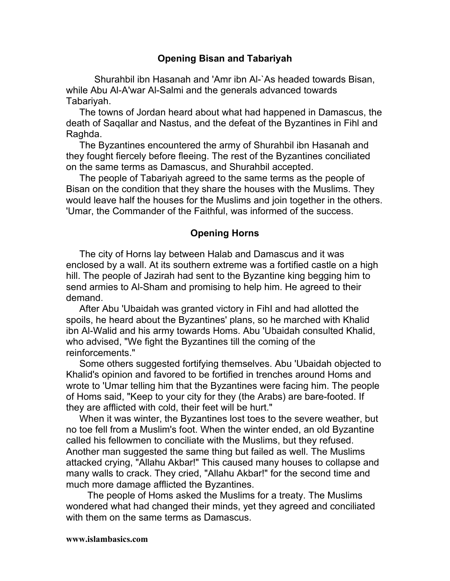## **Opening Bisan and Tabariyah**

Shurahbil ibn Hasanah and 'Amr ibn Al-`As headed towards Bisan, while Abu Al-A'war Al-Salmi and the generals advanced towards Tabariyah.

The towns of Jordan heard about what had happened in Damascus, the death of Saqallar and Nastus, and the defeat of the Byzantines in Fihl and Raghda.

The Byzantines encountered the army of Shurahbil ibn Hasanah and they fought fiercely before fleeing. The rest of the Byzantines conciliated on the same terms as Damascus, and Shurahbil accepted.

The people of Tabariyah agreed to the same terms as the people of Bisan on the condition that they share the houses with the Muslims. They would leave half the houses for the Muslims and join together in the others. 'Umar, the Commander of the Faithful, was informed of the success.

## **Opening Horns**

The city of Horns lay between Halab and Damascus and it was enclosed by a wall. At its southern extreme was a fortified castle on a high hill. The people of Jazirah had sent to the Byzantine king begging him to send armies to Al-Sham and promising to help him. He agreed to their demand.

After Abu 'Ubaidah was granted victory in FihI and had allotted the spoils, he heard about the Byzantines' plans, so he marched with Khalid ibn Al-Walid and his army towards Homs. Abu 'Ubaidah consulted Khalid, who advised, "We fight the Byzantines till the coming of the reinforcements."

Some others suggested fortifying themselves. Abu 'Ubaidah objected to Khalid's opinion and favored to be fortified in trenches around Homs and wrote to 'Umar telling him that the Byzantines were facing him. The people of Homs said, "Keep to your city for they (the Arabs) are bare-footed. If they are afflicted with cold, their feet will be hurt."

When it was winter, the Byzantines lost toes to the severe weather, but no toe fell from a Muslim's foot. When the winter ended, an old Byzantine called his fellowmen to conciliate with the Muslims, but they refused. Another man suggested the same thing but failed as well. The Muslims attacked crying, "Allahu Akbar!" This caused many houses to collapse and many walls to crack. They cried, "Allahu Akbar!" for the second time and much more damage afflicted the Byzantines.

The people of Homs asked the Muslims for a treaty. The Muslims wondered what had changed their minds, yet they agreed and conciliated with them on the same terms as Damascus.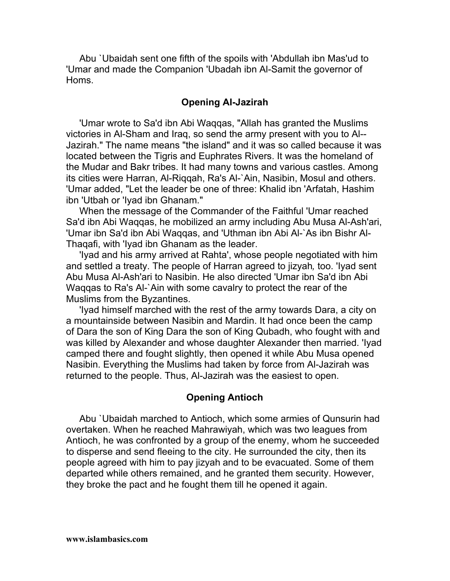Abu `Ubaidah sent one fifth of the spoils with 'Abdullah ibn Mas'ud to 'Umar and made the Companion 'Ubadah ibn Al-Samit the governor of Homs.

#### **Opening AI-Jazirah**

'Umar wrote to Sa'd ibn Abi Waqqas, "Allah has granted the Muslims victories in Al-Sham and Iraq, so send the army present with you to Al-- Jazirah." The name means "the island" and it was so called because it was located between the Tigris and Euphrates Rivers. It was the homeland of the Mudar and Bakr tribes. It had many towns and various castles. Among its cities were Harran, Al-Riqqah, Ra's Al-`Ain, Nasibin, Mosul and others. 'Umar added, "Let the leader be one of three: Khalid ibn 'Arfatah, Hashim ibn 'Utbah or 'Iyad ibn Ghanam."

When the message of the Commander of the Faithful 'Umar reached Sa'd ibn Abi Waqqas, he mobilized an army including Abu Musa Al-Ash'ari, 'Umar ibn Sa'd ibn Abi Waqqas, and 'Uthman ibn Abi Al-`As ibn Bishr Al-Thaqafi, with 'Iyad ibn Ghanam as the leader.

'Iyad and his army arrived at Rahta', whose people negotiated with him and settled a treaty. The people of Harran agreed to jizyah*,* too. 'Iyad sent Abu Musa Al-Ash'ari to Nasibin. He also directed 'Umar ibn Sa'd ibn Abi Waqqas to Ra's Al-`Ain with some cavalry to protect the rear of the Muslims from the Byzantines.

'Iyad himself marched with the rest of the army towards Dara, a city on a mountainside between Nasibin and Mardin. It had once been the camp of Dara the son of King Dara the son of King Qubadh, who fought with and was killed by Alexander and whose daughter Alexander then married. 'Iyad camped there and fought slightly, then opened it while Abu Musa opened Nasibin. Everything the Muslims had taken by force from Al-Jazirah was returned to the people. Thus, Al-Jazirah was the easiest to open.

#### **Opening Antioch**

Abu `Ubaidah marched to Antioch, which some armies of Qunsurin had overtaken. When he reached Mahrawiyah, which was two leagues from Antioch, he was confronted by a group of the enemy, whom he succeeded to disperse and send fleeing to the city. He surrounded the city, then its people agreed with him to pay jizyah and to be evacuated. Some of them departed while others remained, and he granted them security. However, they broke the pact and he fought them till he opened it again.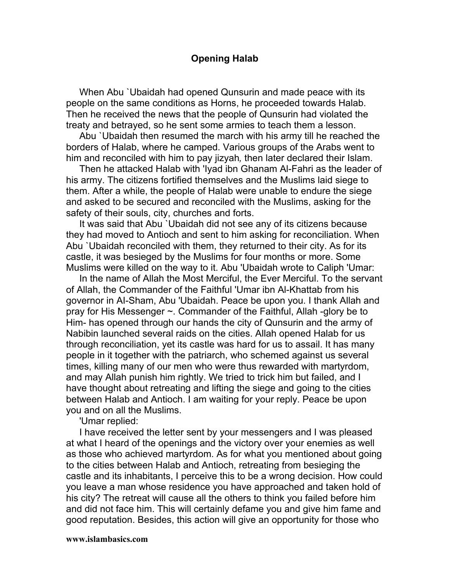## **Opening Halab**

When Abu `Ubaidah had opened Qunsurin and made peace with its people on the same conditions as Horns, he proceeded towards Halab. Then he received the news that the people of Qunsurin had violated the treaty and betrayed, so he sent some armies to teach them a lesson.

Abu `Ubaidah then resumed the march with his army till he reached the borders of Halab, where he camped. Various groups of the Arabs went to him and reconciled with him to pay jizyah*,* then later declared their Islam.

Then he attacked Halab with 'Iyad ibn Ghanam Al-Fahri as the leader of his army. The citizens fortified themselves and the Muslims laid siege to them. After a while, the people of Halab were unable to endure the siege and asked to be secured and reconciled with the Muslims, asking for the safety of their souls, city, churches and forts.

It was said that Abu `Ubaidah did not see any of its citizens because they had moved to Antioch and sent to him asking for reconciliation. When Abu `Ubaidah reconciled with them, they returned to their city. As for its castle, it was besieged by the Muslims for four months or more. Some Muslims were killed on the way to it. Abu 'Ubaidah wrote to Caliph 'Umar:

In the name of Allah the Most Merciful, the Ever Merciful. To the servant of Allah, the Commander of the Faithful 'Umar ibn Al-Khattab from his governor in AI-Sham, Abu 'Ubaidah. Peace be upon you. I thank Allah and pray for His Messenger ~. Commander of the Faithful, Allah -glory be to Him- has opened through our hands the city of Qunsurin and the army of Nabibin launched several raids on the cities. Allah opened Halab for us through reconciliation, yet its castle was hard for us to assail. It has many people in it together with the patriarch, who schemed against us several times, killing many of our men who were thus rewarded with martyrdom, and may Allah punish him rightly. We tried to trick him but failed, and I have thought about retreating and lifting the siege and going to the cities between Halab and Antioch. I am waiting for your reply. Peace be upon you and on all the Muslims.

'Umar replied:

I have received the letter sent by your messengers and I was pleased at what I heard of the openings and the victory over your enemies as well as those who achieved martyrdom. As for what you mentioned about going to the cities between Halab and Antioch, retreating from besieging the castle and its inhabitants, I perceive this to be a wrong decision. How could you leave a man whose residence you have approached and taken hold of his city? The retreat will cause all the others to think you failed before him and did not face him. This will certainly defame you and give him fame and good reputation. Besides, this action will give an opportunity for those who

#### **www.islambasics.com**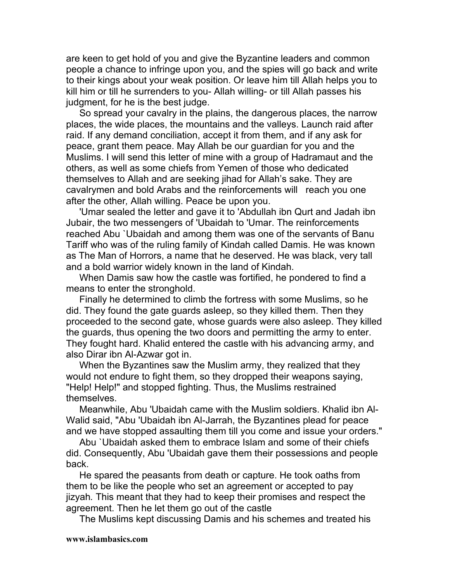are keen to get hold of you and give the Byzantine leaders and common people a chance to infringe upon you, and the spies will go back and write to their kings about your weak position. Or leave him till Allah helps you to kill him or till he surrenders to you- Allah willing- or till Allah passes his judgment, for he is the best judge.

So spread your cavalry in the plains, the dangerous places, the narrow places, the wide places, the mountains and the valleys. Launch raid after raid. If any demand conciliation, accept it from them, and if any ask for peace, grant them peace. May Allah be our guardian for you and the Muslims. I will send this letter of mine with a group of Hadramaut and the others, as well as some chiefs from Yemen of those who dedicated themselves to Allah and are seeking jihad for Allah's sake. They are cavalrymen and bold Arabs and the reinforcements will reach you one after the other*,* Allah willing. Peace be upon you.

'Umar sealed the letter and gave it to 'Abdullah ibn Qurt and Jadah ibn Jubair, the two messengers of 'Ubaidah to 'Umar. The reinforcements reached Abu `Ubaidah and among them was one of the servants of Banu Tariff who was of the ruling family of Kindah called Damis. He was known as The Man of Horrors, a name that he deserved. He was black, very tall and a bold warrior widely known in the land of Kindah.

When Damis saw how the castle was fortified, he pondered to find a means to enter the stronghold.

Finally he determined to climb the fortress with some Muslims, so he did. They found the gate guards asleep, so they killed them. Then they proceeded to the second gate, whose guards were also asleep. They killed the guards, thus opening the two doors and permitting the army to enter. They fought hard. Khalid entered the castle with his advancing army, and also Dirar ibn Al-Azwar got in.

When the Byzantines saw the Muslim army, they realized that they would not endure to fight them, so they dropped their weapons saying, "Help! Help!" and stopped fighting. Thus, the Muslims restrained themselves.

Meanwhile, Abu 'Ubaidah came with the Muslim soldiers. Khalid ibn Al-Walid said, "Abu 'Ubaidah ibn Al-Jarrah, the Byzantines plead for peace and we have stopped assaulting them till you come and issue your orders."

Abu `Ubaidah asked them to embrace Islam and some of their chiefs did. Consequently, Abu 'Ubaidah gave them their possessions and people back.

He spared the peasants from death or capture. He took oaths from them to be like the people who set an agreement or accepted to pay jizyah*.* This meant that they had to keep their promises and respect the agreement. Then he let them go out of the castle

The Muslims kept discussing Damis and his schemes and treated his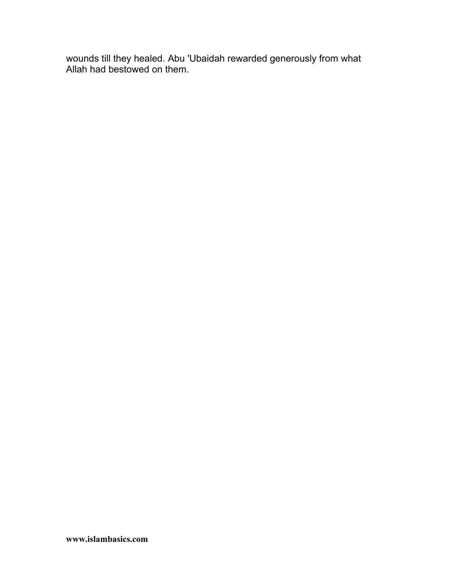wounds till they healed. Abu 'Ubaidah rewarded generously from what Allah had bestowed on them.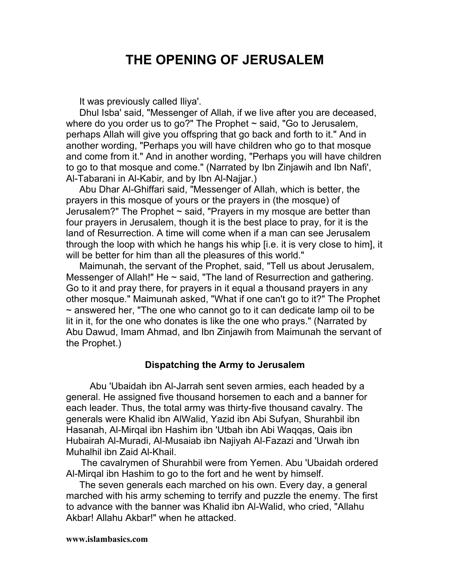# **THE OPENING OF JERUSALEM**

It was previously called Iliya'.

Dhul Isba' said, "Messenger of Allah, if we live after you are deceased, where do you order us to go?" The Prophet  $\sim$  said, "Go to Jerusalem, perhaps Allah will give you offspring that go back and forth to it." And in another wording, "Perhaps you will have children who go to that mosque and come from it." And in another wording, "Perhaps you will have children to go to that mosque and come." (Narrated by Ibn Zinjawih and Ibn Nafi', Al-Tabarani in Al-Kabir*,* and by Ibn Al-Najjar.)

Abu Dhar Al-Ghiffari said, "Messenger of Allah, which is better, the prayers in this mosque of yours or the prayers in (the mosque) of Jerusalem?" The Prophet ~ said, "Prayers in my mosque are better than four prayers in Jerusalem, though it is the best place to pray, for it is the land of Resurrection. A time will come when if a man can see Jerusalem through the loop with which he hangs his whip [i.e. it is very close to him], it will be better for him than all the pleasures of this world."

Maimunah, the servant of the Prophet, said, "Tell us about Jerusalem, Messenger of Allah!" He  $\sim$  said, "The land of Resurrection and gathering. Go to it and pray there, for prayers in it equal a thousand prayers in any other mosque." Maimunah asked, "What if one can't go to it?" The Prophet  $\sim$  answered her, "The one who cannot go to it can dedicate lamp oil to be lit in it, for the one who donates is like the one who prays." (Narrated by Abu Dawud, Imam Ahmad, and Ibn Zinjawih from Maimunah the servant of the Prophet.)

#### **Dispatching the Army to Jerusalem**

Abu 'Ubaidah ibn Al-Jarrah sent seven armies, each headed by a general. He assigned five thousand horsemen to each and a banner for each leader. Thus, the total army was thirty-five thousand cavalry. The generals were Khalid ibn AlWalid, Yazid ibn Abi Sufyan, Shurahbil ibn Hasanah, Al-Mirqal ibn Hashim ibn 'Utbah ibn Abi Waqqas, Qais ibn Hubairah Al-Muradi, Al-Musaiab ibn Najiyah Al-Fazazi and 'Urwah ibn Muhalhil ibn Zaid Al-Khail.

The cavalrymen of Shurahbil were from Yemen. Abu 'Ubaidah ordered Al-Mirqal ibn Hashim to go to the fort and he went by himself.

The seven generals each marched on his own. Every day, a general marched with his army scheming to terrify and puzzle the enemy. The first to advance with the banner was Khalid ibn Al-Walid, who cried, "Allahu Akbar! Allahu Akbar!" when he attacked.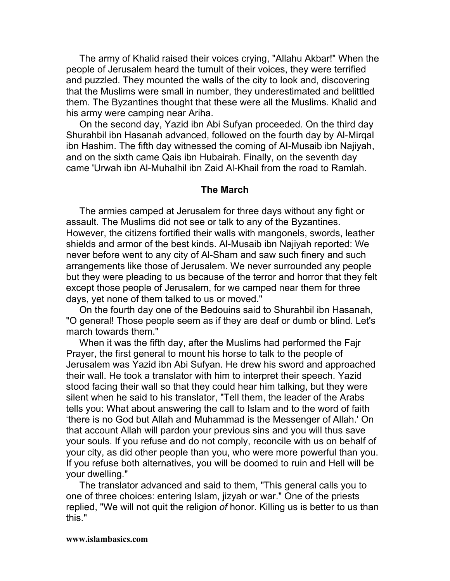The army of Khalid raised their voices crying, "Allahu Akbar!" When the people of Jerusalem heard the tumult of their voices, they were terrified and puzzled. They mounted the walls of the city to look and, discovering that the Muslims were small in number, they underestimated and belittled them. The Byzantines thought that these were all the Muslims. Khalid and his army were camping near Ariha.

On the second day, Yazid ibn Abi Sufyan proceeded. On the third day Shurahbil ibn Hasanah advanced, followed on the fourth day by Al-Mirqal ibn Hashim. The fifth day witnessed the coming of AI-Musaib ibn Najiyah, and on the sixth came Qais ibn Hubairah. Finally, on the seventh day came 'Urwah ibn Al-Muhalhil ibn Zaid Al-Khail from the road to Ramlah.

#### **The March**

The armies camped at Jerusalem for three days without any fight or assault. The Muslims did not see or talk to any of the Byzantines. However, the citizens fortified their walls with mangonels, swords, leather shields and armor of the best kinds. Al-Musaib ibn Najiyah reported: We never before went to any city of Al-Sham and saw such finery and such arrangements like those of Jerusalem. We never surrounded any people but they were pleading to us because of the terror and horror that they felt except those people of Jerusalem, for we camped near them for three days, yet none of them talked to us or moved."

On the fourth day one of the Bedouins said to Shurahbil ibn Hasanah, "O general! Those people seem as if they are deaf or dumb or blind. Let's march towards them."

When it was the fifth day, after the Muslims had performed the Fajr Prayer, the first general to mount his horse to talk to the people of Jerusalem was Yazid ibn Abi Sufyan. He drew his sword and approached their wall. He took a translator with him to interpret their speech. Yazid stood facing their wall so that they could hear him talking, but they were silent when he said to his translator, "Tell them, the leader of the Arabs tells you: What about answering the call to Islam and to the word of faith 'there is no God but Allah and Muhammad is the Messenger of Allah.' On that account Allah will pardon your previous sins and you will thus save your souls. If you refuse and do not comply, reconcile with us on behalf of your city, as did other people than you, who were more powerful than you. If you refuse both alternatives, you will be doomed to ruin and Hell will be your dwelling."

The translator advanced and said to them, "This general calls you to one of three choices: entering Islam, jizyah or war." One of the priests replied, "We will not quit the religion *of* honor. Killing us is better to us than this."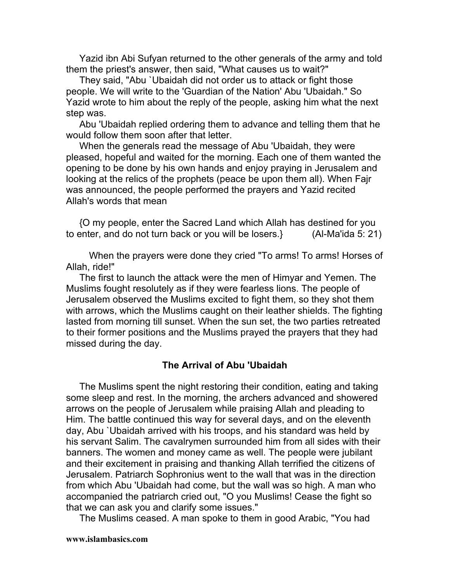Yazid ibn Abi Sufyan returned to the other generals of the army and told them the priest's answer, then said, "What causes us to wait?"

They said, "Abu `Ubaidah did not order us to attack or fight those people. We will write to the 'Guardian of the Nation' Abu 'Ubaidah." So Yazid wrote to him about the reply of the people, asking him what the next step was.

Abu 'Ubaidah replied ordering them to advance and telling them that he would follow them soon after that letter.

When the generals read the message of Abu 'Ubaidah, they were pleased, hopeful and waited for the morning. Each one of them wanted the opening to be done by his own hands and enjoy praying in Jerusalem and looking at the relics of the prophets (peace be upon them all). When Fajr was announced, the people performed the prayers and Yazid recited Allah's words that mean

{O my people, enter the Sacred Land which Allah has destined for you to enter, and do not turn back or you will be losers.} (Al-Ma'ida 5: 21)

When the prayers were done they cried "To arms! To arms! Horses of Allah, ride!"

The first to launch the attack were the men of Himyar and Yemen. The Muslims fought resolutely as if they were fearless lions. The people of Jerusalem observed the Muslims excited to fight them, so they shot them with arrows, which the Muslims caught on their leather shields. The fighting lasted from morning till sunset. When the sun set, the two parties retreated to their former positions and the Muslims prayed the prayers that they had missed during the day.

#### **The Arrival of Abu 'Ubaidah**

The Muslims spent the night restoring their condition, eating and taking some sleep and rest. In the morning, the archers advanced and showered arrows on the people of Jerusalem while praising Allah and pleading to Him. The battle continued this way for several days, and on the eleventh day, Abu `Ubaidah arrived with his troops, and his standard was held by his servant Salim. The cavalrymen surrounded him from all sides with their banners. The women and money came as well. The people were jubilant and their excitement in praising and thanking Allah terrified the citizens of Jerusalem. Patriarch Sophronius went to the wall that was in the direction from which Abu 'Ubaidah had come, but the wall was so high. A man who accompanied the patriarch cried out, "O you Muslims! Cease the fight so that we can ask you and clarify some issues."

The Muslims ceased. A man spoke to them in good Arabic, "You had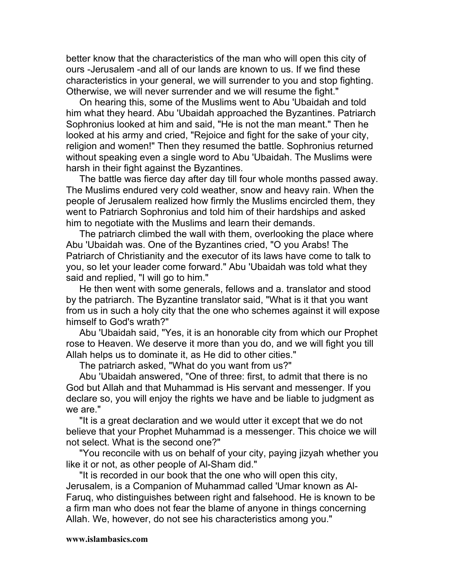better know that the characteristics of the man who will open this city of ours -Jerusalem -and all of our lands are known to us. If we find these characteristics in your general, we will surrender to you and stop fighting. Otherwise, we will never surrender and we will resume the fight."

On hearing this, some of the Muslims went to Abu 'Ubaidah and told him what they heard. Abu 'Ubaidah approached the Byzantines. Patriarch Sophronius looked at him and said, "He is not the man meant." Then he looked at his army and cried, "Rejoice and fight for the sake of your city, religion and women!" Then they resumed the battle. Sophronius returned without speaking even a single word to Abu 'Ubaidah. The Muslims were harsh in their fight against the Byzantines.

The battle was fierce day after day till four whole months passed away. The Muslims endured very cold weather, snow and heavy rain. When the people of Jerusalem realized how firmly the Muslims encircled them, they went to Patriarch Sophronius and told him of their hardships and asked him to negotiate with the Muslims and learn their demands.

The patriarch climbed the wall with them, overlooking the place where Abu 'Ubaidah was. One of the Byzantines cried, "O you Arabs! The Patriarch of Christianity and the executor of its laws have come to talk to you, so let your leader come forward." Abu 'Ubaidah was told what they said and replied, "I will go to him."

He then went with some generals, fellows and a. translator and stood by the patriarch. The Byzantine translator said, "What is it that you want from us in such a holy city that the one who schemes against it will expose himself to God's wrath?"

Abu 'Ubaidah said, "Yes, it is an honorable city from which our Prophet rose to Heaven. We deserve it more than you do, and we will fight you till Allah helps us to dominate it, as He did to other cities."

The patriarch asked, "What do you want from us?"

Abu 'Ubaidah answered, "One of three: first, to admit that there is no God but Allah and that Muhammad is His servant and messenger. If you declare so, you will enjoy the rights we have and be liable to judgment as we are."

"It is a great declaration and we would utter it except that we do not believe that your Prophet Muhammad is a messenger. This choice we will not select. What is the second one?"

"You reconcile with us on behalf of your city, paying jizyah whether you like it or not, as other people of Al-Sham did."

"It is recorded in our book that the one who will open this city, Jerusalem, is a Companion of Muhammad called 'Umar known as Al-Faruq, who distinguishes between right and falsehood. He is known to be a firm man who does not fear the blame of anyone in things concerning Allah. We, however, do not see his characteristics among you."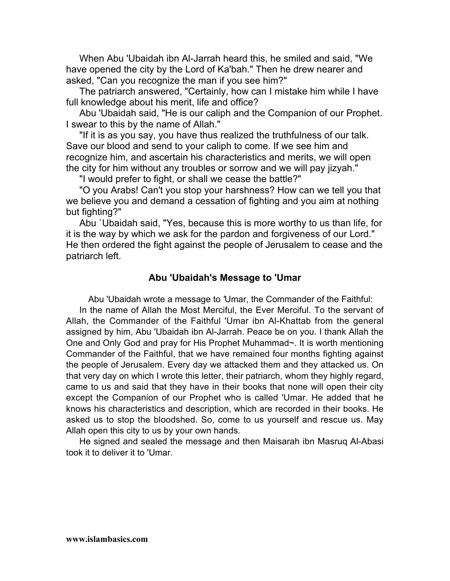When Abu 'Ubaidah ibn Al-Jarrah heard this, he smiled and said, "We have opened the city by the Lord of Ka'bah." Then he drew nearer and asked, "Can you recognize the man if you see him?"

The patriarch answered, "Certainly, how can I mistake him while I have full knowledge about his merit, life and office?

Abu 'Ubaidah said, "He is our caliph and the Companion of our Prophet. I swear to this by the name of Allah."

"If it is as you say, you have thus realized the truthfulness of our talk. Save our blood and send to your caliph to come. If we see him and recognize him, and ascertain his characteristics and merits, we will open the city for him without any troubles or sorrow and we will pay jizyah."

"I would prefer to fight, or shall we cease the battle?"

"O you Arabs! Can't you stop your harshness? How can we tell you that we believe you and demand a cessation of fighting and you aim at nothing but fighting?"

Abu `Ubaidah said, "Yes, because this is more worthy to us than life, for it is the way by which we ask for the pardon and forgiveness of our Lord." He then ordered the fight against the people of Jerusalem to cease and the patriarch left.

## **Abu 'Ubaidah's Message to 'Umar**

Abu 'Ubaidah wrote a message to *'*Umar, the Commander of the Faithful:

In the name of Allah the Most Merciful, the Ever Merciful. To the servant of Allah, the Commander of the Faithful 'Umar ibn Al-Khattab from the general assigned by him, Abu 'Ubaidah ibn Al-Jarrah. Peace be on you. I thank Allah the One and Only God and pray for His Prophet Muhammad~. It is worth mentioning Commander of the Faithful, that we have remained four months fighting against the people of Jerusalem. Every day we attacked them and they attacked us. On that very day on which I wrote this letter, their patriarch, whom they highly regard, came to us and said that they have in their books that none will open their city except the Companion of our Prophet who is called 'Umar. He added that he knows his characteristics and description, which are recorded in their books. He asked us to stop the bloodshed. So, come to us yourself and rescue us. May Allah open this city to us by your own hands.

He signed and sealed the message and then Maisarah ibn Masruq Al-Abasi took it to deliver it to 'Umar.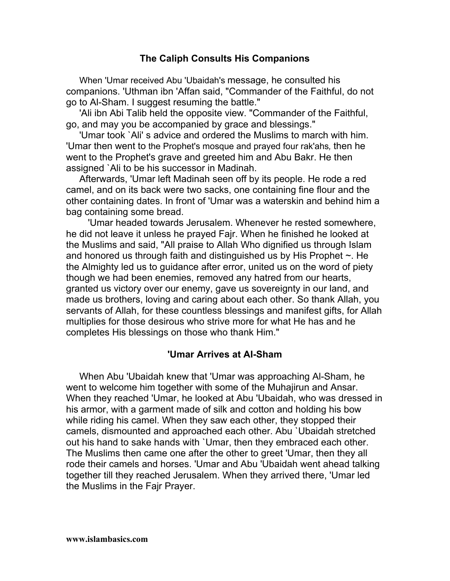## **The Caliph Consults His Companions**

When 'Umar received Abu 'Ubaidah's message, he consulted his companions. 'Uthman ibn 'Affan said, "Commander of the Faithful, do not go to Al-Sham. I suggest resuming the battle."

'Ali ibn Abi Talib held the opposite view. "Commander of the Faithful, go, and may you be accompanied by grace and blessings."

'Umar took `Ali' s advice and ordered the Muslims to march with him. 'Umar then went to the Prophet's mosque and prayed four rak'ahs*,* then he went to the Prophet's grave and greeted him and Abu Bakr. He then assigned `Ali to be his successor in Madinah.

Afterwards, 'Umar left Madinah seen off by its people. He rode a red camel, and on its back were two sacks, one containing fine flour and the other containing dates. In front of 'Umar was a waterskin and behind him a bag containing some bread.

'Umar headed towards Jerusalem. Whenever he rested somewhere, he did not leave it unless he prayed Fajr. When he finished he looked at the Muslims and said, "All praise to Allah Who dignified us through Islam and honored us through faith and distinguished us by His Prophet  $\sim$ . He the Almighty led us to guidance after error, united us on the word of piety though we had been enemies, removed any hatred from our hearts, granted us victory over our enemy, gave us sovereignty in our land, and made us brothers, loving and caring about each other. So thank Allah, you servants of Allah, for these countless blessings and manifest gifts, for Allah multiplies for those desirous who strive more for what He has and he completes His blessings on those who thank Him."

#### **'Umar Arrives at AI-Sham**

When Abu 'Ubaidah knew that 'Umar was approaching Al-Sham, he went to welcome him together with some of the Muhajirun and Ansar. When they reached 'Umar, he looked at Abu 'Ubaidah, who was dressed in his armor, with a garment made of silk and cotton and holding his bow while riding his camel. When they saw each other, they stopped their camels, dismounted and approached each other. Abu `Ubaidah stretched out his hand to sake hands with `Umar, then they embraced each other. The Muslims then came one after the other to greet 'Umar, then they all rode their camels and horses. 'Umar and Abu 'Ubaidah went ahead talking together till they reached Jerusalem. When they arrived there, 'Umar led the Muslims in the Fajr Prayer.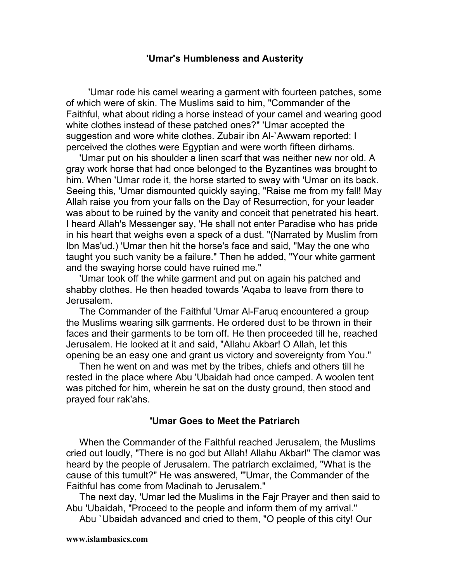## **'Umar's Humbleness and Austerity**

'Umar rode his camel wearing a garment with fourteen patches, some of which were of skin. The Muslims said to him, "Commander of the Faithful, what about riding a horse instead of your camel and wearing good white clothes instead of these patched ones?" 'Umar accepted the suggestion and wore white clothes. Zubair ibn Al-`Awwam reported: I perceived the clothes were Egyptian and were worth fifteen dirhams.

'Umar put on his shoulder a linen scarf that was neither new nor old. A gray work horse that had once belonged to the Byzantines was brought to him. When 'Umar rode it, the horse started to sway with 'Umar on its back. Seeing this, 'Umar dismounted quickly saying, "Raise me from my fall! May Allah raise you from your falls on the Day of Resurrection, for your leader was about to be ruined by the vanity and conceit that penetrated his heart. I heard Allah's Messenger say, 'He shall not enter Paradise who has pride in his heart that weighs even a speck of a dust. "(Narrated by Muslim from Ibn Mas'ud.) 'Umar then hit the horse's face and said, "May the one who taught you such vanity be a failure." Then he added, "Your white garment and the swaying horse could have ruined me."

'Umar took off the white garment and put on again his patched and shabby clothes. He then headed towards 'Aqaba to leave from there to Jerusalem.

The Commander of the Faithful 'Umar Al-Faruq encountered a group the Muslims wearing silk garments. He ordered dust to be thrown in their faces and their garments to be tom off. He then proceeded till he, reached Jerusalem. He looked at it and said, "Allahu Akbar! O Allah, let this opening be an easy one and grant us victory and sovereignty from You."

Then he went on and was met by the tribes, chiefs and others till he rested in the place where Abu 'Ubaidah had once camped. A woolen tent was pitched for him, wherein he sat on the dusty ground, then stood and prayed four rak'ahs.

#### **'Umar Goes to Meet the Patriarch**

When the Commander of the Faithful reached Jerusalem, the Muslims cried out loudly, "There is no god but Allah! Allahu Akbar!" The clamor was heard by the people of Jerusalem. The patriarch exclaimed, "What is the cause of this tumult?" He was answered, "'Umar, the Commander of the Faithful has come from Madinah to Jerusalem."

The next day, 'Umar led the Muslims in the Fajr Prayer and then said to Abu 'Ubaidah, "Proceed to the people and inform them of my arrival."

Abu `Ubaidah advanced and cried to them, "O people of this city! Our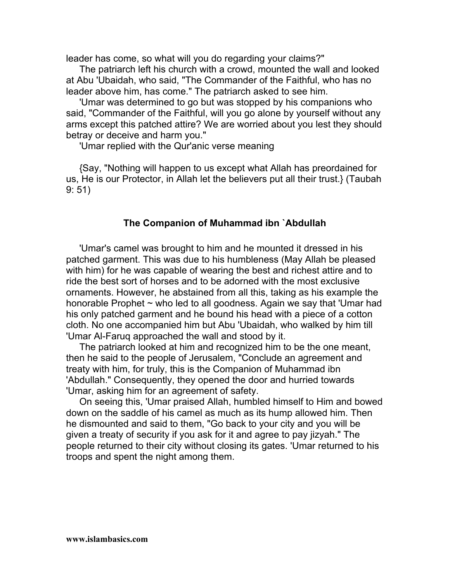leader has come, so what will you do regarding your claims?"

The patriarch left his church with a crowd, mounted the wall and looked at Abu 'Ubaidah, who said, "The Commander of the Faithful, who has no leader above him, has come." The patriarch asked to see him.

'Umar was determined to go but was stopped by his companions who said, "Commander of the Faithful, will you go alone by yourself without any arms except this patched attire? We are worried about you lest they should betray or deceive and harm you."

'Umar replied with the Qur'anic verse meaning

{Say, "Nothing will happen to us except what Allah has preordained for us, He is our Protector, in Allah let the believers put all their trust.} (Taubah 9: 51)

## **The Companion of Muhammad ibn `Abdullah**

'Umar's camel was brought to him and he mounted it dressed in his patched garment. This was due to his humbleness (May Allah be pleased with him) for he was capable of wearing the best and richest attire and to ride the best sort of horses and to be adorned with the most exclusive ornaments. However, he abstained from all this, taking as his example the honorable Prophet ~ who led to all goodness. Again we say that 'Umar had his only patched garment and he bound his head with a piece of a cotton cloth. No one accompanied him but Abu 'Ubaidah, who walked by him till 'Umar Al-Faruq approached the wall and stood by it.

The patriarch looked at him and recognized him to be the one meant, then he said to the people of Jerusalem, "Conclude an agreement and treaty with him, for truly, this is the Companion of Muhammad ibn 'Abdullah." Consequently, they opened the door and hurried towards 'Umar, asking him for an agreement of safety.

On seeing this, 'Umar praised Allah, humbled himself to Him and bowed down on the saddle of his camel as much as its hump allowed him. Then he dismounted and said to them, "Go back to your city and you will be given a treaty of security if you ask for it and agree to pay jizyah." The people returned to their city without closing its gates. 'Umar returned to his troops and spent the night among them.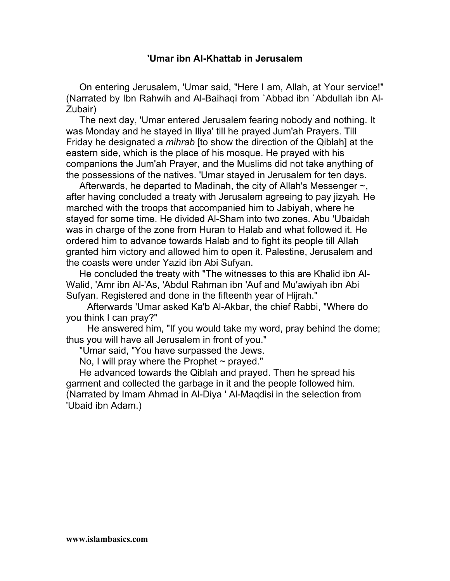## **'Umar ibn AI-Khattab in Jerusalem**

On entering Jerusalem, 'Umar said, "Here I am, Allah, at Your service!" (Narrated by Ibn Rahwih and Al-Baihaqi from `Abbad ibn `Abdullah ibn Al-Zubair)

The next day, 'Umar entered Jerusalem fearing nobody and nothing. It was Monday and he stayed in Iliya' till he prayed Jum'ah Prayers. Till Friday he designated a *mihrab* [to show the direction of the Qiblah] at the eastern side, which is the place of his mosque. He prayed with his companions the Jum'ah Prayer, and the Muslims did not take anything of the possessions of the natives. 'Umar stayed in Jerusalem for ten days.

Afterwards, he departed to Madinah, the city of Allah's Messenger ~, after having concluded a treaty with Jerusalem agreeing to pay jizyah*.* He marched with the troops that accompanied him to Jabiyah, where he stayed for some time. He divided Al-Sham into two zones. Abu 'Ubaidah was in charge of the zone from Huran to Halab and what followed it. He ordered him to advance towards Halab and to fight its people till Allah granted him victory and allowed him to open it. Palestine, Jerusalem and the coasts were under Yazid ibn Abi Sufyan.

He concluded the treaty with "The witnesses to this are Khalid ibn Al-Walid, 'Amr ibn Al-'As, 'Abdul Rahman ibn 'Auf and Mu'awiyah ibn Abi Sufyan. Registered and done in the fifteenth year of Hijrah."

Afterwards 'Umar asked Ka'b Al-Akbar, the chief Rabbi, "Where do you think I can pray?"

He answered him, "If you would take my word, pray behind the dome; thus you will have all Jerusalem in front of you."

"Umar said, "You have surpassed the Jews.

No, I will pray where the Prophet  $\sim$  prayed."

He advanced towards the Qiblah and prayed. Then he spread his garment and collected the garbage in it and the people followed him. (Narrated by Imam Ahmad in Al-Diya ' Al-Maqdisi in the selection from 'Ubaid ibn Adam.)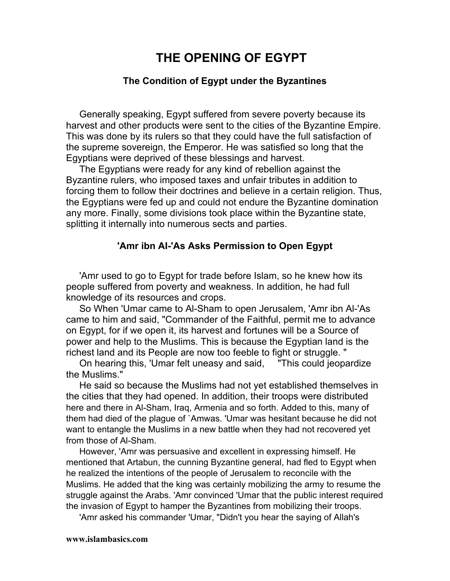# **THE OPENING OF EGYPT**

### **The Condition of Egypt under the Byzantines**

Generally speaking, Egypt suffered from severe poverty because its harvest and other products were sent to the cities of the Byzantine Empire. This was done by its rulers so that they could have the full satisfaction of the supreme sovereign, the Emperor. He was satisfied so long that the Egyptians were deprived of these blessings and harvest.

The Egyptians were ready for any kind of rebellion against the Byzantine rulers, who imposed taxes and unfair tributes in addition to forcing them to follow their doctrines and believe in a certain religion. Thus, the Egyptians were fed up and could not endure the Byzantine domination any more. Finally, some divisions took place within the Byzantine state, splitting it internally into numerous sects and parties.

#### **'Amr ibn AI-'As Asks Permission to Open Egypt**

'Amr used to go to Egypt for trade before Islam, so he knew how its people suffered from poverty and weakness. In addition, he had full knowledge of its resources and crops.

So When 'Umar came to Al-Sham to open Jerusalem, 'Amr ibn Al-'As came to him and said, "Commander of the Faithful, permit me to advance on Egypt, for if we open it, its harvest and fortunes will be a Source of power and help to the Muslims. This is because the Egyptian land is the richest land and its People are now too feeble to fight or struggle. "

On hearing this, 'Umar felt uneasy and said, "This could jeopardize the Muslims."

He said so because the Muslims had not yet established themselves in the cities that they had opened. In addition, their troops were distributed here and there in Al-Sham, Iraq, Armenia and so forth. Added to this, many of them had died of the plague of `Amwas. 'Umar was hesitant because he did not want to entangle the Muslims in a new battle when they had not recovered yet from those of Al-Sham.

However, 'Amr was persuasive and excellent in expressing himself. He mentioned that Artabun, the cunning Byzantine general, had fled to Egypt when he realized the intentions of the people of Jerusalem to reconcile with the Muslims. He added that the king was certainly mobilizing the army to resume the struggle against the Arabs. 'Amr convinced 'Umar that the public interest required the invasion of Egypt to hamper the Byzantines from mobilizing their troops.

'Amr asked his commander 'Umar, "Didn't you hear the saying of Allah's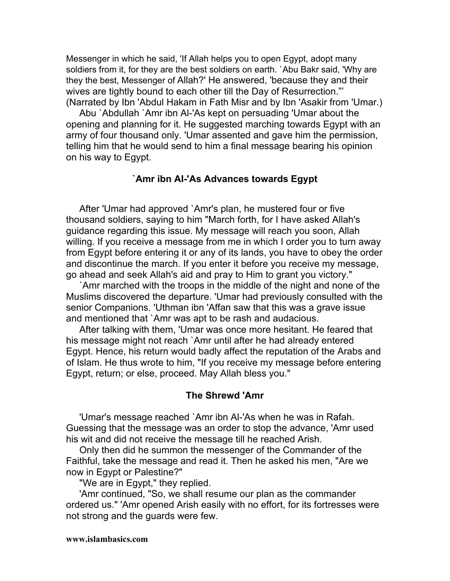Messenger in which he said, 'If Allah helps you to open Egypt, adopt many soldiers from it, for they are the best soldiers on earth. `Abu Bakr said, 'Why are they the best, Messenger of Allah?' He answered, 'because they and their wives are tightly bound to each other till the Day of Resurrection."' (Narrated by Ibn 'Abdul Hakam in Fath Misr and by Ibn 'Asakir from 'Umar.)

Abu `Abdullah `Amr ibn Al-'As kept on persuading 'Umar about the opening and planning for it. He suggested marching towards Egypt with an army of four thousand only. 'Umar assented and gave him the permission, telling him that he would send to him a final message bearing his opinion on his way to Egypt.

#### **`Amr ibn AI-'As Advances towards Egypt**

After 'Umar had approved `Amr's plan, he mustered four or five thousand soldiers, saying to him "March forth, for I have asked Allah's guidance regarding this issue. My message will reach you soon, Allah willing. If you receive a message from me in which I order you to turn away from Egypt before entering it or any of its lands, you have to obey the order and discontinue the march. If you enter it before you receive my message, go ahead and seek Allah's aid and pray to Him to grant you victory."

`Amr marched with the troops in the middle of the night and none of the Muslims discovered the departure. 'Umar had previously consulted with the senior Companions. 'Uthman ibn 'Affan saw that this was a grave issue and mentioned that `Amr was apt to be rash and audacious.

After talking with them, 'Umar was once more hesitant. He feared that his message might not reach `Amr until after he had already entered Egypt. Hence, his return would badly affect the reputation of the Arabs and of Islam. He thus wrote to him, "If you receive my message before entering Egypt, return; or else, proceed. May Allah bless you."

#### **The Shrewd 'Amr**

'Umar's message reached `Amr ibn Al-'As when he was in Rafah. Guessing that the message was an order to stop the advance, 'Amr used his wit and did not receive the message till he reached Arish.

Only then did he summon the messenger of the Commander of the Faithful, take the message and read it. Then he asked his men, "Are we now in Egypt or Palestine?"

"We are in Egypt," they replied.

'Amr continued, "So, we shall resume our plan as the commander ordered us." 'Amr opened Arish easily with no effort, for its fortresses were not strong and the guards were few.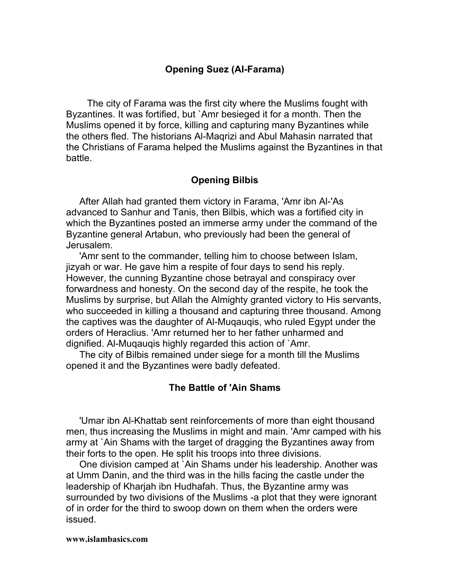## **Opening Suez (AI-Farama)**

The city of Farama was the first city where the Muslims fought with Byzantines. It was fortified, but `Amr besieged it for a month. Then the Muslims opened it by force, killing and capturing many Byzantines while the others fled. The historians Al-Maqrizi and Abul Mahasin narrated that the Christians of Farama helped the Muslims against the Byzantines in that battle.

#### **Opening Bilbis**

After Allah had granted them victory in Farama, 'Amr ibn Al-'As advanced to Sanhur and Tanis, then Bilbis, which was a fortified city in which the Byzantines posted an immerse army under the command of the Byzantine general Artabun, who previously had been the general of Jerusalem.

'Amr sent to the commander, telling him to choose between Islam, jizyah or war. He gave him a respite of four days to send his reply. However, the cunning Byzantine chose betrayal and conspiracy over forwardness and honesty. On the second day of the respite, he took the Muslims by surprise, but Allah the Almighty granted victory to His servants, who succeeded in killing a thousand and capturing three thousand. Among the captives was the daughter of Al-Muqauqis, who ruled Egypt under the orders of Heraclius. 'Amr returned her to her father unharmed and dignified. Al-Muqauqis highly regarded this action of `Amr.

The city of Bilbis remained under siege for a month till the Muslims opened it and the Byzantines were badly defeated.

#### **The Battle of 'Ain Shams**

'Umar ibn Al-Khattab sent reinforcements of more than eight thousand men, thus increasing the Muslims in might and main. 'Amr camped with his army at `Ain Shams with the target of dragging the Byzantines away from their forts to the open. He split his troops into three divisions.

One division camped at `Ain Shams under his leadership. Another was at Umm Danin, and the third was in the hills facing the castle under the leadership of Kharjah ibn Hudhafah. Thus, the Byzantine army was surrounded by two divisions of the Muslims -a plot that they were ignorant of in order for the third to swoop down on them when the orders were issued.

#### **www.islambasics.com**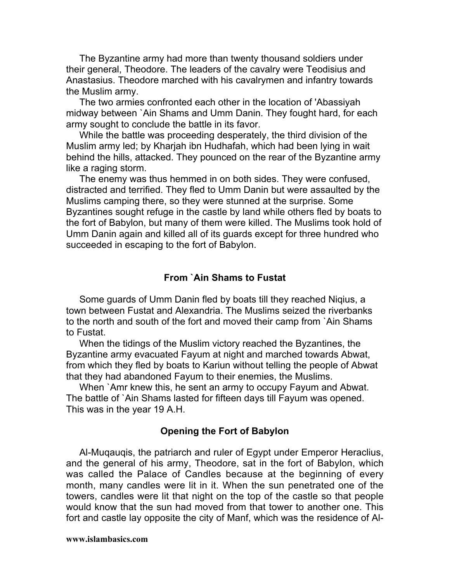The Byzantine army had more than twenty thousand soldiers under their general, Theodore. The leaders of the cavalry were Teodisius and Anastasius. Theodore marched with his cavalrymen and infantry towards the Muslim army.

The two armies confronted each other in the location of 'Abassiyah midway between `Ain Shams and Umm Danin. They fought hard, for each army sought to conclude the battle in its favor.

While the battle was proceeding desperately, the third division of the Muslim army led; by Kharjah ibn Hudhafah, which had been lying in wait behind the hills, attacked. They pounced on the rear of the Byzantine army like a raging storm.

The enemy was thus hemmed in on both sides. They were confused, distracted and terrified. They fled to Umm Danin but were assaulted by the Muslims camping there, so they were stunned at the surprise. Some Byzantines sought refuge in the castle by land while others fled by boats to the fort of Babylon, but many of them were killed. The Muslims took hold of Umm Danin again and killed all of its guards except for three hundred who succeeded in escaping to the fort of Babylon.

#### **From `Ain Shams to Fustat**

Some guards of Umm Danin fled by boats till they reached Niqius, a town between Fustat and Alexandria. The Muslims seized the riverbanks to the north and south of the fort and moved their camp from `Ain Shams to Fustat.

When the tidings of the Muslim victory reached the Byzantines, the Byzantine army evacuated Fayum at night and marched towards Abwat, from which they fled by boats to Kariun without telling the people of Abwat that they had abandoned Fayum to their enemies, the Muslims.

When `Amr knew this, he sent an army to occupy Fayum and Abwat. The battle of `Ain Shams lasted for fifteen days till Fayum was opened. This was in the year 19 A.H.

#### **Opening the Fort of Babylon**

Al-Muqauqis, the patriarch and ruler of Egypt under Emperor Heraclius, and the general of his army, Theodore, sat in the fort of Babylon, which was called the Palace of Candles because at the beginning of every month, many candles were lit in it. When the sun penetrated one of the towers, candles were lit that night on the top of the castle so that people would know that the sun had moved from that tower to another one. This fort and castle lay opposite the city of Manf, which was the residence of Al-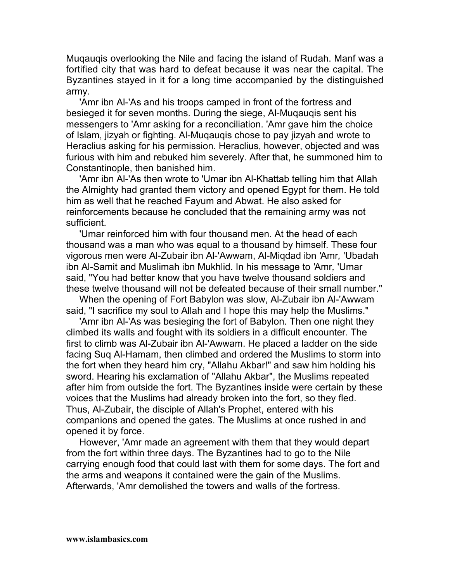Muqauqis overlooking the Nile and facing the island of Rudah. Manf was a fortified city that was hard to defeat because it was near the capital. The Byzantines stayed in it for a long time accompanied by the distinguished army.

'Amr ibn Al-'As and his troops camped in front of the fortress and besieged it for seven months. During the siege, Al-Muqauqis sent his messengers to 'Amr asking for a reconciliation. 'Amr gave him the choice of Islam, jizyah or fighting. Al-Muqauqis chose to pay jizyah and wrote to Heraclius asking for his permission. Heraclius, however, objected and was furious with him and rebuked him severely. After that, he summoned him to Constantinople, then banished him.

'Amr ibn Al-'As then wrote to 'Umar ibn Al-Khattab telling him that Allah the Almighty had granted them victory and opened Egypt for them. He told him as well that he reached Fayum and Abwat. He also asked for reinforcements because he concluded that the remaining army was not sufficient.

'Umar reinforced him with four thousand men. At the head of each thousand was a man who was equal to a thousand by himself. These four vigorous men were Al-Zubair ibn Al-'Awwam, Al-Miqdad ibn *'*Amr*,* 'Ubadah ibn Al-Samit and Muslimah ibn Mukhlid. In his message to *'*Amr*,* 'Umar said, "You had better know that you have twelve thousand soldiers and these twelve thousand will not be defeated because of their small number."

When the opening of Fort Babylon was slow, Al-Zubair ibn Al-'Awwam said, "I sacrifice my soul to Allah and I hope this may help the Muslims."

'Amr ibn Al-'As was besieging the fort of Babylon. Then one night they climbed its walls and fought with its soldiers in a difficult encounter. The first to climb was Al-Zubair ibn Al-'Awwam. He placed a ladder on the side facing Suq Al-Hamam, then climbed and ordered the Muslims to storm into the fort when they heard him cry, "Allahu Akbar!" and saw him holding his sword. Hearing his exclamation of "Allahu Akbar", the Muslims repeated after him from outside the fort. The Byzantines inside were certain by these voices that the Muslims had already broken into the fort, so they fled. Thus, Al-Zubair, the disciple of Allah's Prophet, entered with his companions and opened the gates. The Muslims at once rushed in and opened it by force.

However, 'Amr made an agreement with them that they would depart from the fort within three days. The Byzantines had to go to the Nile carrying enough food that could last with them for some days. The fort and the arms and weapons it contained were the gain of the Muslims. Afterwards, 'Amr demolished the towers and walls of the fortress.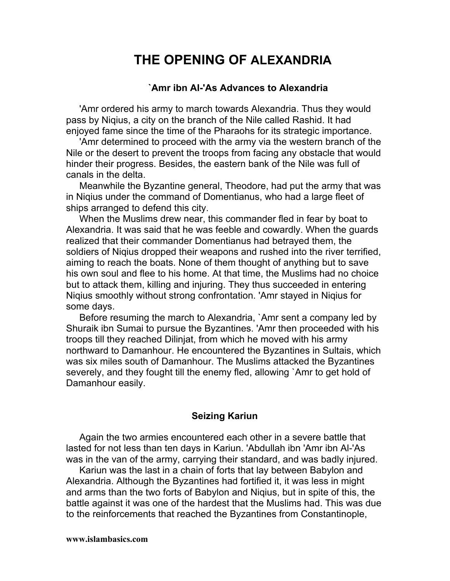# **THE OPENING OF ALEXANDRIA**

#### **`Amr ibn AI-'As Advances to Alexandria**

'Amr ordered his army to march towards Alexandria. Thus they would pass by Niqius, a city on the branch of the Nile called Rashid. It had enjoyed fame since the time of the Pharaohs for its strategic importance.

'Amr determined to proceed with the army via the western branch of the Nile or the desert to prevent the troops from facing any obstacle that would hinder their progress. Besides, the eastern bank of the Nile was full of canals in the delta.

Meanwhile the Byzantine general, Theodore, had put the army that was in Niqius under the command of Domentianus, who had a large fleet of ships arranged to defend this city.

When the Muslims drew near, this commander fled in fear by boat to Alexandria. It was said that he was feeble and cowardly. When the guards realized that their commander Domentianus had betrayed them, the soldiers of Niqius dropped their weapons and rushed into the river terrified, aiming to reach the boats. None of them thought of anything but to save his own soul and flee to his home. At that time, the Muslims had no choice but to attack them, killing and injuring. They thus succeeded in entering Niqius smoothly without strong confrontation. 'Amr stayed in Niqius for some days.

Before resuming the march to Alexandria, `Amr sent a company led by Shuraik ibn Sumai to pursue the Byzantines. 'Amr then proceeded with his troops till they reached Dilinjat, from which he moved with his army northward to Damanhour. He encountered the Byzantines in Sultais, which was six miles south of Damanhour. The Muslims attacked the Byzantines severely, and they fought till the enemy fled, allowing `Amr to get hold of Damanhour easily.

## **Seizing Kariun**

Again the two armies encountered each other in a severe battle that lasted for not less than ten days in Kariun. 'Abdullah ibn 'Amr ibn Al-'As was in the van of the army, carrying their standard, and was badly injured.

Kariun was the last in a chain of forts that lay between Babylon and Alexandria. Although the Byzantines had fortified it, it was less in might and arms than the two forts of Babylon and Niqius, but in spite of this, the battle against it was one of the hardest that the Muslims had. This was due to the reinforcements that reached the Byzantines from Constantinople,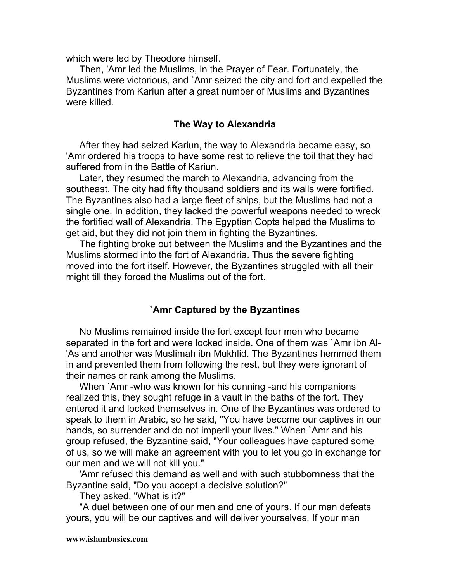which were led by Theodore himself.

Then, 'Amr led the Muslims, in the Prayer of Fear. Fortunately, the Muslims were victorious, and `Amr seized the city and fort and expelled the Byzantines from Kariun after a great number of Muslims and Byzantines were killed.

#### **The Way to Alexandria**

After they had seized Kariun, the way to Alexandria became easy, so 'Amr ordered his troops to have some rest to relieve the toil that they had suffered from in the Battle of Kariun.

Later, they resumed the march to Alexandria, advancing from the southeast. The city had fifty thousand soldiers and its walls were fortified. The Byzantines also had a large fleet of ships, but the Muslims had not a single one. In addition, they lacked the powerful weapons needed to wreck the fortified wall of Alexandria. The Egyptian Copts helped the Muslims to get aid, but they did not join them in fighting the Byzantines.

The fighting broke out between the Muslims and the Byzantines and the Muslims stormed into the fort of Alexandria. Thus the severe fighting moved into the fort itself. However, the Byzantines struggled with all their might till they forced the Muslims out of the fort.

#### **`Amr Captured by the Byzantines**

No Muslims remained inside the fort except four men who became separated in the fort and were locked inside. One of them was `Amr ibn Al- 'As and another was Muslimah ibn Mukhlid. The Byzantines hemmed them in and prevented them from following the rest, but they were ignorant of their names or rank among the Muslims.

When `Amr -who was known for his cunning -and his companions realized this, they sought refuge in a vault in the baths of the fort. They entered it and locked themselves in. One of the Byzantines was ordered to speak to them in Arabic, so he said, "You have become our captives in our hands, so surrender and do not imperil your lives." When `Amr and his group refused, the Byzantine said, "Your colleagues have captured some of us, so we will make an agreement with you to let you go in exchange for our men and we will not kill you."

'Amr refused this demand as well and with such stubbornness that the Byzantine said, "Do you accept a decisive solution?"

They asked, "What is it?"

"A duel between one of our men and one of yours. If our man defeats yours, you will be our captives and will deliver yourselves. If your man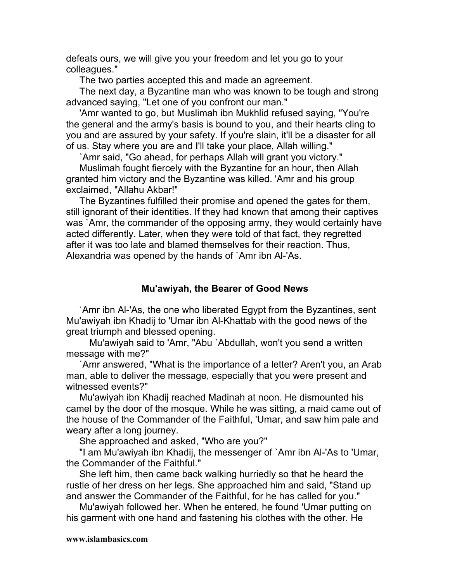defeats ours, we will give you your freedom and let you go to your colleagues."

The two parties accepted this and made an agreement.

The next day, a Byzantine man who was known to be tough and strong advanced saying, "Let one of you confront our man."

'Amr wanted to go, but Muslimah ibn Mukhlid refused saying, "You're the general and the army's basis is bound to you, and their hearts cling to you and are assured by your safety. If you're slain, it'll be a disaster for all of us. Stay where you are and I'll take your place, Allah willing."

`Amr said, "Go ahead, for perhaps Allah will grant you victory."

Muslimah fought fiercely with the Byzantine for an hour, then Allah granted him victory and the Byzantine was killed. 'Amr and his group exclaimed, "Allahu Akbar!"

The Byzantines fulfilled their promise and opened the gates for them, still ignorant of their identities. If they had known that among their captives was `Amr, the commander of the opposing army, they would certainly have acted differently. Later, when they were told of that fact, they regretted after it was too late and blamed themselves for their reaction. Thus, Alexandria was opened by the hands of `Amr ibn Al-'As.

## **Mu'awiyah, the Bearer of Good News**

`Amr ibn Al-'As, the one who liberated Egypt from the Byzantines, sent Mu'awiyah ibn Khadij to 'Umar ibn Al-Khattab with the good news of the great triumph and blessed opening.

Mu'awiyah said to 'Amr, "Abu `Abdullah, won't you send a written message with me?"

`Amr answered, "What is the importance of a letter? Aren't you, an Arab man, able to deliver the message, especially that you were present and witnessed events?"

Mu'awiyah ibn Khadij reached Madinah at noon. He dismounted his camel by the door of the mosque. While he was sitting, a maid came out of the house of the Commander of the Faithful, 'Umar, and saw him pale and weary after a long journey.

She approached and asked, "Who are you?"

"I am Mu'awiyah ibn Khadij, the messenger of `Amr ibn Al-'As to 'Umar, the Commander of the Faithful."

She left him, then came back walking hurriedly so that he heard the rustle of her dress on her legs. She approached him and said, "Stand up and answer the Commander of the Faithful, for he has called for you."

Mu'awiyah followed her. When he entered, he found 'Umar putting on his garment with one hand and fastening his clothes with the other. He

#### **www.islambasics.com**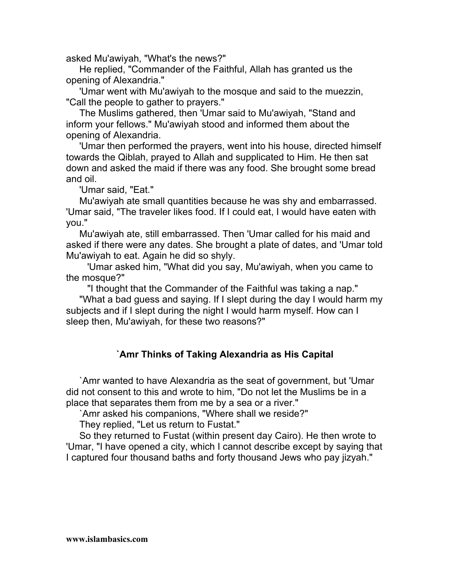asked Mu'awiyah, "What's the news?"

He replied, "Commander of the Faithful, Allah has granted us the opening of Alexandria."

'Umar went with Mu'awiyah to the mosque and said to the muezzin, "Call the people to gather to prayers."

The Muslims gathered, then 'Umar said to Mu'awiyah, "Stand and inform your fellows." Mu'awiyah stood and informed them about the opening of Alexandria.

'Umar then performed the prayers, went into his house, directed himself towards the Qiblah, prayed to Allah and supplicated to Him. He then sat down and asked the maid if there was any food. She brought some bread and oil.

'Umar said, "Eat."

Mu'awiyah ate small quantities because he was shy and embarrassed. 'Umar said, "The traveler likes food. If I could eat, I would have eaten with you."

Mu'awiyah ate, still embarrassed. Then 'Umar called for his maid and asked if there were any dates. She brought a plate of dates, and 'Umar told Mu'awiyah to eat. Again he did so shyly.

'Umar asked him, "What did you say, Mu'awiyah, when you came to the mosque?"

"I thought that the Commander of the Faithful was taking a nap."

"What a bad guess and saying. If I slept during the day I would harm my subjects and if I slept during the night I would harm myself. How can I sleep then, Mu'awiyah, for these two reasons?"

# **`Amr Thinks of Taking Alexandria as His Capital**

`Amr wanted to have Alexandria as the seat of government, but 'Umar did not consent to this and wrote to him, "Do not let the Muslims be in a place that separates them from me by a sea or a river."

`Amr asked his companions, "Where shall we reside?"

They replied, "Let us return to Fustat."

So they returned to Fustat (within present day Cairo). He then wrote to 'Umar, "I have opened a city, which I cannot describe except by saying that I captured four thousand baths and forty thousand Jews who pay jizyah."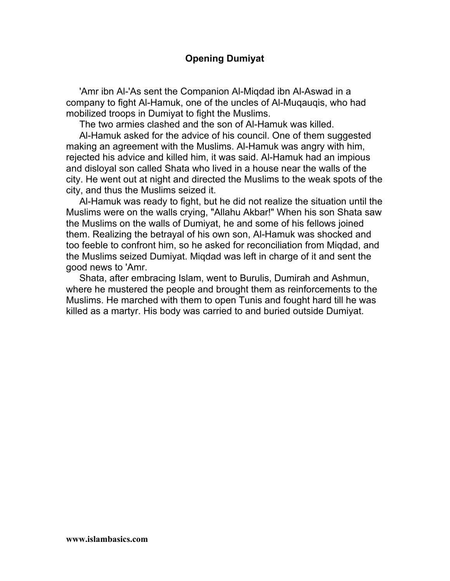## **Opening Dumiyat**

'Amr ibn Al-'As sent the Companion Al-Miqdad ibn Al-Aswad in a company to fight Al-Hamuk, one of the uncles of Al-Muqauqis, who had mobilized troops in Dumiyat to fight the Muslims.

The two armies clashed and the son of Al-Hamuk was killed.

Al-Hamuk asked for the advice of his council. One of them suggested making an agreement with the Muslims. Al-Hamuk was angry with him, rejected his advice and killed him, it was said. Al-Hamuk had an impious and disloyal son called Shata who lived in a house near the walls of the city. He went out at night and directed the Muslims to the weak spots of the city, and thus the Muslims seized it.

Al-Hamuk was ready to fight, but he did not realize the situation until the Muslims were on the walls crying, "Allahu Akbar!" When his son Shata saw the Muslims on the walls of Dumiyat, he and some of his fellows joined them. Realizing the betrayal of his own son, Al-Hamuk was shocked and too feeble to confront him, so he asked for reconciliation from Miqdad, and the Muslims seized Dumiyat. Miqdad was left in charge of it and sent the good news to 'Amr.

Shata, after embracing Islam, went to Burulis, Dumirah and Ashmun, where he mustered the people and brought them as reinforcements to the Muslims. He marched with them to open Tunis and fought hard till he was killed as a martyr. His body was carried to and buried outside Dumiyat.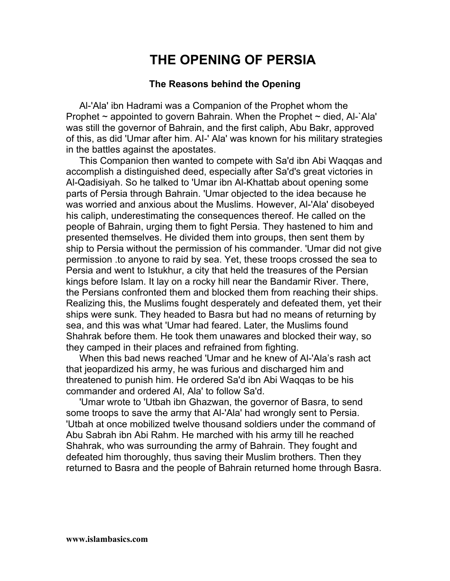# **THE OPENING OF PERSIA**

## **The Reasons behind the Opening**

Al-'Ala' ibn Hadrami was a Companion of the Prophet whom the Prophet  $\sim$  appointed to govern Bahrain. When the Prophet  $\sim$  died, Al-`Ala' was still the governor of Bahrain, and the first caliph, Abu Bakr, approved of this, as did 'Umar after him. AI-' Ala' was known for his military strategies in the battles against the apostates.

This Companion then wanted to compete with Sa'd ibn Abi Waqqas and accomplish a distinguished deed, especially after Sa'd's great victories in Al-Qadisiyah. So he talked to 'Umar ibn Al-Khattab about opening some parts of Persia through Bahrain. 'Umar objected to the idea because he was worried and anxious about the Muslims. However, Al-'Ala' disobeyed his caliph, underestimating the consequences thereof. He called on the people of Bahrain, urging them to fight Persia. They hastened to him and presented themselves. He divided them into groups, then sent them by ship to Persia without the permission of his commander. 'Umar did not give permission .to anyone to raid by sea. Yet, these troops crossed the sea to Persia and went to Istukhur, a city that held the treasures of the Persian kings before Islam. It lay on a rocky hill near the Bandamir River. There, the Persians confronted them and blocked them from reaching their ships. Realizing this, the Muslims fought desperately and defeated them, yet their ships were sunk. They headed to Basra but had no means of returning by sea, and this was what 'Umar had feared. Later, the Muslims found Shahrak before them. He took them unawares and blocked their way, so they camped in their places and refrained from fighting.

When this bad news reached 'Umar and he knew of Al-'Ala's rash act that jeopardized his army, he was furious and discharged him and threatened to punish him. He ordered Sa'd ibn Abi Waqqas to be his commander and ordered AI, Ala' to follow Sa'd.

'Umar wrote to 'Utbah ibn Ghazwan, the governor of Basra, to send some troops to save the army that Al-'Ala' had wrongly sent to Persia. 'Utbah at once mobilized twelve thousand soldiers under the command of Abu Sabrah ibn Abi Rahm. He marched with his army till he reached Shahrak, who was surrounding the army of Bahrain. They fought and defeated him thoroughly, thus saving their Muslim brothers. Then they returned to Basra and the people of Bahrain returned home through Basra.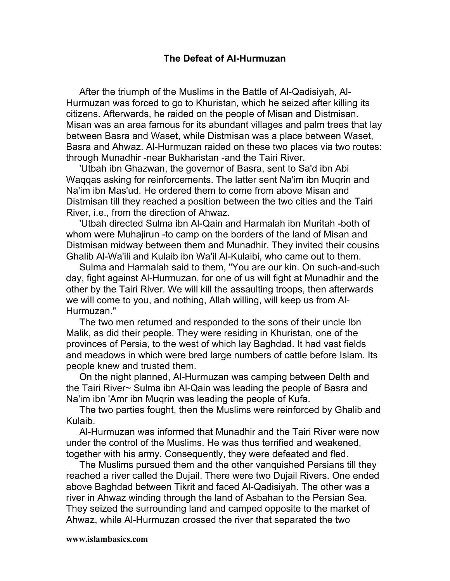### **The Defeat of AI-Hurmuzan**

After the triumph of the Muslims in the Battle of Al-Qadisiyah, Al-Hurmuzan was forced to go to Khuristan, which he seized after killing its citizens. Afterwards, he raided on the people of Misan and Distmisan. Misan was an area famous for its abundant villages and palm trees that lay between Basra and Waset, while Distmisan was a place between Waset, Basra and Ahwaz. Al-Hurmuzan raided on these two places via two routes: through Munadhir -near Bukharistan -and the Tairi River.

'Utbah ibn Ghazwan, the governor of Basra, sent to Sa'd ibn Abi Waqqas asking for reinforcements. The latter sent Na'im ibn Muqrin and Na'im ibn Mas'ud. He ordered them to come from above Misan and Distmisan till they reached a position between the two cities and the Tairi River, i.e., from the direction of Ahwaz.

'Utbah directed Sulma ibn Al-Qain and Harmalah ibn Muritah -both of whom were Muhajirun -to camp on the borders of the land of Misan and Distmisan midway between them and Munadhir. They invited their cousins Ghalib Al-Wa'ili and Kulaib ibn Wa'il Al-Kulaibi, who came out to them.

Sulma and Harmalah said to them, "You are our kin. On such-and-such day, fight against Al-Hurmuzan, for one of us will fight at Munadhir and the other by the Tairi River. We will kill the assaulting troops, then afterwards we will come to you, and nothing, Allah willing, will keep us from Al-Hurmuzan."

The two men returned and responded to the sons of their uncle Ibn Malik, as did their people. They were residing in Khuristan, one of the provinces of Persia, to the west of which lay Baghdad. It had vast fields and meadows in which were bred large numbers of cattle before Islam. Its people knew and trusted them.

On the night planned, Al-Hurmuzan was camping between Delth and the Tairi River~ Sulma ibn Al-Qain was leading the people of Basra and Na'im ibn 'Amr ibn Muqrin was leading the people of Kufa.

The two parties fought, then the Muslims were reinforced by Ghalib and Kulaib.

Al-Hurmuzan was informed that Munadhir and the Tairi River were now under the control of the Muslims. He was thus terrified and weakened, together with his army. Consequently, they were defeated and fled.

The Muslims pursued them and the other vanquished Persians till they reached a river called the Dujail. There were two Dujail Rivers. One ended above Baghdad between Tikrit and faced Al-Qadisiyah. The other was a river in Ahwaz winding through the land of Asbahan to the Persian Sea. They seized the surrounding land and camped opposite to the market of Ahwaz, while Al-Hurmuzan crossed the river that separated the two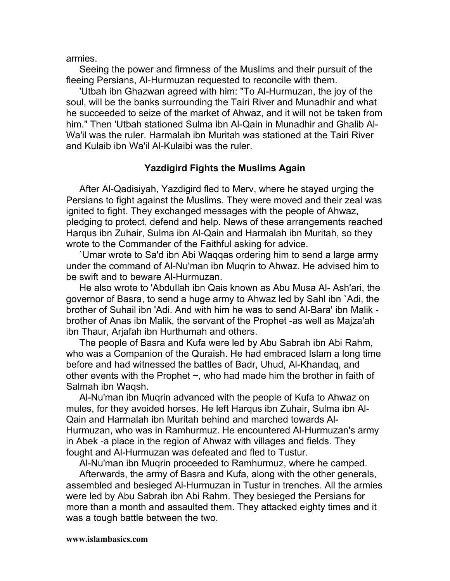armies.

Seeing the power and firmness of the Muslims and their pursuit of the fleeing Persians, Al-Hurmuzan requested to reconcile with them.

'Utbah ibn Ghazwan agreed with him: "To Al-Hurmuzan, the joy of the soul, will be the banks surrounding the Tairi River and Munadhir and what he succeeded to seize of the market of Ahwaz, and it will not be taken from him." Then 'Utbah stationed Sulma ibn Al-Qain in Munadhir and Ghalib Al-Wa'il was the ruler. Harmalah ibn Muritah was stationed at the Tairi River and Kulaib ibn Wa'il Al-Kulaibi was the ruler.

## **Yazdigird Fights the Muslims Again**

After Al-Qadisiyah, Yazdigird fled to Merv, where he stayed urging the Persians to fight against the Muslims. They were moved and their zeal was ignited to fight. They exchanged messages with the people of Ahwaz, pledging to protect, defend and help. News of these arrangements reached Harqus ibn Zuhair, Sulma ibn Al-Qain and Harmalah ibn Muritah, so they wrote to the Commander of the Faithful asking for advice.

`Umar wrote to Sa'd ibn Abi Waqqas ordering him to send a large army under the command of Al-Nu'man ibn Muqrin to Ahwaz. He advised him to be swift and to beware Al-Hurmuzan.

He also wrote to 'Abdullah ibn Qais known as Abu Musa Al- Ash'ari, the governor of Basra, to send a huge army to Ahwaz led by Sahl ibn `Adi, the brother of Suhail ibn 'Adi. And with him he was to send Al-Bara' ibn Malik brother of Anas ibn Malik, the servant of the Prophet -as well as Majza'ah ibn Thaur, Arjafah ibn Hurthumah and others.

The people of Basra and Kufa were led by Abu Sabrah ibn Abi Rahm, who was a Companion of the Quraish. He had embraced Islam a long time before and had witnessed the battles of Badr, Uhud, Al-Khandaq, and other events with the Prophet  $\sim$ , who had made him the brother in faith of Salmah ibn Waqsh.

Al-Nu'man ibn Muqrin advanced with the people of Kufa to Ahwaz on mules, for they avoided horses. He left Harqus ibn Zuhair, Sulma ibn Al-Qain and Harmalah ibn Muritah behind and marched towards Al-Hurmuzan, who was in Ramhurmuz. He encountered Al-Hurmuzan's army in Abek -a place in the region of Ahwaz with villages and fields. They fought and Al-Hurmuzan was defeated and fled to Tustur.

Al-Nu'man ibn Muqrin proceeded to Ramhurmuz, where he camped.

Afterwards, the army of Basra and Kufa, along with the other generals, assembled and besieged Al-Hurmuzan in Tustur in trenches. All the armies were led by Abu Sabrah ibn Abi Rahm. They besieged the Persians for more than a month and assaulted them. They attacked eighty times and it was a tough battle between the two.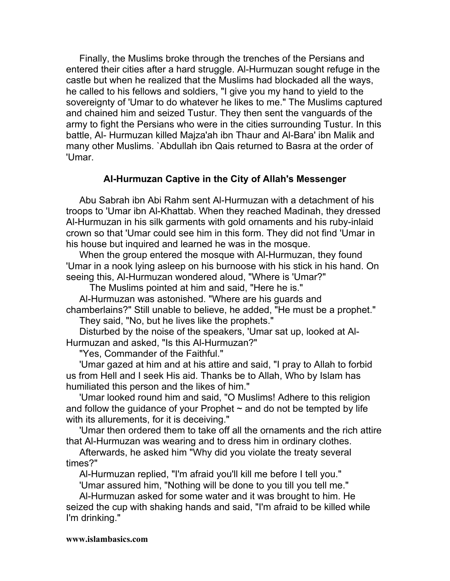Finally, the Muslims broke through the trenches of the Persians and entered their cities after a hard struggle. Al-Hurmuzan sought refuge in the castle but when he realized that the Muslims had blockaded all the ways, he called to his fellows and soldiers, "I give you my hand to yield to the sovereignty of 'Umar to do whatever he likes to me." The Muslims captured and chained him and seized Tustur. They then sent the vanguards of the army to fight the Persians who were in the cities surrounding Tustur. In this battle, Al- Hurmuzan killed Majza'ah ibn Thaur and Al-Bara' ibn Malik and many other Muslims. `Abdullah ibn Qais returned to Basra at the order of 'Umar.

# **AI-Hurmuzan Captive in the City of Allah's Messenger**

Abu Sabrah ibn Abi Rahm sent Al-Hurmuzan with a detachment of his troops to 'Umar ibn Al-Khattab. When they reached Madinah, they dressed Al-Hurmuzan in his silk garments with gold ornaments and his ruby-inlaid crown so that 'Umar could see him in this form. They did not find 'Umar in his house but inquired and learned he was in the mosque.

When the group entered the mosque with Al-Hurmuzan, they found 'Umar in a nook lying asleep on his burnoose with his stick in his hand. On seeing this, Al-Hurmuzan wondered aloud, "Where is 'Umar?"

The Muslims pointed at him and said, "Here he is."

Al-Hurmuzan was astonished. "Where are his guards and chamberlains?" Still unable to believe, he added, "He must be a prophet."

They said, "No, but he lives like the prophets."

Disturbed by the noise of the speakers, 'Umar sat up, looked at Al-Hurmuzan and asked, "Is this Al-Hurmuzan?"

"Yes, Commander of the Faithful."

'Umar gazed at him and at his attire and said, "I pray to Allah to forbid us from Hell and I seek His aid. Thanks be to Allah, Who by Islam has humiliated this person and the likes of him."

'Umar looked round him and said, "O Muslims! Adhere to this religion and follow the quidance of your Prophet  $\sim$  and do not be tempted by life with its allurements, for it is deceiving."

'Umar then ordered them to take off all the ornaments and the rich attire that Al-Hurmuzan was wearing and to dress him in ordinary clothes.

Afterwards, he asked him "Why did you violate the treaty several times?"

Al-Hurmuzan replied, "I'm afraid you'll kill me before I tell you."

'Umar assured him, "Nothing will be done to you till you tell me."

Al-Hurmuzan asked for some water and it was brought to him. He seized the cup with shaking hands and said, "I'm afraid to be killed while I'm drinking."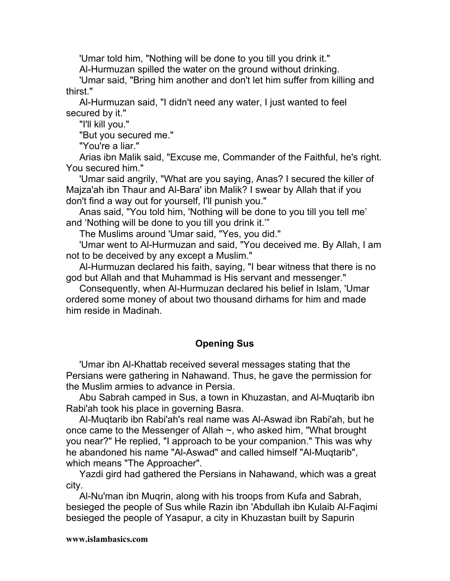'Umar told him, "Nothing will be done to you till you drink it."

Al-Hurmuzan spilled the water on the ground without drinking.

'Umar said, "Bring him another and don't let him suffer from killing and thirst."

Al-Hurmuzan said, "I didn't need any water, I just wanted to feel secured by it."

"I'll kill you."

"But you secured me."

"You're a liar."

Arias ibn Malik said, "Excuse me, Commander of the Faithful, he's right. You secured him."

'Umar said angrily, "What are you saying, Anas? I secured the killer of Majza'ah ibn Thaur and Al-Bara' ibn Malik? I swear by Allah that if you don't find a way out for yourself, I'll punish you."

Anas said, "You told him, 'Nothing will be done to you till you tell me' and 'Nothing will be done to you till you drink it.'"

The Muslims around 'Umar said, "Yes, you did."

'Umar went to Al-Hurmuzan and said, "You deceived me. By Allah, I am not to be deceived by any except a Muslim."

Al-Hurmuzan declared his faith, saying, "I bear witness that there is no god but Allah and that Muhammad is His servant and messenger."

Consequently, when Al-Hurmuzan declared his belief in Islam, 'Umar ordered some money of about two thousand dirhams for him and made him reside in Madinah.

# **Opening Sus**

'Umar ibn Al-Khattab received several messages stating that the Persians were gathering in Nahawand. Thus, he gave the permission for the Muslim armies to advance in Persia.

Abu Sabrah camped in Sus, a town in Khuzastan, and Al-Muqtarib ibn Rabi'ah took his place in governing Basra.

Al-Muqtarib ibn Rabi'ah's real name was Al-Aswad ibn Rabi'ah, but he once came to the Messenger of Allah ~, who asked him, "What brought you near?" He replied, "I approach to be your companion." This was why he abandoned his name "Al-Aswad" and called himself "Al-Muqtarib", which means "The Approacher".

Yazdi gird had gathered the Persians in Nahawand, which was a great city.

Al-Nu'man ibn Muqrin, along with his troops from Kufa and Sabrah, besieged the people of Sus while Razin ibn 'Abdullah ibn Kulaib Al-Faqimi besieged the people of Yasapur, a city in Khuzastan built by Sapurin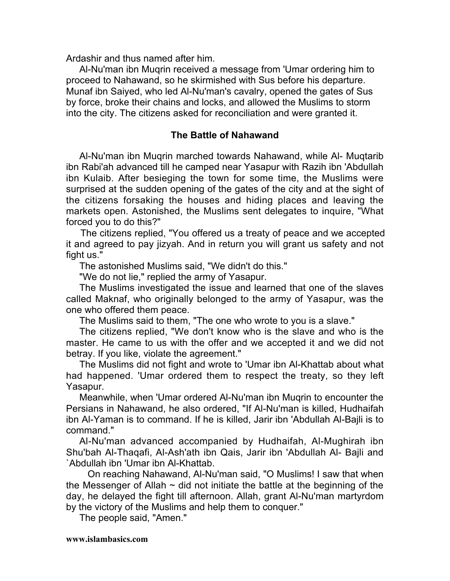Ardashir and thus named after him.

Al-Nu'man ibn Muqrin received a message from 'Umar ordering him to proceed to Nahawand, so he skirmished with Sus before his departure. Munaf ibn Saiyed, who led Al-Nu'man's cavalry, opened the gates of Sus by force, broke their chains and locks, and allowed the Muslims to storm into the city. The citizens asked for reconciliation and were granted it.

# **The Battle of Nahawand**

Al-Nu'man ibn Muqrin marched towards Nahawand, while Al- Muqtarib ibn Rabi'ah advanced till he camped near Yasapur with Razih ibn 'Abdullah ibn Kulaib. After besieging the town for some time, the Muslims were surprised at the sudden opening of the gates of the city and at the sight of the citizens forsaking the houses and hiding places and leaving the markets open. Astonished, the Muslims sent delegates to inquire, "What forced you to do this?"

 The citizens replied, "You offered us a treaty of peace and we accepted it and agreed to pay jizyah. And in return you will grant us safety and not fight us."

The astonished Muslims said, "We didn't do this."

"We do not lie," replied the army of Yasapur.

The Muslims investigated the issue and learned that one of the slaves called Maknaf, who originally belonged to the army of Yasapur, was the one who offered them peace.

The Muslims said to them, "The one who wrote to you is a slave."

The citizens replied, "We don't know who is the slave and who is the master. He came to us with the offer and we accepted it and we did not betray. If you like, violate the agreement."

The Muslims did not fight and wrote to 'Umar ibn Al-Khattab about what had happened. 'Umar ordered them to respect the treaty, so they left Yasapur.

Meanwhile, when 'Umar ordered Al-Nu'man ibn Muqrin to encounter the Persians in Nahawand, he also ordered, "If Al-Nu'man is killed, Hudhaifah ibn Al-Yaman is to command. If he is killed, Jarir ibn 'Abdullah Al-Bajli is to command."

Al-Nu'man advanced accompanied by Hudhaifah, Al-Mughirah ibn Shu'bah Al-Thaqafi, Al-Ash'ath ibn Qais, Jarir ibn 'Abdullah Al- Bajli and `Abdullah ibn 'Umar ibn Al-Khattab.

On reaching Nahawand, Al-Nu'man said, "O Muslims! I saw that when the Messenger of Allah  $\sim$  did not initiate the battle at the beginning of the day, he delayed the fight till afternoon. Allah, grant Al-Nu'man martyrdom by the victory of the Muslims and help them to conquer."

The people said, "Amen."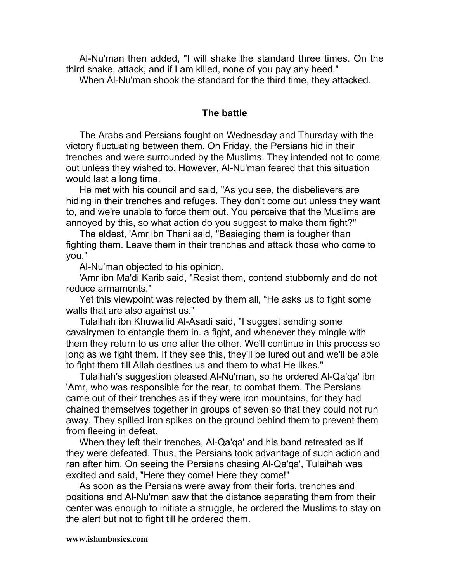Al-Nu'man then added, "I will shake the standard three times. On the third shake, attack, and if I am killed, none of you pay any heed."

When Al-Nu'man shook the standard for the third time, they attacked.

## **The battle**

The Arabs and Persians fought on Wednesday and Thursday with the victory fluctuating between them. On Friday, the Persians hid in their trenches and were surrounded by the Muslims. They intended not to come out unless they wished to. However, Al-Nu'man feared that this situation would last a long time.

He met with his council and said, "As you see, the disbelievers are hiding in their trenches and refuges. They don't come out unless they want to, and we're unable to force them out. You perceive that the Muslims are annoyed by this, so what action do you suggest to make them fight?"

The eldest, 'Amr ibn Thani said, "Besieging them is tougher than fighting them. Leave them in their trenches and attack those who come to you."

Al-Nu'man objected to his opinion.

'Amr ibn Ma'di Karib said, "Resist them, contend stubbornly and do not reduce armaments."

Yet this viewpoint was rejected by them all, "He asks us to fight some walls that are also against us."

Tulaihah ibn Khuwailid Al-Asadi said, "I suggest sending some cavalrymen to entangle them in. a fight, and whenever they mingle with them they return to us one after the other. We'll continue in this process so long as we fight them. If they see this, they'll be lured out and we'll be able to fight them till Allah destines us and them to what He likes."

Tulaihah's suggestion pleased Al-Nu'man, so he ordered Al-Qa'qa' ibn 'Amr, who was responsible for the rear, to combat them. The Persians came out of their trenches as if they were iron mountains, for they had chained themselves together in groups of seven so that they could not run away. They spilled iron spikes on the ground behind them to prevent them from fleeing in defeat.

When they left their trenches, Al-Qa'qa' and his band retreated as if they were defeated. Thus, the Persians took advantage of such action and ran after him. On seeing the Persians chasing Al-Qa'qa', Tulaihah was excited and said, "Here they come! Here they come!"

As soon as the Persians were away from their forts, trenches and positions and Al-Nu'man saw that the distance separating them from their center was enough to initiate a struggle, he ordered the Muslims to stay on the alert but not to fight till he ordered them.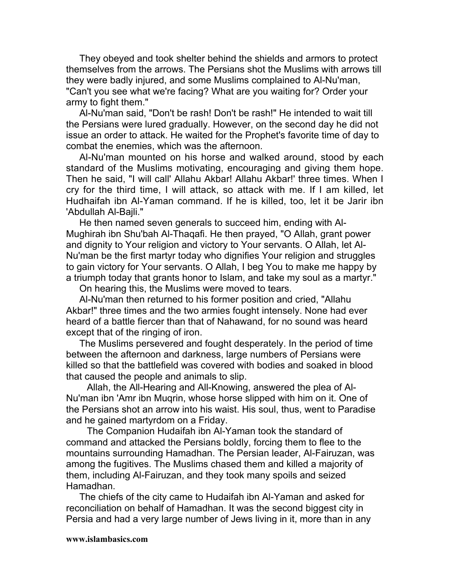They obeyed and took shelter behind the shields and armors to protect themselves from the arrows. The Persians shot the Muslims with arrows till they were badly injured, and some Muslims complained to Al-Nu'man, "Can't you see what we're facing? What are you waiting for? Order your army to fight them."

Al-Nu'man said, "Don't be rash! Don't be rash!" He intended to wait till the Persians were lured gradually. However, on the second day he did not issue an order to attack. He waited for the Prophet's favorite time of day to combat the enemies, which was the afternoon.

Al-Nu'man mounted on his horse and walked around, stood by each standard of the Muslims motivating, encouraging and giving them hope. Then he said, "I will call' Allahu Akbar! Allahu Akbar!' three times. When I cry for the third time, I will attack, so attack with me. If I am killed, let Hudhaifah ibn Al-Yaman command. If he is killed, too, let it be Jarir ibn 'Abdullah Al-Bajli."

He then named seven generals to succeed him, ending with Al-Mughirah ibn Shu'bah Al-Thaqafi. He then prayed, "O Allah, grant power and dignity to Your religion and victory to Your servants. O Allah, let Al-Nu'man be the first martyr today who dignifies Your religion and struggles to gain victory for Your servants. O Allah, I beg You to make me happy by a triumph today that grants honor to Islam, and take my soul as a martyr."

On hearing this, the Muslims were moved to tears.

Al-Nu'man then returned to his former position and cried, "Allahu Akbar!" three times and the two armies fought intensely. None had ever heard of a battle fiercer than that of Nahawand, for no sound was heard except that of the ringing of iron.

The Muslims persevered and fought desperately. In the period of time between the afternoon and darkness, large numbers of Persians were killed so that the battlefield was covered with bodies and soaked in blood that caused the people and animals to slip.

Allah, the All-Hearing and All-Knowing, answered the plea of Al-Nu'man ibn 'Amr ibn Muqrin, whose horse slipped with him on it. One of the Persians shot an arrow into his waist. His soul, thus, went to Paradise and he gained martyrdom on a Friday.

The Companion Hudaifah ibn Al-Yaman took the standard of command and attacked the Persians boldly, forcing them to flee to the mountains surrounding Hamadhan. The Persian leader, Al-Fairuzan, was among the fugitives. The Muslims chased them and killed a majority of them, including Al-Fairuzan, and they took many spoils and seized Hamadhan.

The chiefs of the city came to Hudaifah ibn Al-Yaman and asked for reconciliation on behalf of Hamadhan. It was the second biggest city in Persia and had a very large number of Jews living in it, more than in any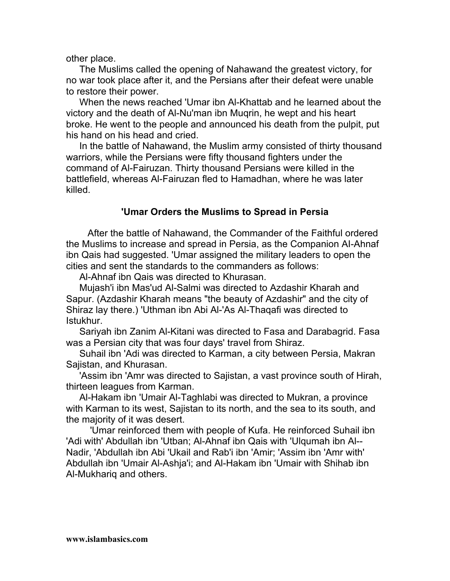other place.

The Muslims called the opening of Nahawand the greatest victory, for no war took place after it, and the Persians after their defeat were unable to restore their power.

When the news reached 'Umar ibn Al-Khattab and he learned about the victory and the death of Al-Nu'man ibn Muqrin, he wept and his heart broke. He went to the people and announced his death from the pulpit, put his hand on his head and cried.

In the battle of Nahawand, the Muslim army consisted of thirty thousand warriors, while the Persians were fifty thousand fighters under the command of Al-Fairuzan. Thirty thousand Persians were killed in the battlefield, whereas Al-Fairuzan fled to Hamadhan, where he was later killed.

# **'Umar Orders the Muslims to Spread in Persia**

After the battle of Nahawand, the Commander of the Faithful ordered the Muslims to increase and spread in Persia, as the Companion AI-Ahnaf ibn Qais had suggested. 'Umar assigned the military leaders to open the cities and sent the standards to the commanders as follows:

Al-Ahnaf ibn Qais was directed to Khurasan.

Mujash'i ibn Mas'ud Al-Salmi was directed to Azdashir Kharah and Sapur. (Azdashir Kharah means "the beauty of Azdashir" and the city of Shiraz lay there.) 'Uthman ibn Abi Al-'As Al-Thaqafi was directed to Istukhur.

Sariyah ibn Zanim Al-Kitani was directed to Fasa and Darabagrid. Fasa was a Persian city that was four days' travel from Shiraz.

Suhail ibn 'Adi was directed to Karman, a city between Persia, Makran Sajistan, and Khurasan.

'Assim ibn 'Amr was directed to Sajistan, a vast province south of Hirah, thirteen leagues from Karman.

Al-Hakam ibn 'Umair Al-Taghlabi was directed to Mukran, a province with Karman to its west, Sajistan to its north, and the sea to its south, and the majority of it was desert.

'Umar reinforced them with people of Kufa. He reinforced Suhail ibn 'Adi with' Abdullah ibn 'Utban; Al-Ahnaf ibn Qais with 'Ulqumah ibn Al-- Nadir, 'Abdullah ibn Abi 'Ukail and Rab'i ibn 'Amir; 'Assim ibn 'Amr with' Abdullah ibn 'Umair Al-Ashja'i; and Al-Hakam ibn 'Umair with Shihab ibn Al-Mukhariq and others.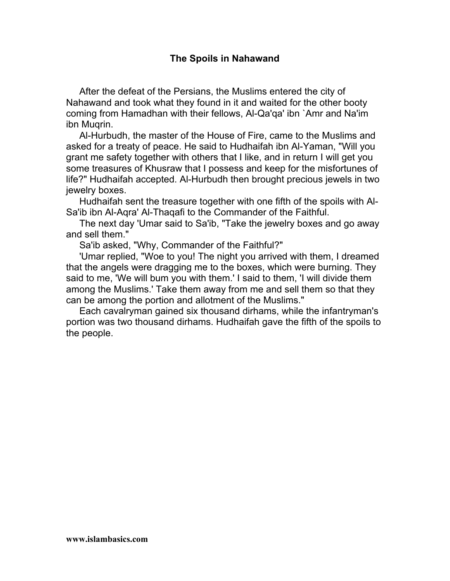# **The Spoils in Nahawand**

After the defeat of the Persians, the Muslims entered the city of Nahawand and took what they found in it and waited for the other booty coming from Hamadhan with their fellows, Al-Qa'qa' ibn `Amr and Na'im ibn Muqrin.

Al-Hurbudh, the master of the House of Fire, came to the Muslims and asked for a treaty of peace. He said to Hudhaifah ibn Al-Yaman, "Will you grant me safety together with others that I like, and in return I will get you some treasures of Khusraw that I possess and keep for the misfortunes of life?" Hudhaifah accepted. Al-Hurbudh then brought precious jewels in two jewelry boxes.

Hudhaifah sent the treasure together with one fifth of the spoils with Al-Sa'ib ibn Al-Aqra' Al-Thaqafi to the Commander of the Faithful.

The next day 'Umar said to Sa'ib, "Take the jewelry boxes and go away and sell them."

Sa'ib asked, "Why, Commander of the Faithful?"

'Umar replied, "Woe to you! The night you arrived with them, I dreamed that the angels were dragging me to the boxes, which were burning. They said to me, 'We will bum you with them.' I said to them, 'I will divide them among the Muslims.' Take them away from me and sell them so that they can be among the portion and allotment of the Muslims."

Each cavalryman gained six thousand dirhams, while the infantryman's portion was two thousand dirhams. Hudhaifah gave the fifth of the spoils to the people.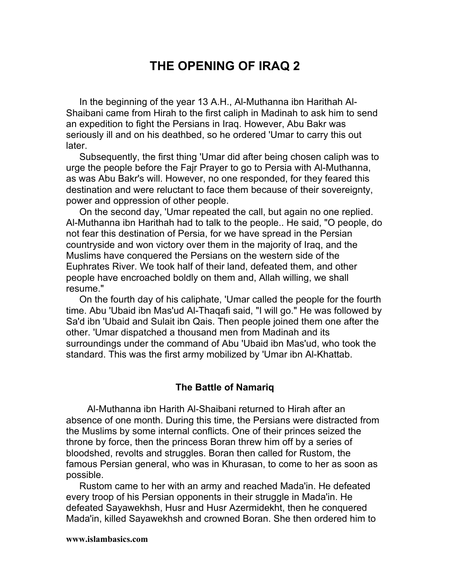# **THE OPENING OF IRAQ 2**

In the beginning of the year 13 A.H., Al-Muthanna ibn Harithah Al-Shaibani came from Hirah to the first caliph in Madinah to ask him to send an expedition to fight the Persians in Iraq. However, Abu Bakr was seriously ill and on his deathbed, so he ordered 'Umar to carry this out later.

Subsequently, the first thing 'Umar did after being chosen caliph was to urge the people before the Fajr Prayer to go to Persia with Al-Muthanna, as was Abu Bakr's will. However, no one responded, for they feared this destination and were reluctant to face them because of their sovereignty, power and oppression of other people.

On the second day, 'Umar repeated the call, but again no one replied. Al-Muthanna ibn Harithah had to talk to the people.. He said, "O people, do not fear this destination of Persia, for we have spread in the Persian countryside and won victory over them in the majority of Iraq, and the Muslims have conquered the Persians on the western side of the Euphrates River. We took half of their land, defeated them, and other people have encroached boldly on them and, Allah willing, we shall resume."

On the fourth day of his caliphate, 'Umar called the people for the fourth time. Abu 'Ubaid ibn Mas'ud Al-Thaqafi said, "I will go." He was followed by Sa'd ibn 'Ubaid and Sulait ibn Qais. Then people joined them one after the other. 'Umar dispatched a thousand men from Madinah and its surroundings under the command of Abu 'Ubaid ibn Mas'ud, who took the standard. This was the first army mobilized by 'Umar ibn Al-Khattab.

#### **The Battle of Namariq**

Al-Muthanna ibn Harith Al-Shaibani returned to Hirah after an absence of one month. During this time, the Persians were distracted from the Muslims by some internal conflicts. One of their princes seized the throne by force, then the princess Boran threw him off by a series of bloodshed, revolts and struggles. Boran then called for Rustom, the famous Persian general, who was in Khurasan, to come to her as soon as possible.

Rustom came to her with an army and reached Mada'in. He defeated every troop of his Persian opponents in their struggle in Mada'in. He defeated Sayawekhsh, Husr and Husr Azermidekht, then he conquered Mada'in, killed Sayawekhsh and crowned Boran. She then ordered him to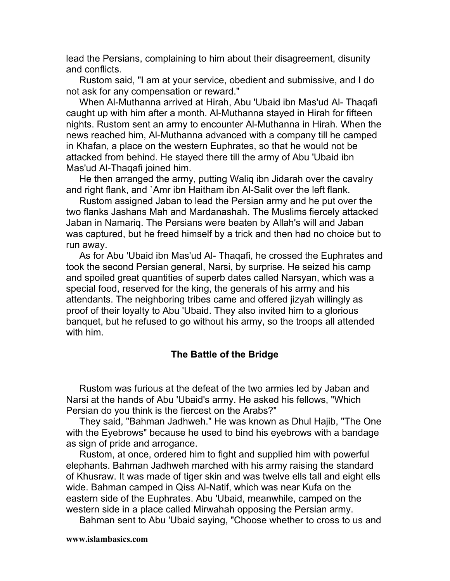lead the Persians, complaining to him about their disagreement, disunity and conflicts.

Rustom said, "I am at your service, obedient and submissive, and I do not ask for any compensation or reward."

When Al-Muthanna arrived at Hirah, Abu 'Ubaid ibn Mas'ud Al- Thaqafi caught up with him after a month. Al-Muthanna stayed in Hirah for fifteen nights. Rustom sent an army to encounter Al-Muthanna in Hirah. When the news reached him, Al-Muthanna advanced with a company till he camped in Khafan, a place on the western Euphrates, so that he would not be attacked from behind. He stayed there till the army of Abu 'Ubaid ibn Mas'ud Al-Thaqafi joined him.

He then arranged the army, putting Waliq ibn Jidarah over the cavalry and right flank, and `Amr ibn Haitham ibn Al-Salit over the left flank.

Rustom assigned Jaban to lead the Persian army and he put over the two flanks Jashans Mah and Mardanashah. The Muslims fiercely attacked Jaban in Namariq. The Persians were beaten by Allah's will and Jaban was captured, but he freed himself by a trick and then had no choice but to run away.

As for Abu 'Ubaid ibn Mas'ud Al- Thaqafi, he crossed the Euphrates and took the second Persian general, Narsi, by surprise. He seized his camp and spoiled great quantities of superb dates called Narsyan, which was a special food, reserved for the king, the generals of his army and his attendants. The neighboring tribes came and offered jizyah willingly as proof of their loyalty to Abu 'Ubaid. They also invited him to a glorious banquet, but he refused to go without his army, so the troops all attended with him.

# **The Battle of the Bridge**

Rustom was furious at the defeat of the two armies led by Jaban and Narsi at the hands of Abu 'Ubaid's army. He asked his fellows, "Which Persian do you think is the fiercest on the Arabs?"

They said, "Bahman Jadhweh." He was known as Dhul Hajib, "The One with the Eyebrows" because he used to bind his eyebrows with a bandage as sign of pride and arrogance.

Rustom, at once, ordered him to fight and supplied him with powerful elephants. Bahman Jadhweh marched with his army raising the standard of Khusraw. It was made of tiger skin and was twelve ells tall and eight ells wide. Bahman camped in Qiss Al-Natif, which was near Kufa on the eastern side of the Euphrates. Abu 'Ubaid, meanwhile, camped on the western side in a place called Mirwahah opposing the Persian army.

Bahman sent to Abu 'Ubaid saying, "Choose whether to cross to us and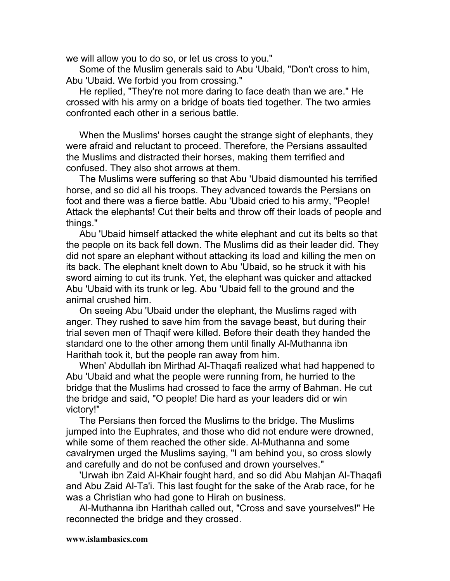we will allow you to do so, or let us cross to you."

Some of the Muslim generals said to Abu 'Ubaid, "Don't cross to him, Abu 'Ubaid. We forbid you from crossing."

He replied, "They're not more daring to face death than we are." He crossed with his army on a bridge of boats tied together. The two armies confronted each other in a serious battle.

When the Muslims' horses caught the strange sight of elephants, they were afraid and reluctant to proceed. Therefore, the Persians assaulted the Muslims and distracted their horses, making them terrified and confused. They also shot arrows at them.

The Muslims were suffering so that Abu 'Ubaid dismounted his terrified horse, and so did all his troops. They advanced towards the Persians on foot and there was a fierce battle. Abu 'Ubaid cried to his army, "People! Attack the elephants! Cut their belts and throw off their loads of people and things."

Abu 'Ubaid himself attacked the white elephant and cut its belts so that the people on its back fell down. The Muslims did as their leader did. They did not spare an elephant without attacking its load and killing the men on its back. The elephant knelt down to Abu 'Ubaid, so he struck it with his sword aiming to cut its trunk. Yet, the elephant was quicker and attacked Abu 'Ubaid with its trunk or leg. Abu 'Ubaid fell to the ground and the animal crushed him.

On seeing Abu 'Ubaid under the elephant, the Muslims raged with anger. They rushed to save him from the savage beast, but during their trial seven men of Thaqif were killed. Before their death they handed the standard one to the other among them until finally Al-Muthanna ibn Harithah took it, but the people ran away from him.

When' Abdullah ibn Mirthad Al-Thaqafi realized what had happened to Abu 'Ubaid and what the people were running from, he hurried to the bridge that the Muslims had crossed to face the army of Bahman. He cut the bridge and said, "O people! Die hard as your leaders did or win victory!"

The Persians then forced the Muslims to the bridge. The Muslims jumped into the Euphrates, and those who did not endure were drowned, while some of them reached the other side. Al-Muthanna and some cavalrymen urged the Muslims saying, "I am behind you, so cross slowly and carefully and do not be confused and drown yourselves."

'Urwah ibn Zaid Al-Khair fought hard, and so did Abu Mahjan Al-Thaqafi and Abu Zaid Al-Ta'i. This last fought for the sake of the Arab race, for he was a Christian who had gone to Hirah on business.

Al-Muthanna ibn Harithah called out, "Cross and save yourselves!" He reconnected the bridge and they crossed.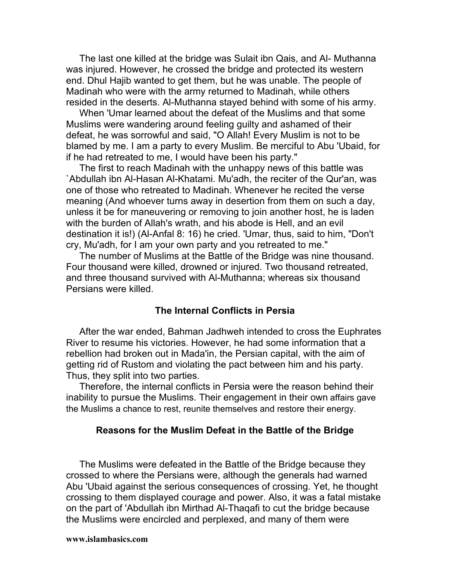The last one killed at the bridge was Sulait ibn Qais, and Al- Muthanna was injured. However, he crossed the bridge and protected its western end. Dhul Hajib wanted to get them, but he was unable. The people of Madinah who were with the army returned to Madinah, while others resided in the deserts. Al-Muthanna stayed behind with some of his army.

When 'Umar learned about the defeat of the Muslims and that some Muslims were wandering around feeling guilty and ashamed of their defeat, he was sorrowful and said, "O Allah! Every Muslim is not to be blamed by me. I am a party to every Muslim. Be merciful to Abu 'Ubaid, for if he had retreated to me, I would have been his party."

The first to reach Madinah with the unhappy news of this battle was `Abdullah ibn Al-Hasan Al-Khatami. Mu'adh, the reciter of the Qur'an, was one of those who retreated to Madinah. Whenever he recited the verse meaning (And whoever turns away in desertion from them on such a day, unless it be for maneuvering or removing to join another host, he is laden with the burden of Allah's wrath, and his abode is Hell, and an evil destination it is!) (Al-Anfal 8: 16) he cried. 'Umar, thus, said to him, "Don't cry, Mu'adh, for I am your own party and you retreated to me."

The number of Muslims at the Battle of the Bridge was nine thousand. Four thousand were killed, drowned or injured. Two thousand retreated, and three thousand survived with Al-Muthanna; whereas six thousand Persians were killed.

# **The Internal Conflicts in Persia**

After the war ended, Bahman Jadhweh intended to cross the Euphrates River to resume his victories. However, he had some information that a rebellion had broken out in Mada'in, the Persian capital, with the aim of getting rid of Rustom and violating the pact between him and his party. Thus, they split into two parties.

Therefore, the internal conflicts in Persia were the reason behind their inability to pursue the Muslims. Their engagement in their own affairs gave the Muslims a chance to rest, reunite themselves and restore their energy.

#### **Reasons for the Muslim Defeat in the Battle of the Bridge**

The Muslims were defeated in the Battle of the Bridge because they crossed to where the Persians were, although the generals had warned Abu 'Ubaid against the serious consequences of crossing. Yet, he thought crossing to them displayed courage and power. Also, it was a fatal mistake on the part of 'Abdullah ibn Mirthad Al-Thaqafi to cut the bridge because the Muslims were encircled and perplexed, and many of them were

#### **www.islambasics.com**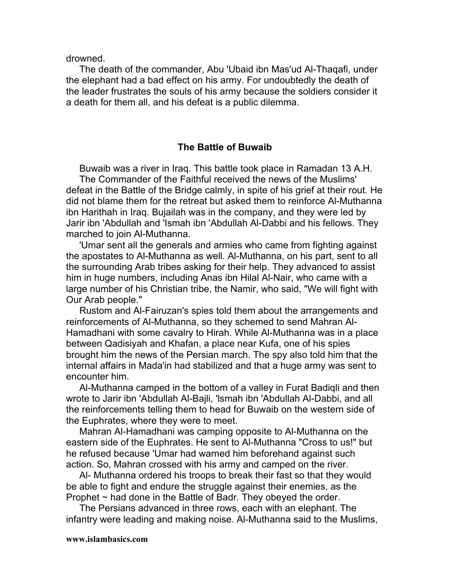drowned.

The death of the commander, Abu 'Ubaid ibn Mas'ud Al-Thaqafi, under the elephant had a bad effect on his army. For undoubtedly the death of the leader frustrates the souls of his army because the soldiers consider it a death for them all, and his defeat is a public dilemma.

## **The Battle of Buwaib**

Buwaib was a river in Iraq. This battle took place in Ramadan 13 A.H. The Commander of the Faithful received the news of the Muslims' defeat in the Battle of the Bridge calmly, in spite of his grief at their rout. He did not blame them for the retreat but asked them to reinforce Al-Muthanna ibn Harithah in Iraq. Bujailah was in the company, and they were led by Jarir ibn 'Abdullah and 'Ismah ibn 'Abdullah Al-Dabbi and his fellows. They marched to join Al-Muthanna.

'Umar sent all the generals and armies who came from fighting against the apostates to Al-Muthanna as well. Al-Muthanna, on his part, sent to all the surrounding Arab tribes asking for their help. They advanced to assist him in huge numbers, including Anas ibn Hilal Al-Nair, who came with a large number of his Christian tribe, the Namir, who said, "We will fight with Our Arab people."

Rustom and Al-Fairuzan's spies told them about the arrangements and reinforcements of Al-Muthanna, so they schemed to send Mahran Al-Hamadhani with some cavalry to Hirah. While Al-Muthanna was in a place between Qadisiyah and Khafan, a place near Kufa, one of his spies brought him the news of the Persian march. The spy also told him that the internal affairs in Mada'in had stabilized and that a huge army was sent to encounter him.

Al-Muthanna camped in the bottom of a valley in Furat Badiqli and then wrote to Jarir ibn 'Abdullah Al-Bajli, 'lsmah ibn 'Abdullah Al-Dabbi, and all the reinforcements telling them to head for Buwaib on the western side of the Euphrates, where they were to meet.

Mahran Al-Hamadhani was camping opposite to Al-Muthanna on the eastern side of the Euphrates. He sent to Al-Muthanna "Cross to us!" but he refused because 'Umar had warned him beforehand against such action. So, Mahran crossed with his army and camped on the river.

Al- Muthanna ordered his troops to break their fast so that they would be able to fight and endure the struggle against their enemies, as the Prophet  $\sim$  had done in the Battle of Badr. They obeyed the order.

The Persians advanced in three rows, each with an elephant. The infantry were leading and making noise. Al-Muthanna said to the Muslims,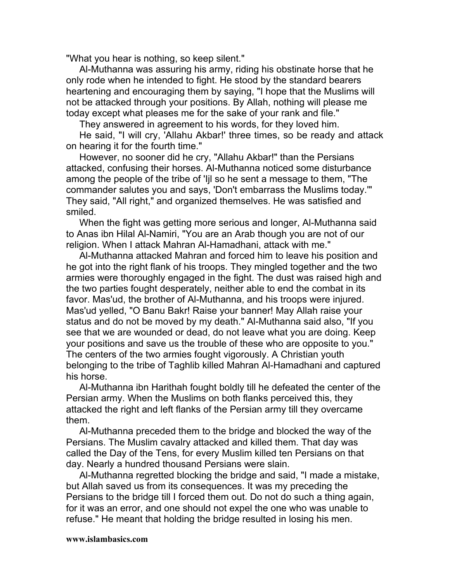"What you hear is nothing, so keep silent."

Al-Muthanna was assuring his army, riding his obstinate horse that he only rode when he intended to fight. He stood by the standard bearers heartening and encouraging them by saying, "I hope that the Muslims will not be attacked through your positions. By Allah, nothing will please me today except what pleases me for the sake of your rank and file."

They answered in agreement to his words, for they loved him.

He said, "I will cry, 'Allahu Akbar!' three times, so be ready and attack on hearing it for the fourth time."

However, no sooner did he cry, "Allahu Akbar!" than the Persians attacked, confusing their horses. Al-Muthanna noticed some disturbance among the people of the tribe of 'Ijl so he sent a message to them, "The commander salutes you and says, 'Don't embarrass the Muslims today.'" They said, "All right," and organized themselves. He was satisfied and smiled.

When the fight was getting more serious and longer, Al-Muthanna said to Anas ibn Hilal Al-Namiri, "You are an Arab though you are not of our religion. When I attack Mahran Al-Hamadhani, attack with me."

Al-Muthanna attacked Mahran and forced him to leave his position and he got into the right flank of his troops. They mingled together and the two armies were thoroughly engaged in the fight. The dust was raised high and the two parties fought desperately, neither able to end the combat in its favor. Mas'ud, the brother of Al-Muthanna, and his troops were injured. Mas'ud yelled, "O Banu Bakr! Raise your banner! May Allah raise your status and do not be moved by my death." Al-Muthanna said also, "If you see that we are wounded or dead, do not leave what you are doing. Keep your positions and save us the trouble of these who are opposite to you." The centers of the two armies fought vigorously. A Christian youth belonging to the tribe of Taghlib killed Mahran Al-Hamadhani and captured his horse.

Al-Muthanna ibn Harithah fought boldly till he defeated the center of the Persian army. When the Muslims on both flanks perceived this, they attacked the right and left flanks of the Persian army till they overcame them.

Al-Muthanna preceded them to the bridge and blocked the way of the Persians. The Muslim cavalry attacked and killed them. That day was called the Day of the Tens, for every Muslim killed ten Persians on that day. Nearly a hundred thousand Persians were slain.

Al-Muthanna regretted blocking the bridge and said, "I made a mistake, but Allah saved us from its consequences. It was my preceding the Persians to the bridge till I forced them out. Do not do such a thing again, for it was an error, and one should not expel the one who was unable to refuse." He meant that holding the bridge resulted in losing his men.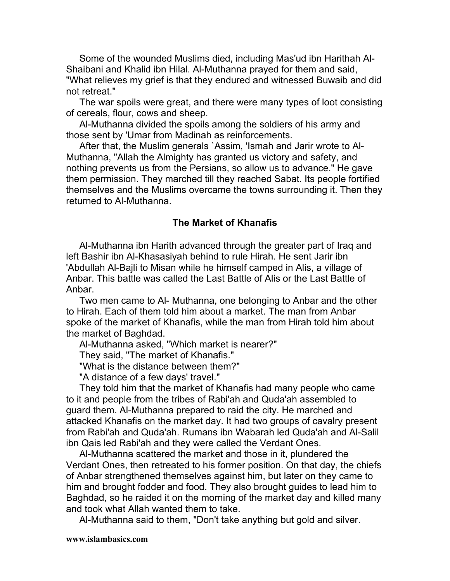Some of the wounded Muslims died, including Mas'ud ibn Harithah Al-Shaibani and Khalid ibn Hilal. Al-Muthanna prayed for them and said, "What relieves my grief is that they endured and witnessed Buwaib and did not retreat."

The war spoils were great, and there were many types of loot consisting of cereals, flour, cows and sheep.

Al-Muthanna divided the spoils among the soldiers of his army and those sent by 'Umar from Madinah as reinforcements.

After that, the Muslim generals `Assim, 'Ismah and Jarir wrote to Al-Muthanna, "Allah the Almighty has granted us victory and safety, and nothing prevents us from the Persians, so allow us to advance." He gave them permission. They marched till they reached Sabat. Its people fortified themselves and the Muslims overcame the towns surrounding it. Then they returned to Al-Muthanna.

# **The Market of Khanafis**

Al-Muthanna ibn Harith advanced through the greater part of Iraq and left Bashir ibn Al-Khasasiyah behind to rule Hirah. He sent Jarir ibn 'Abdullah Al-Bajli to Misan while he himself camped in Alis, a village of Anbar. This battle was called the Last Battle of Alis or the Last Battle of Anbar.

Two men came to Al- Muthanna, one belonging to Anbar and the other to Hirah. Each of them told him about a market. The man from Anbar spoke of the market of Khanafis, while the man from Hirah told him about the market of Baghdad.

Al-Muthanna asked, "Which market is nearer?"

They said, "The market of Khanafis."

"What is the distance between them?"

"A distance of a few days' travel."

They told him that the market of Khanafis had many people who came to it and people from the tribes of Rabi'ah and Quda'ah assembled to guard them. Al-Muthanna prepared to raid the city. He marched and attacked Khanafis on the market day. It had two groups of cavalry present from Rabi'ah and Quda'ah. Rumans ibn Wabarah led Quda'ah and Al-Salil ibn Qais led Rabi'ah and they were called the Verdant Ones.

Al-Muthanna scattered the market and those in it, plundered the Verdant Ones, then retreated to his former position. On that day, the chiefs of Anbar strengthened themselves against him, but later on they came to him and brought fodder and food. They also brought guides to lead him to Baghdad, so he raided it on the morning of the market day and killed many and took what Allah wanted them to take.

Al-Muthanna said to them, "Don't take anything but gold and silver.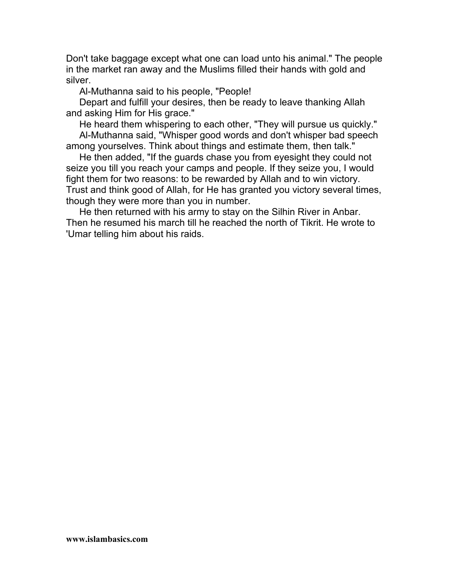Don't take baggage except what one can load unto his animal." The people in the market ran away and the Muslims filled their hands with gold and silver.

Al-Muthanna said to his people, "People!

Depart and fulfill your desires, then be ready to leave thanking Allah and asking Him for His grace."

He heard them whispering to each other, "They will pursue us quickly." Al-Muthanna said, "Whisper good words and don't whisper bad speech among yourselves. Think about things and estimate them, then talk."

He then added, "If the guards chase you from eyesight they could not seize you till you reach your camps and people. If they seize you, I would fight them for two reasons: to be rewarded by Allah and to win victory. Trust and think good of Allah, for He has granted you victory several times, though they were more than you in number.

He then returned with his army to stay on the Silhin River in Anbar. Then he resumed his march till he reached the north of Tikrit. He wrote to 'Umar telling him about his raids.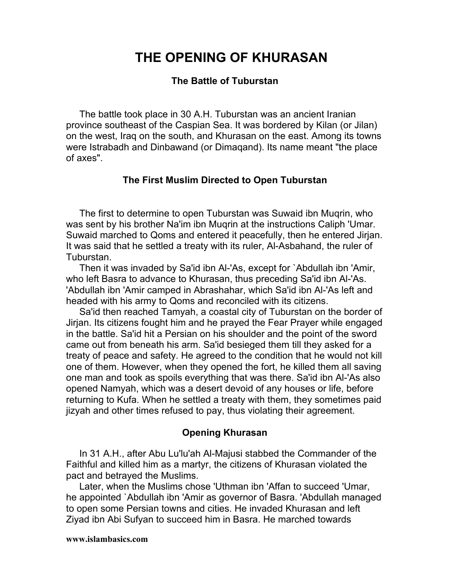# **THE OPENING OF KHURASAN**

## **The Battle of Tuburstan**

The battle took place in 30 A.H. Tuburstan was an ancient Iranian province southeast of the Caspian Sea. It was bordered by Kilan (or Jilan) on the west, Iraq on the south, and Khurasan on the east. Among its towns were Istrabadh and Dinbawand (or Dimaqand). Its name meant "the place of axes".

#### **The First Muslim Directed to Open Tuburstan**

The first to determine to open Tuburstan was Suwaid ibn Muqrin, who was sent by his brother Na'im ibn Muqrin at the instructions Caliph 'Umar. Suwaid marched to Qoms and entered it peacefully, then he entered Jirjan. It was said that he settled a treaty with its ruler, Al-Asbahand, the ruler of Tuburstan.

Then it was invaded by Sa'id ibn Al-'As, except for `Abdullah ibn 'Amir, who left Basra to advance to Khurasan, thus preceding Sa'id ibn Al-'As. 'Abdullah ibn 'Amir camped in Abrashahar, which Sa'id ibn Al-'As left and headed with his army to Qoms and reconciled with its citizens.

Sa'id then reached Tamyah, a coastal city of Tuburstan on the border of Jirjan. Its citizens fought him and he prayed the Fear Prayer while engaged in the battle. Sa'id hit a Persian on his shoulder and the point of the sword came out from beneath his arm. Sa'id besieged them till they asked for a treaty of peace and safety. He agreed to the condition that he would not kill one of them. However, when they opened the fort, he killed them all saving one man and took as spoils everything that was there. Sa'id ibn Al-'As also opened Namyah, which was a desert devoid of any houses or life, before returning to Kufa. When he settled a treaty with them, they sometimes paid jizyah and other times refused to pay, thus violating their agreement.

## **Opening Khurasan**

In 31 A.H., after Abu Lu'lu'ah Al-Majusi stabbed the Commander of the Faithful and killed him as a martyr, the citizens of Khurasan violated the pact and betrayed the Muslims.

Later, when the Muslims chose 'Uthman ibn 'Affan to succeed 'Umar, he appointed `Abdullah ibn 'Amir as governor of Basra. 'Abdullah managed to open some Persian towns and cities. He invaded Khurasan and left Ziyad ibn Abi Sufyan to succeed him in Basra. He marched towards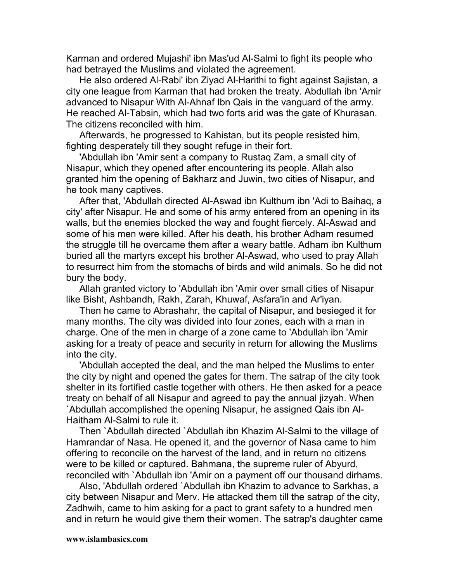Karman and ordered Mujashi' ibn Mas'ud Al-Salmi to fight its people who had betrayed the Muslims and violated the agreement.

He also ordered Al-Rabi' ibn Ziyad Al-Harithi to fight against Sajistan, a city one league from Karman that had broken the treaty. Abdullah ibn 'Amir advanced to Nisapur With Al-Ahnaf Ibn Qais in the vanguard of the army. He reached Al-Tabsin, which had two forts arid was the gate of Khurasan. The citizens reconciled with him.

Afterwards, he progressed to Kahistan, but its people resisted him, fighting desperately till they sought refuge in their fort.

'Abdullah ibn 'Amir sent a company to Rustaq Zam, a small city of Nisapur, which they opened after encountering its people. Allah also granted him the opening of Bakharz and Juwin, two cities of Nisapur, and he took many captives.

After that, 'Abdullah directed Al-Aswad ibn Kulthum ibn 'Adi to Baihaq, a city' after Nisapur. He and some of his army entered from an opening in its walls, but the enemies blocked the way and fought fiercely. Al-Aswad and some of his men were killed. After his death, his brother Adham resumed the struggle till he overcame them after a weary battle. Adham ibn Kulthum buried all the martyrs except his brother Al-Aswad, who used to pray Allah to resurrect him from the stomachs of birds and wild animals. So he did not bury the body.

Allah granted victory to 'Abdullah ibn 'Amir over small cities of Nisapur like Bisht, Ashbandh, Rakh, Zarah, Khuwaf, Asfara'in and Ar'iyan.

Then he came to Abrashahr, the capital of Nisapur, and besieged it for many months. The city was divided into four zones, each with a man in charge. One of the men in charge of a zone came to 'Abdullah ibn 'Amir asking for a treaty of peace and security in return for allowing the Muslims into the city.

'Abdullah accepted the deal, and the man helped the Muslims to enter the city by night and opened the gates for them. The satrap of the city took shelter in its fortified castle together with others. He then asked for a peace treaty on behalf of all Nisapur and agreed to pay the annual jizyah. When `Abdullah accomplished the opening Nisapur, he assigned Qais ibn Al-Haitham Al*-*Salmi to rule it.

Then `Abdullah directed `Abdullah ibn Khazim Al-Salmi to the village of Hamrandar of Nasa. He opened it, and the governor of Nasa came to him offering to reconcile on the harvest of the land, and in return no citizens were to be killed or captured. Bahmana, the supreme ruler of Abyurd, reconciled with `Abdullah ibn 'Amir on a payment off our thousand dirhams.

Also, 'Abdullah ordered `Abdullah ibn Khazim to advance to Sarkhas, a city between Nisapur and Merv. He attacked them till the satrap of the city, Zadhwih, came to him asking for a pact to grant safety to a hundred men and in return he would give them their women. The satrap's daughter came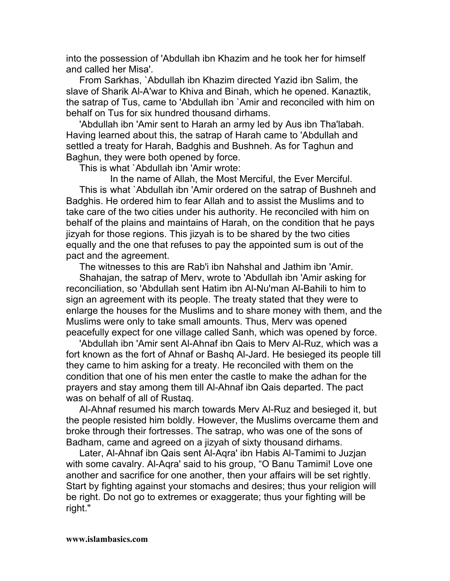into the possession of 'Abdullah ibn Khazim and he took her for himself and called her Misa'.

From Sarkhas, `Abdullah ibn Khazim directed Yazid ibn Salim, the slave of Sharik Al-A'war to Khiva and Binah, which he opened. Kanaztik, the satrap of Tus, came to 'Abdullah ibn `Amir and reconciled with him on behalf on Tus for six hundred thousand dirhams.

'Abdullah ibn 'Amir sent to Harah an army led by Aus ibn Tha'labah. Having learned about this, the satrap of Harah came to 'Abdullah and settled a treaty for Harah, Badghis and Bushneh. As for Taghun and Baghun, they were both opened by force.

This is what `Abdullah ibn 'Amir wrote:

In the name of Allah, the Most Merciful, the Ever Merciful. This is what `Abdullah ibn 'Amir ordered on the satrap of Bushneh and Badghis. He ordered him to fear Allah and to assist the Muslims and to take care of the two cities under his authority. He reconciled with him on behalf of the plains and maintains of Harah, on the condition that he pays jizyah for those regions. This jizyah is to be shared by the two cities equally and the one that refuses to pay the appointed sum is out of the pact and the agreement.

The witnesses to this are Rab'i ibn Nahshal and Jathim ibn 'Amir.

Shahajan, the satrap of Merv, wrote to 'Abdullah ibn 'Amir asking for reconciliation, so 'Abdullah sent Hatim ibn Al-Nu'man Al-Bahili to him to sign an agreement with its people. The treaty stated that they were to enlarge the houses for the Muslims and to share money with them, and the Muslims were only to take small amounts. Thus, Merv was opened peacefully expect for one village called Sanh, which was opened by force.

'Abdullah ibn 'Amir sent Al-Ahnaf ibn Qais to Merv Al-Ruz, which was a fort known as the fort of Ahnaf or Bashq Al-Jard. He besieged its people till they came to him asking for a treaty. He reconciled with them on the condition that one of his men enter the castle to make the adhan for the prayers and stay among them till Al-Ahnaf ibn Qais departed. The pact was on behalf of all of Rustaq.

Al-Ahnaf resumed his march towards Merv Al-Ruz and besieged it, but the people resisted him boldly. However, the Muslims overcame them and broke through their fortresses. The satrap, who was one of the sons of Badham, came and agreed on a jizyah of sixty thousand dirhams.

Later, Al-Ahnaf ibn Qais sent Al-Aqra' ibn Habis Al-Tamimi to Juzjan with some cavalry. Al-Aqra' said to his group, "O Banu Tamimi! Love one another and sacrifice for one another, then your affairs will be set rightly. Start by fighting against your stomachs and desires; thus your religion will be right. Do not go to extremes or exaggerate; thus your fighting will be right."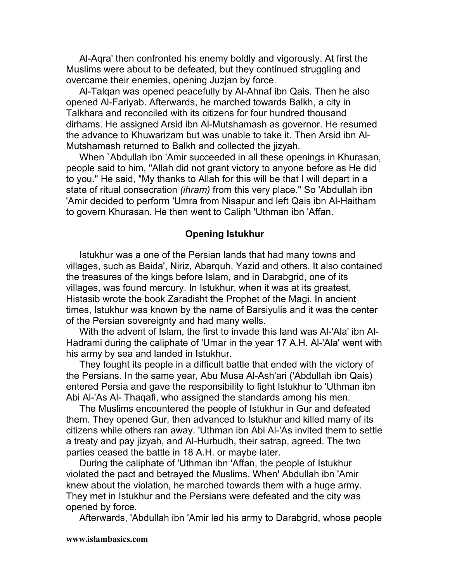Al-Aqra' then confronted his enemy boldly and vigorously. At first the Muslims were about to be defeated, but they continued struggling and overcame their enemies, opening Juzjan by force.

Al-Talqan was opened peacefully by Al-Ahnaf ibn Qais. Then he also opened Al-Fariyab. Afterwards, he marched towards Balkh, a city in Talkhara and reconciled with its citizens for four hundred thousand dirhams. He assigned Arsid ibn Al-Mutshamash as governor. He resumed the advance to Khuwarizam but was unable to take it. Then Arsid ibn Al-Mutshamash returned to Balkh and collected the jizyah.

When `Abdullah ibn 'Amir succeeded in all these openings in Khurasan, people said to him, "Allah did not grant victory to anyone before as He did to you." He said, "My thanks to Allah for this will be that I will depart in a state of ritual consecration *(ihram)* from this very place." So 'Abdullah ibn 'Amir decided to perform 'Umra from Nisapur and left Qais ibn Al-Haitham to govern Khurasan. He then went to Caliph 'Uthman ibn 'Affan.

### **Opening Istukhur**

Istukhur was a one of the Persian lands that had many towns and villages, such as Baida', Niriz, Abarquh, Yazid and others. It also contained the treasures of the kings before Islam, and in Darabgrid, one of its villages, was found mercury. In Istukhur, when it was at its greatest, Histasib wrote the book Zaradisht the Prophet of the Magi. In ancient times, Istukhur was known by the name of Barsiyulis and it was the center of the Persian sovereignty and had many wells.

With the advent of Islam, the first to invade this land was Al-'Ala' ibn Al-Hadrami during the caliphate of 'Umar in the year 17 A.H. Al-'Ala' went with his army by sea and landed in Istukhur.

They fought its people in a difficult battle that ended with the victory of the Persians. In the same year, Abu Musa Al-Ash'ari ('Abdullah ibn Qais) entered Persia and gave the responsibility to fight Istukhur to 'Uthman ibn Abi Al-'As Al- Thaqafi, who assigned the standards among his men.

The Muslims encountered the people of Istukhur in Gur and defeated them. They opened Gur, then advanced to Istukhur and killed many of its citizens while others ran away. 'Uthman ibn Abi Al-'As invited them to settle a treaty and pay jizyah, and Al-Hurbudh, their satrap, agreed. The two parties ceased the battle in 18 A.H. or maybe later.

During the caliphate of 'Uthman ibn 'Affan, the people of Istukhur violated the pact and betrayed the Muslims. When' Abdullah ibn 'Amir knew about the violation, he marched towards them with a huge army. They met in Istukhur and the Persians were defeated and the city was opened by force.

Afterwards, 'Abdullah ibn 'Amir led his army to Darabgrid, whose people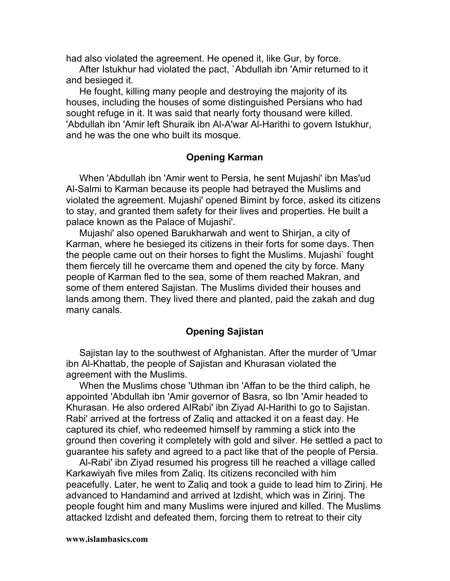had also violated the agreement. He opened it, like Gur, by force.

After Istukhur had violated the pact, `Abdullah ibn 'Amir returned to it and besieged it.

He fought, killing many people and destroying the majority of its houses, including the houses of some distinguished Persians who had sought refuge in it. It was said that nearly forty thousand were killed. 'Abdullah ibn 'Amir left Shuraik ibn Al-A'war Al-Harithi to govern Istukhur, and he was the one who built its mosque.

## **Opening Karman**

When 'Abdullah ibn 'Amir went to Persia, he sent Mujashi' ibn Mas'ud Al-Salmi to Karman because its people had betrayed the Muslims and violated the agreement. Mujashi' opened Bimint by force, asked its citizens to stay, and granted them safety for their lives and properties. He built a palace known as the Palace of Mujashi'.

Mujashi' also opened Barukharwah and went to Shirjan, a city of Karman, where he besieged its citizens in their forts for some days. Then the people came out on their horses to fight the Muslims. Mujashi` fought them fiercely till he overcame them and opened the city by force. Many people of Karman fled to the sea, some of them reached Makran, and some of them entered Sajistan. The Muslims divided their houses and lands among them. They lived there and planted, paid the zakah and dug many canals.

## **Opening Sajistan**

Sajistan lay to the southwest of Afghanistan. After the murder of 'Umar ibn Al-Khattab, the people of Sajistan and Khurasan violated the agreement with the Muslims.

When the Muslims chose 'Uthman ibn 'Affan to be the third caliph, he appointed 'Abdullah ibn 'Amir governor of Basra, so Ibn 'Amir headed to Khurasan. He also ordered AIRabi' ibn Ziyad Al-Harithi to go to Sajistan. Rabi' arrived at the fortress of Zaliq and attacked it on a feast day. He captured its chief, who redeemed himself by ramming a stick into the ground then covering it completely with gold and silver. He settled a pact to guarantee his safety and agreed to a pact like that of the people of Persia.

Al-Rabi' ibn Ziyad resumed his progress till he reached a village called Karkawiyah five miles from Zaliq. Its citizens reconciled with him peacefully. Later, he went to Zaliq and took a guide to lead him to Zirinj. He advanced to Handamind and arrived at Izdisht, which was in Zirinj. The people fought him and many Muslims were injured and killed. The Muslims attacked Izdisht and defeated them, forcing them to retreat to their city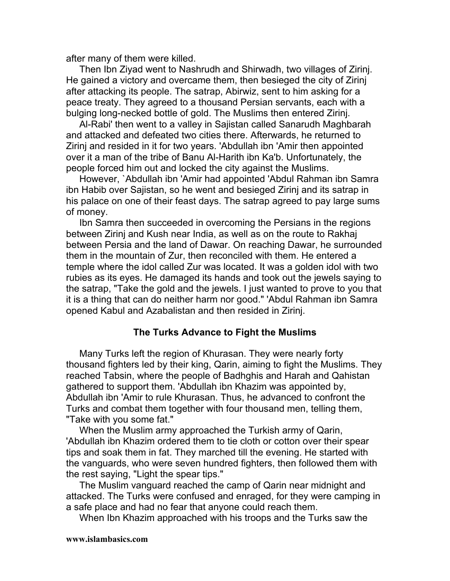after many of them were killed.

Then Ibn Ziyad went to Nashrudh and Shirwadh, two villages of Zirinj. He gained a victory and overcame them, then besieged the city of Zirinj after attacking its people. The satrap, Abirwiz, sent to him asking for a peace treaty. They agreed to a thousand Persian servants, each with a bulging long-necked bottle of gold. The Muslims then entered Zirinj.

Al-Rabi' then went to a valley in Sajistan called Sanarudh Maghbarah and attacked and defeated two cities there. Afterwards, he returned to Zirinj and resided in it for two years. 'Abdullah ibn 'Amir then appointed over it a man of the tribe of Banu Al-Harith ibn Ka'b. Unfortunately, the people forced him out and locked the city against the Muslims.

However, `Abdullah ibn 'Amir had appointed 'Abdul Rahman ibn Samra ibn Habib over Sajistan, so he went and besieged Zirinj and its satrap in his palace on one of their feast days. The satrap agreed to pay large sums of money.

Ibn Samra then succeeded in overcoming the Persians in the regions between Zirinj and Kush near India, as well as on the route to Rakhaj between Persia and the land of Dawar. On reaching Dawar, he surrounded them in the mountain of Zur, then reconciled with them. He entered a temple where the idol called Zur was located. It was a golden idol with two rubies as its eyes. He damaged its hands and took out the jewels saying to the satrap, "Take the gold and the jewels. I just wanted to prove to you that it is a thing that can do neither harm nor good." 'Abdul Rahman ibn Samra opened Kabul and Azabalistan and then resided in Zirinj.

## **The Turks Advance to Fight the Muslims**

Many Turks left the region of Khurasan. They were nearly forty thousand fighters led by their king, Qarin, aiming to fight the Muslims. They reached Tabsin, where the people of Badhghis and Harah and Qahistan gathered to support them. 'Abdullah ibn Khazim was appointed by, Abdullah ibn 'Amir to rule Khurasan. Thus, he advanced to confront the Turks and combat them together with four thousand men, telling them, "Take with you some fat."

When the Muslim army approached the Turkish army of Qarin, 'Abdullah ibn Khazim ordered them to tie cloth or cotton over their spear tips and soak them in fat. They marched till the evening. He started with the vanguards, who were seven hundred fighters, then followed them with the rest saying, "Light the spear tips."

The Muslim vanguard reached the camp of Qarin near midnight and attacked. The Turks were confused and enraged, for they were camping in a safe place and had no fear that anyone could reach them.

When Ibn Khazim approached with his troops and the Turks saw the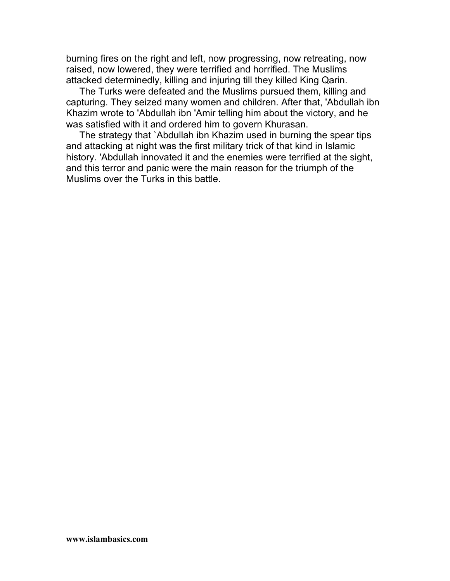burning fires on the right and left, now progressing, now retreating, now raised, now lowered, they were terrified and horrified. The Muslims attacked determinedly, killing and injuring till they killed King Qarin.

The Turks were defeated and the Muslims pursued them, killing and capturing. They seized many women and children. After that, 'Abdullah ibn Khazim wrote to 'Abdullah ibn 'Amir telling him about the victory, and he was satisfied with it and ordered him to govern Khurasan.

The strategy that `Abdullah ibn Khazim used in burning the spear tips and attacking at night was the first military trick of that kind in Islamic history. 'Abdullah innovated it and the enemies were terrified at the sight, and this terror and panic were the main reason for the triumph of the Muslims over the Turks in this battle.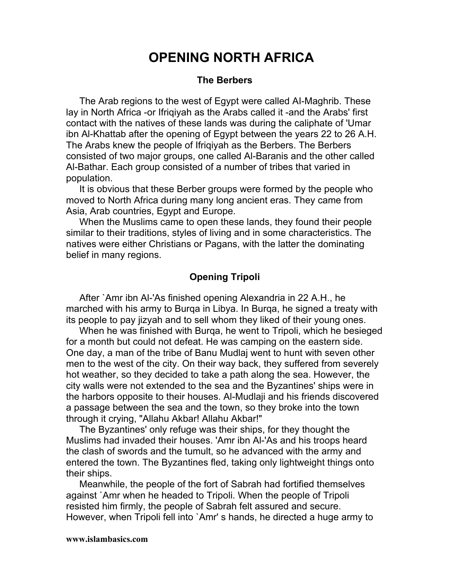# **OPENING NORTH AFRICA**

#### **The Berbers**

The Arab regions to the west of Egypt were called AI-Maghrib. These lay in North Africa -or Ifriqiyah as the Arabs called it -and the Arabs' first contact with the natives of these lands was during the caliphate of 'Umar ibn Al-Khattab after the opening of Egypt between the years 22 to 26 A.H. The Arabs knew the people of Ifriqiyah as the Berbers. The Berbers consisted of two major groups, one called Al-Baranis and the other called Al-Bathar. Each group consisted of a number of tribes that varied in population.

It is obvious that these Berber groups were formed by the people who moved to North Africa during many long ancient eras. They came from Asia, Arab countries, Egypt and Europe.

When the Muslims came to open these lands, they found their people similar to their traditions, styles of living and in some characteristics. The natives were either Christians or Pagans, with the latter the dominating belief in many regions.

### **Opening Tripoli**

After `Amr ibn Al-'As finished opening Alexandria in 22 A.H., he marched with his army to Burqa in Libya. In Burqa, he signed a treaty with its people to pay jizyah and to sell whom they liked of their young ones.

When he was finished with Burqa, he went to Tripoli, which he besieged for a month but could not defeat. He was camping on the eastern side. One day, a man of the tribe of Banu Mudlaj went to hunt with seven other men to the west of the city. On their way back, they suffered from severely hot weather, so they decided to take a path along the sea. However, the city walls were not extended to the sea and the Byzantines' ships were in the harbors opposite to their houses. Al-Mudlaji and his friends discovered a passage between the sea and the town, so they broke into the town through it crying, "Allahu Akbar! Allahu Akbar!"

The Byzantines' only refuge was their ships, for they thought the Muslims had invaded their houses. 'Amr ibn Al-'As and his troops heard the clash of swords and the tumult, so he advanced with the army and entered the town. The Byzantines fled, taking only lightweight things onto their ships.

Meanwhile, the people of the fort of Sabrah had fortified themselves against `Amr when he headed to Tripoli. When the people of Tripoli resisted him firmly, the people of Sabrah felt assured and secure. However, when Tripoli fell into `Amr' s hands, he directed a huge army to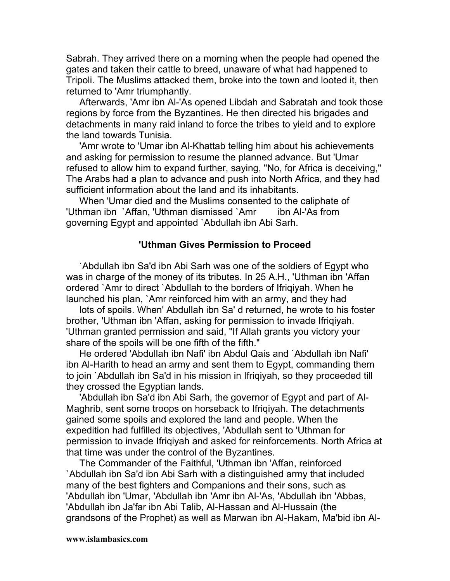Sabrah. They arrived there on a morning when the people had opened the gates and taken their cattle to breed, unaware of what had happened to Tripoli. The Muslims attacked them, broke into the town and looted it, then returned to 'Amr triumphantly.

Afterwards, 'Amr ibn Al-'As opened Libdah and Sabratah and took those regions by force from the Byzantines. He then directed his brigades and detachments in many raid inland to force the tribes to yield and to explore the land towards Tunisia.

'Amr wrote to 'Umar ibn Al-Khattab telling him about his achievements and asking for permission to resume the planned advance. But 'Umar refused to allow him to expand further, saying, "No, for Africa is deceiving," The Arabs had a plan to advance and push into North Africa, and they had sufficient information about the land and its inhabitants.

When 'Umar died and the Muslims consented to the caliphate of 'Uthman ibn `Affan, 'Uthman dismissed `Amr ibn Al-'As from governing Egypt and appointed `Abdullah ibn Abi Sarh.

### **'Uthman Gives Permission to Proceed**

`Abdullah ibn Sa'd ibn Abi Sarh was one of the soldiers of Egypt who was in charge of the money of its tributes. In 25 A.H., 'Uthman ibn 'Affan ordered `Amr to direct `Abdullah to the borders of Ifriqiyah. When he launched his plan, `Amr reinforced him with an army, and they had

lots of spoils. When' Abdullah ibn Sa' d returned, he wrote to his foster brother, 'Uthman ibn 'Affan, asking for permission to invade Ifriqiyah. 'Uthman granted permission and said, "If Allah grants you victory your share of the spoils will be one fifth of the fifth."

He ordered 'Abdullah ibn Nafi' ibn Abdul Qais and `Abdullah ibn Nafi' ibn Al-Harith to head an army and sent them to Egypt, commanding them to join `Abdullah ibn Sa'd in his mission in Ifriqiyah, so they proceeded till they crossed the Egyptian lands.

'Abdullah ibn Sa'd ibn Abi Sarh, the governor of Egypt and part of Al-Maghrib, sent some troops on horseback to Ifriqiyah. The detachments gained some spoils and explored the land and people. When the expedition had fulfilled its objectives, 'Abdullah sent to 'Uthman for permission to invade Ifriqiyah and asked for reinforcements. North Africa at that time was under the control of the Byzantines.

The Commander of the Faithful, 'Uthman ibn 'Affan, reinforced `Abdullah ibn Sa'd ibn Abi Sarh with a distinguished army that included many of the best fighters and Companions and their sons, such as 'Abdullah ibn 'Umar, 'Abdullah ibn 'Amr ibn Al-'As, 'Abdullah ibn 'Abbas, 'Abdullah ibn Ja'far ibn Abi Talib, Al-Hassan and Al-Hussain (the grandsons of the Prophet) as well as Marwan ibn Al-Hakam, Ma'bid ibn Al-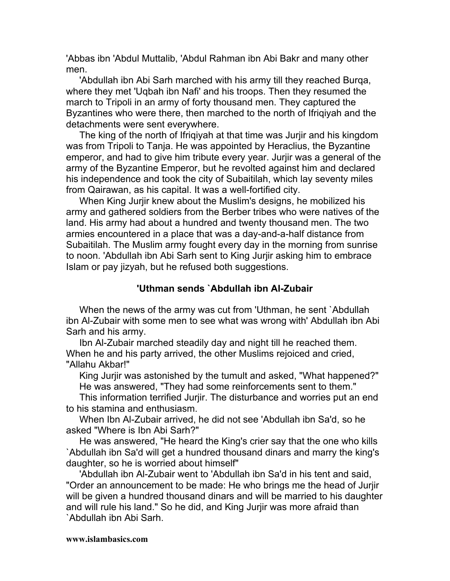'Abbas ibn 'Abdul Muttalib, 'Abdul Rahman ibn Abi Bakr and many other men.

'Abdullah ibn Abi Sarh marched with his army till they reached Burqa, where they met 'Uqbah ibn Nafi' and his troops. Then they resumed the march to Tripoli in an army of forty thousand men. They captured the Byzantines who were there, then marched to the north of Ifriqiyah and the detachments were sent everywhere.

The king of the north of Ifriqiyah at that time was Jurjir and his kingdom was from Tripoli to Tanja. He was appointed by Heraclius, the Byzantine emperor, and had to give him tribute every year. Jurjir was a general of the army of the Byzantine Emperor, but he revolted against him and declared his independence and took the city of Subaitilah, which lay seventy miles from Qairawan, as his capital. It was a well-fortified city.

When King Jurjir knew about the Muslim's designs, he mobilized his army and gathered soldiers from the Berber tribes who were natives of the land. His army had about a hundred and twenty thousand men. The two armies encountered in a place that was a day-and-a-half distance from Subaitilah. The Muslim army fought every day in the morning from sunrise to noon. 'Abdullah ibn Abi Sarh sent to King Jurjir asking him to embrace Islam or pay jizyah, but he refused both suggestions.

# **'Uthman sends `Abdullah ibn AI-Zubair**

When the news of the army was cut from 'Uthman, he sent `Abdullah ibn Al-Zubair with some men to see what was wrong with' Abdullah ibn Abi Sarh and his army.

Ibn Al-Zubair marched steadily day and night till he reached them. When he and his party arrived, the other Muslims rejoiced and cried, "Allahu Akbar!"

King Jurjir was astonished by the tumult and asked, "What happened?" He was answered, "They had some reinforcements sent to them."

This information terrified Jurjir. The disturbance and worries put an end to his stamina and enthusiasm.

When Ibn Al-Zubair arrived, he did not see 'Abdullah ibn Sa'd, so he asked "Where is Ibn Abi Sarh?"

He was answered, "He heard the King's crier say that the one who kills `Abdullah ibn Sa'd will get a hundred thousand dinars and marry the king's daughter, so he is worried about himself"

'Abdullah ibn Al-Zubair went to 'Abdullah ibn Sa'd in his tent and said, "Order an announcement to be made: He who brings me the head of Jurjir will be given a hundred thousand dinars and will be married to his daughter and will rule his land." So he did, and King Jurjir was more afraid than `Abdullah ibn Abi Sarh.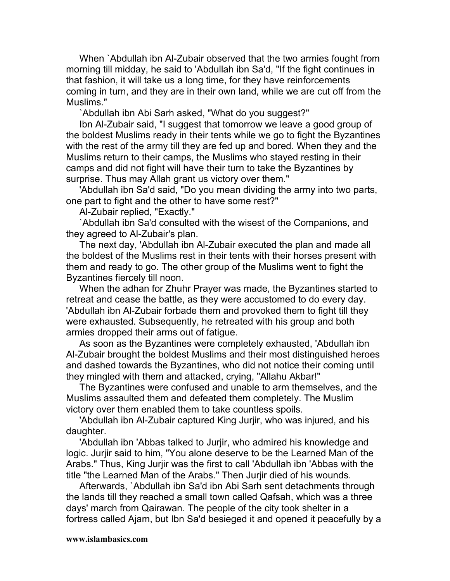When `Abdullah ibn Al-Zubair observed that the two armies fought from morning till midday, he said to 'Abdullah ibn Sa'd, "If the fight continues in that fashion, it will take us a long time, for they have reinforcements coming in turn, and they are in their own land, while we are cut off from the Muslims."

`Abdullah ibn Abi Sarh asked, "What do you suggest?"

Ibn Al-Zubair said, "I suggest that tomorrow we leave a good group of the boldest Muslims ready in their tents while we go to fight the Byzantines with the rest of the army till they are fed up and bored. When they and the Muslims return to their camps, the Muslims who stayed resting in their camps and did not fight will have their turn to take the Byzantines by surprise. Thus may Allah grant us victory over them."

'Abdullah ibn Sa'd said, "Do you mean dividing the army into two parts, one part to fight and the other to have some rest?"

Al-Zubair replied, "Exactly."

`Abdullah ibn Sa'd consulted with the wisest of the Companions, and they agreed to Al-Zubair's plan.

The next day, 'Abdullah ibn Al-Zubair executed the plan and made all the boldest of the Muslims rest in their tents with their horses present with them and ready to go. The other group of the Muslims went to fight the Byzantines fiercely till noon.

When the adhan for Zhuhr Prayer was made, the Byzantines started to retreat and cease the battle, as they were accustomed to do every day. 'Abdullah ibn Al-Zubair forbade them and provoked them to fight till they were exhausted. Subsequently, he retreated with his group and both armies dropped their arms out of fatigue.

As soon as the Byzantines were completely exhausted, 'Abdullah ibn Al-Zubair brought the boldest Muslims and their most distinguished heroes and dashed towards the Byzantines, who did not notice their coming until they mingled with them and attacked, crying, "Allahu Akbar!"

The Byzantines were confused and unable to arm themselves, and the Muslims assaulted them and defeated them completely. The Muslim victory over them enabled them to take countless spoils.

'Abdullah ibn Al-Zubair captured King Jurjir, who was injured, and his daughter.

'Abdullah ibn 'Abbas talked to Jurjir, who admired his knowledge and logic. Jurjir said to him, "You alone deserve to be the Learned Man of the Arabs." Thus, King Jurjir was the first to call 'Abdullah ibn 'Abbas with the title "the Learned Man of the Arabs." Then Jurjir died of his wounds.

Afterwards, `Abdullah ibn Sa'd ibn Abi Sarh sent detachments through the lands till they reached a small town called Qafsah, which was a three days' march from Qairawan. The people of the city took shelter in a fortress called Ajam, but Ibn Sa'd besieged it and opened it peacefully by a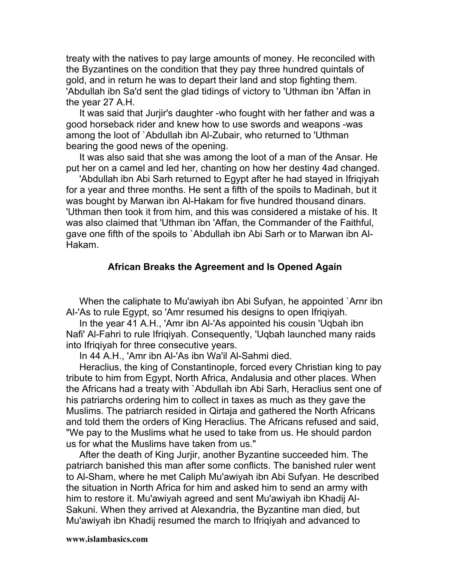treaty with the natives to pay large amounts of money. He reconciled with the Byzantines on the condition that they pay three hundred quintals of gold, and in return he was to depart their land and stop fighting them. 'Abdullah ibn Sa'd sent the glad tidings of victory to 'Uthman ibn 'Affan in the year 27 A.H.

It was said that Jurjir's daughter -who fought with her father and was a good horseback rider and knew how to use swords and weapons -was among the loot of `Abdullah ibn Al-Zubair, who returned to 'Uthman bearing the good news of the opening.

It was also said that she was among the loot of a man of the Ansar. He put her on a camel and led her, chanting on how her destiny 4ad changed.

'Abdullah ibn Abi Sarh returned to Egypt after he had stayed in Ifriqiyah for a year and three months. He sent a fifth of the spoils to Madinah, but it was bought by Marwan ibn Al-Hakam for five hundred thousand dinars. 'Uthman then took it from him, and this was considered a mistake of his. It was also claimed that 'Uthman ibn 'Affan, the Commander of the Faithful, gave one fifth of the spoils to `Abdullah ibn Abi Sarh or to Marwan ibn Al-Hakam.

### **African Breaks the Agreement and Is Opened Again**

When the caliphate to Mu'awiyah ibn Abi Sufyan, he appointed `Arnr ibn Al-'As to rule Egypt, so 'Amr resumed his designs to open Ifriqiyah.

In the year 41 A.H., 'Amr ibn Al-'As appointed his cousin 'Uqbah ibn Nafi' Al-Fahri to rule Ifriqiyah. Consequently, 'Uqbah launched many raids into Ifriqiyah for three consecutive years.

In 44 A.H., 'Amr ibn Al-'As ibn Wa'il Al-Sahmi died.

Heraclius, the king of Constantinople, forced every Christian king to pay tribute to him from Egypt, North Africa, Andalusia and other places. When the Africans had a treaty with `Abdullah ibn Abi Sarh, Heraclius sent one of his patriarchs ordering him to collect in taxes as much as they gave the Muslims. The patriarch resided in Qirtaja and gathered the North Africans and told them the orders of King Heraclius. The Africans refused and said, "We pay to the Muslims what he used to take from us. He should pardon us for what the Muslims have taken from us."

After the death of King Jurjir, another Byzantine succeeded him. The patriarch banished this man after some conflicts. The banished ruler went to Al-Sham, where he met Caliph Mu'awiyah ibn Abi Sufyan. He described the situation in North Africa for him and asked him to send an army with him to restore it. Mu'awiyah agreed and sent Mu'awiyah ibn Khadij Al-Sakuni. When they arrived at Alexandria, the Byzantine man died, but Mu'awiyah ibn Khadij resumed the march to Ifriqiyah and advanced to

#### **www.islambasics.com**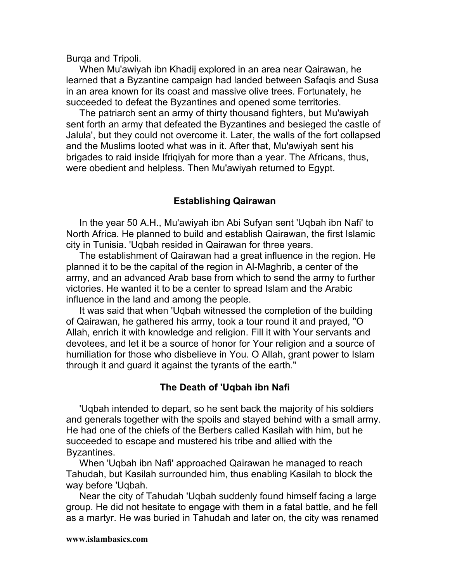Burqa and Tripoli.

When Mu'awiyah ibn Khadij explored in an area near Qairawan, he learned that a Byzantine campaign had landed between Safaqis and Susa in an area known for its coast and massive olive trees. Fortunately, he succeeded to defeat the Byzantines and opened some territories.

The patriarch sent an army of thirty thousand fighters, but Mu'awiyah sent forth an army that defeated the Byzantines and besieged the castle of Jalula', but they could not overcome it. Later, the walls of the fort collapsed and the Muslims looted what was in it. After that, Mu'awiyah sent his brigades to raid inside Ifriqiyah for more than a year. The Africans, thus, were obedient and helpless. Then Mu'awiyah returned to Egypt.

# **Establishing Qairawan**

In the year 50 A.H., Mu'awiyah ibn Abi Sufyan sent 'Uqbah ibn Nafi' to North Africa. He planned to build and establish Qairawan, the first Islamic city in Tunisia. 'Uqbah resided in Qairawan for three years.

The establishment of Qairawan had a great influence in the region. He planned it to be the capital of the region in Al-Maghrib, a center of the army, and an advanced Arab base from which to send the army to further victories. He wanted it to be a center to spread Islam and the Arabic influence in the land and among the people.

It was said that when 'Uqbah witnessed the completion of the building of Qairawan, he gathered his army, took a tour round it and prayed, "O Allah, enrich it with knowledge and religion. Fill it with Your servants and devotees, and let it be a source of honor for Your religion and a source of humiliation for those who disbelieve in You. O Allah, grant power to Islam through it and guard it against the tyrants of the earth."

## **The Death of 'Uqbah ibn Nafi**

'Uqbah intended to depart, so he sent back the majority of his soldiers and generals together with the spoils and stayed behind with a small army. He had one of the chiefs of the Berbers called Kasilah with him, but he succeeded to escape and mustered his tribe and allied with the Byzantines.

When 'Uqbah ibn Nafi' approached Qairawan he managed to reach Tahudah, but Kasilah surrounded him, thus enabling Kasilah to block the way before 'Uqbah.

Near the city of Tahudah 'Uqbah suddenly found himself facing a large group. He did not hesitate to engage with them in a fatal battle, and he fell as a martyr. He was buried in Tahudah and later on, the city was renamed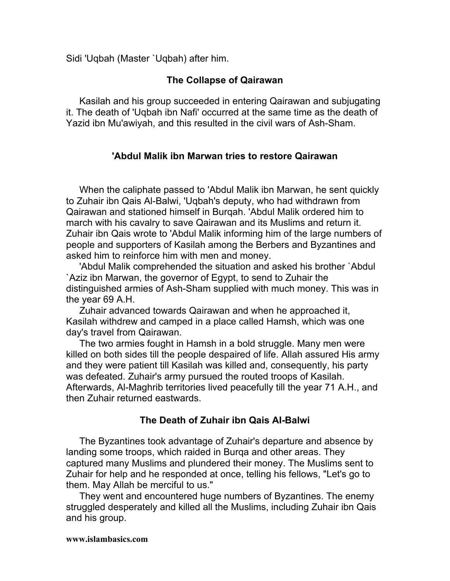Sidi 'Uqbah (Master `Uqbah) after him.

# **The Collapse of Qairawan**

Kasilah and his group succeeded in entering Qairawan and subjugating it. The death of 'Uqbah ibn Nafi' occurred at the same time as the death of Yazid ibn Mu'awiyah, and this resulted in the civil wars of Ash-Sham.

# **'Abdul Malik ibn Marwan tries to restore Qairawan**

When the caliphate passed to 'Abdul Malik ibn Marwan, he sent quickly to Zuhair ibn Qais Al-Balwi, 'Uqbah's deputy, who had withdrawn from Qairawan and stationed himself in Burqah. 'Abdul Malik ordered him to march with his cavalry to save Qairawan and its Muslims and return it. Zuhair ibn Qais wrote to 'Abdul Malik informing him of the large numbers of people and supporters of Kasilah among the Berbers and Byzantines and asked him to reinforce him with men and money.

'Abdul Malik comprehended the situation and asked his brother `Abdul `Aziz ibn Marwan, the governor of Egypt, to send to Zuhair the distinguished armies of Ash-Sham supplied with much money. This was in the year 69 A.H.

Zuhair advanced towards Qairawan and when he approached it, Kasilah withdrew and camped in a place called Hamsh, which was one day's travel from Qairawan.

The two armies fought in Hamsh in a bold struggle. Many men were killed on both sides till the people despaired of life. Allah assured His army and they were patient till Kasilah was killed and, consequently, his party was defeated. Zuhair's army pursued the routed troops of Kasilah. Afterwards, Al-Maghrib territories lived peacefully till the year 71 A.H., and then Zuhair returned eastwards.

# **The Death of Zuhair ibn Qais AI-Balwi**

The Byzantines took advantage of Zuhair's departure and absence by landing some troops, which raided in Burqa and other areas. They captured many Muslims and plundered their money. The Muslims sent to Zuhair for help and he responded at once, telling his fellows, "Let's go to them. May Allah be merciful to us."

They went and encountered huge numbers of Byzantines. The enemy struggled desperately and killed all the Muslims, including Zuhair ibn Qais and his group.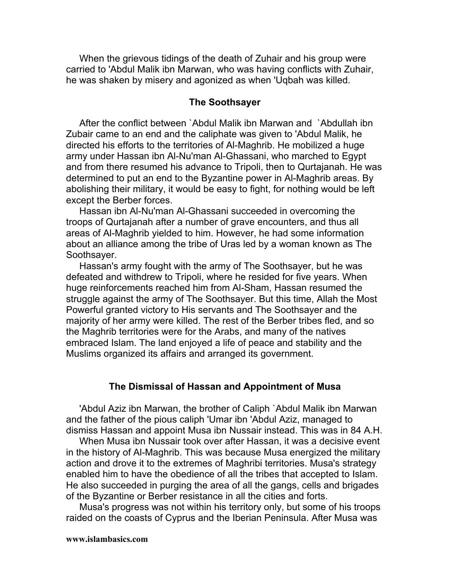When the grievous tidings of the death of Zuhair and his group were carried to 'Abdul Malik ibn Marwan, who was having conflicts with Zuhair, he was shaken by misery and agonized as when 'Uqbah was killed.

#### **The Soothsayer**

After the conflict between `Abdul Malik ibn Marwan and `Abdullah ibn Zubair came to an end and the caliphate was given to 'Abdul Malik, he directed his efforts to the territories of Al-Maghrib. He mobilized a huge army under Hassan ibn Al-Nu'man Al-Ghassani, who marched to Egypt and from there resumed his advance to Tripoli, then to Qurtajanah. He was determined to put an end to the Byzantine power in Al-Maghrib areas. By abolishing their military, it would be easy to fight, for nothing would be left except the Berber forces.

Hassan ibn Al-Nu'man Al-Ghassani succeeded in overcoming the troops of Qurtajanah after a number of grave encounters, and thus all areas of Al-Maghrib yielded to him. However, he had some information about an alliance among the tribe of Uras led by a woman known as The Soothsayer.

Hassan's army fought with the army of The Soothsayer, but he was defeated and withdrew to Tripoli, where he resided for five years. When huge reinforcements reached him from Al-Sham, Hassan resumed the struggle against the army of The Soothsayer. But this time, Allah the Most Powerful granted victory to His servants and The Soothsayer and the majority of her army were killed. The rest of the Berber tribes fled, and so the Maghrib territories were for the Arabs, and many of the natives embraced Islam. The land enjoyed a life of peace and stability and the Muslims organized its affairs and arranged its government.

#### **The Dismissal of Hassan and Appointment of Musa**

'Abdul Aziz ibn Marwan, the brother of Caliph `Abdul Malik ibn Marwan and the father of the pious caliph 'Umar ibn 'Abdul Aziz, managed to dismiss Hassan and appoint Musa ibn Nussair instead. This was in 84 A.H.

When Musa ibn Nussair took over after Hassan, it was a decisive event in the history of Al-Maghrib. This was because Musa energized the military action and drove it to the extremes of Maghribi territories. Musa's strategy enabled him to have the obedience of all the tribes that accepted to Islam. He also succeeded in purging the area of all the gangs, cells and brigades of the Byzantine or Berber resistance in all the cities and forts.

Musa's progress was not within his territory only, but some of his troops raided on the coasts of Cyprus and the Iberian Peninsula. After Musa was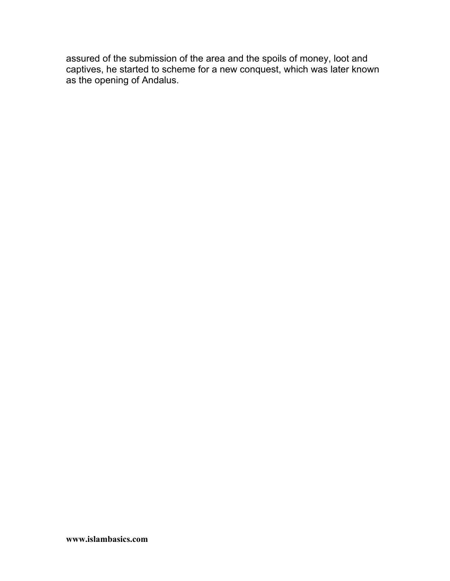assured of the submission of the area and the spoils of money, loot and captives, he started to scheme for a new conquest, which was later known as the opening of Andalus.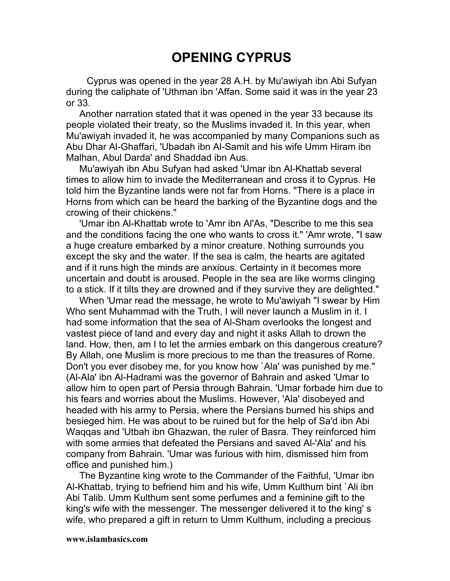# **OPENING CYPRUS**

Cyprus was opened in the year 28 A.H. by Mu'awiyah ibn Abi Sufyan during the caliphate of 'Uthman ibn 'Affan. Some said it was in the year 23 or 33.

Another narration stated that it was opened in the year 33 because its people violated their treaty, so the Muslims invaded it. In this year, when Mu'awiyah invaded it, he was accompanied by many Companions such as Abu Dhar Al-Ghaffari, 'Ubadah ibn Al-Samit and his wife Umm Hiram ibn Malhan, Abul Darda' and Shaddad ibn Aus.

Mu'awiyah ibn Abu Sufyan had asked 'Umar ibn Al-Khattab several times to allow him to invade the Mediterranean and cross it to Cyprus. He told him the Byzantine lands were not far from Horns. "There is a place in Horns from which can be heard the barking of the Byzantine dogs and the crowing of their chickens."

'Umar ibn Al-Khattab wrote to 'Amr ibn Al'As, "Describe to me this sea and the conditions facing the one who wants to cross it." 'Amr wrote, "I saw a huge creature embarked by a minor creature. Nothing surrounds you except the sky and the water. If the sea is calm, the hearts are agitated and if it runs high the minds are anxious. Certainty in it becomes more uncertain and doubt is aroused. People in the sea are like worms clinging to a stick. If it tilts they are drowned and if they survive they are delighted."

When 'Umar read the message, he wrote to Mu'awiyah "I swear by Him Who sent Muhammad with the Truth, I will never launch a Muslim in it. I had some information that the sea of Al-Sham overlooks the longest and vastest piece of land and every day and night it asks Allah to drown the land. How, then, am I to let the armies embark on this dangerous creature? By Allah, one Muslim is more precious to me than the treasures of Rome. Don't you ever disobey me, for you know how `Ala' was punished by me." (Al-Ala' ibn Al-Hadrami was the governor of Bahrain and asked 'Umar to allow him to open part of Persia through Bahrain. 'Umar forbade him due to his fears and worries about the Muslims. However, 'Ala' disobeyed and headed with his army to Persia, where the Persians burned his ships and besieged him. He was about to be ruined but for the help of Sa'd ibn Abi Waqqas and 'Utbah ibn Ghazwan, the ruler of Basra. They reinforced him with some armies that defeated the Persians and saved Al-'Ala' and his company from Bahrain. 'Umar was furious with him, dismissed him from office and punished him.)

The Byzantine king wrote to the Commander of the Faithful, 'Umar ibn Al-Khattab, trying to befriend him and his wife, Umm Kulthum bint `Ali ibn Abi Talib. Umm Kulthum sent some perfumes and a feminine gift to the king's wife with the messenger. The messenger delivered it to the king' s wife, who prepared a gift in return to Umm Kulthum, including a precious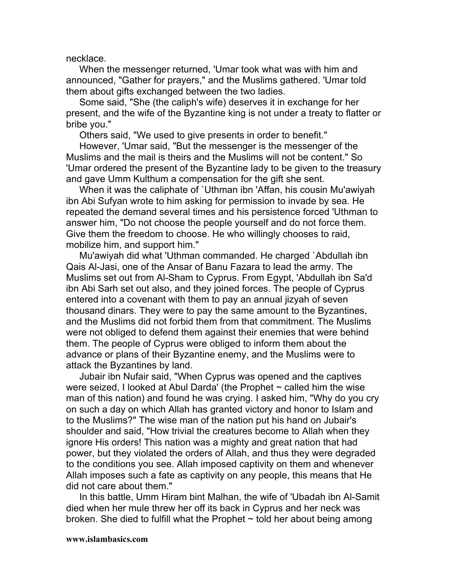necklace.

When the messenger returned, 'Umar took what was with him and announced, "Gather for prayers," and the Muslims gathered. 'Umar told them about gifts exchanged between the two ladies.

Some said, "She (the caliph's wife) deserves it in exchange for her present, and the wife of the Byzantine king is not under a treaty to flatter or bribe you."

Others said, "We used to give presents in order to benefit."

However, 'Umar said, "But the messenger is the messenger of the Muslims and the mail is theirs and the Muslims will not be content." So 'Umar ordered the present of the Byzantine lady to be given to the treasury and gave Umm Kulthum a compensation for the gift she sent.

When it was the caliphate of `Uthman ibn 'Affan, his cousin Mu'awiyah ibn Abi Sufyan wrote to him asking for permission to invade by sea. He repeated the demand several times and his persistence forced 'Uthman to answer him, "Do not choose the people yourself and do not force them. Give them the freedom to choose. He who willingly chooses to raid, mobilize him, and support him."

Mu'awiyah did what 'Uthman commanded. He charged `Abdullah ibn Qais Al-Jasi, one of the Ansar of Banu Fazara to lead the army. The Muslims set out from Al-Sham to Cyprus. From Egypt, 'Abdullah ibn Sa'd ibn Abi Sarh set out also, and they joined forces. The people of Cyprus entered into a covenant with them to pay an annual jizyah of seven thousand dinars. They were to pay the same amount to the Byzantines, and the Muslims did not forbid them from that commitment. The Muslims were not obliged to defend them against their enemies that were behind them. The people of Cyprus were obliged to inform them about the advance or plans of their Byzantine enemy, and the Muslims were to attack the Byzantines by land.

Jubair ibn Nufair said, "When Cyprus was opened and the captives were seized, I looked at Abul Darda' (the Prophet  $\sim$  called him the wise man of this nation) and found he was crying. I asked him, "Why do you cry on such a day on which Allah has granted victory and honor to Islam and to the Muslims?" The wise man of the nation put his hand on Jubair's shoulder and said, "How trivial the creatures become to Allah when they ignore His orders! This nation was a mighty and great nation that had power, but they violated the orders of Allah, and thus they were degraded to the conditions you see. Allah imposed captivity on them and whenever Allah imposes such a fate as captivity on any people, this means that He did not care about them."

In this battle, Umm Hiram bint Malhan, the wife of 'Ubadah ibn Al-Samit died when her mule threw her off its back in Cyprus and her neck was broken. She died to fulfill what the Prophet  $\sim$  told her about being among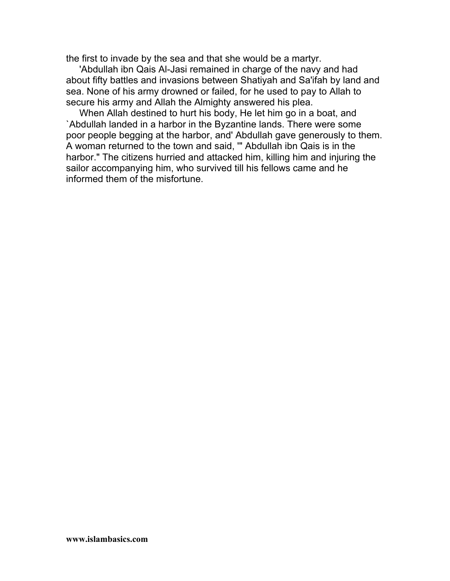the first to invade by the sea and that she would be a martyr.

'Abdullah ibn Qais Al-Jasi remained in charge of the navy and had about fifty battles and invasions between Shatiyah and Sa'ifah by land and sea. None of his army drowned or failed, for he used to pay to Allah to secure his army and Allah the Almighty answered his plea.

When Allah destined to hurt his body, He let him go in a boat, and `Abdullah landed in a harbor in the Byzantine lands. There were some poor people begging at the harbor, and' Abdullah gave generously to them. A woman returned to the town and said, '" Abdullah ibn Qais is in the harbor." The citizens hurried and attacked him, killing him and injuring the sailor accompanying him, who survived till his fellows came and he informed them of the misfortune.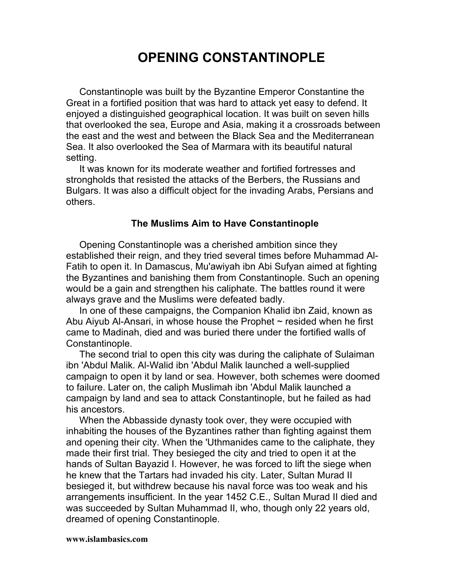# **OPENING CONSTANTINOPLE**

Constantinople was built by the Byzantine Emperor Constantine the Great in a fortified position that was hard to attack yet easy to defend. It enjoyed a distinguished geographical location. It was built on seven hills that overlooked the sea, Europe and Asia, making it a crossroads between the east and the west and between the Black Sea and the Mediterranean Sea. It also overlooked the Sea of Marmara with its beautiful natural setting.

It was known for its moderate weather and fortified fortresses and strongholds that resisted the attacks of the Berbers, the Russians and Bulgars. It was also a difficult object for the invading Arabs, Persians and others.

# **The Muslims Aim to Have Constantinople**

Opening Constantinople was a cherished ambition since they established their reign, and they tried several times before Muhammad Al-Fatih to open it. In Damascus, Mu'awiyah ibn Abi Sufyan aimed at fighting the Byzantines and banishing them from Constantinople. Such an opening would be a gain and strengthen his caliphate. The battles round it were always grave and the Muslims were defeated badly.

In one of these campaigns, the Companion Khalid ibn Zaid, known as Abu Aiyub Al-Ansari, in whose house the Prophet  $\sim$  resided when he first came to Madinah, died and was buried there under the fortified walls of Constantinople.

The second trial to open this city was during the caliphate of Sulaiman ibn 'Abdul Malik. Al-Walid ibn 'Abdul Malik launched a well-supplied campaign to open it by land or sea. However, both schemes were doomed to failure. Later on, the caliph Muslimah ibn 'Abdul Malik launched a campaign by land and sea to attack Constantinople, but he failed as had his ancestors.

When the Abbasside dynasty took over, they were occupied with inhabiting the houses of the Byzantines rather than fighting against them and opening their city. When the 'Uthmanides came to the caliphate, they made their first trial. They besieged the city and tried to open it at the hands of Sultan Bayazid I. However, he was forced to lift the siege when he knew that the Tartars had invaded his city. Later, Sultan Murad II besieged it, but withdrew because his naval force was too weak and his arrangements insufficient. In the year 1452 C.E., Sultan Murad II died and was succeeded by Sultan Muhammad II, who, though only 22 years old, dreamed of opening Constantinople.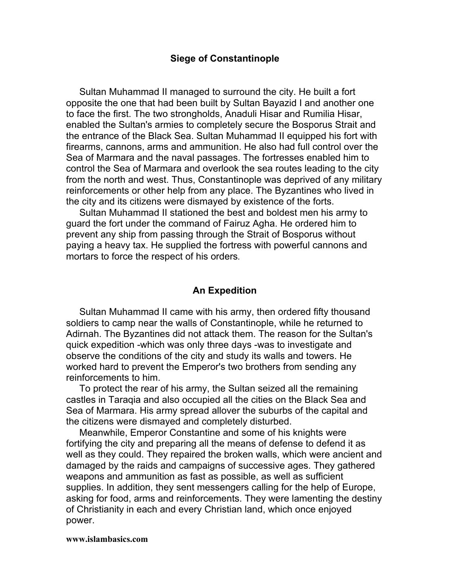#### **Siege of Constantinople**

Sultan Muhammad II managed to surround the city. He built a fort opposite the one that had been built by Sultan Bayazid I and another one to face the first. The two strongholds, Anaduli Hisar and Rumilia Hisar, enabled the Sultan's armies to completely secure the Bosporus Strait and the entrance of the Black Sea. Sultan Muhammad II equipped his fort with firearms, cannons, arms and ammunition. He also had full control over the Sea of Marmara and the naval passages. The fortresses enabled him to control the Sea of Marmara and overlook the sea routes leading to the city from the north and west. Thus, Constantinople was deprived of any military reinforcements or other help from any place. The Byzantines who lived in the city and its citizens were dismayed by existence of the forts.

Sultan Muhammad II stationed the best and boldest men his army to guard the fort under the command of Fairuz Agha. He ordered him to prevent any ship from passing through the Strait of Bosporus without paying a heavy tax. He supplied the fortress with powerful cannons and mortars to force the respect of his orders.

### **An Expedition**

Sultan Muhammad II came with his army, then ordered fifty thousand soldiers to camp near the walls of Constantinople, while he returned to Adirnah. The Byzantines did not attack them. The reason for the Sultan's quick expedition -which was only three days -was to investigate and observe the conditions of the city and study its walls and towers. He worked hard to prevent the Emperor's two brothers from sending any reinforcements to him.

To protect the rear of his army, the Sultan seized all the remaining castles in Taraqia and also occupied all the cities on the Black Sea and Sea of Marmara. His army spread allover the suburbs of the capital and the citizens were dismayed and completely disturbed.

Meanwhile, Emperor Constantine and some of his knights were fortifying the city and preparing all the means of defense to defend it as well as they could. They repaired the broken walls, which were ancient and damaged by the raids and campaigns of successive ages. They gathered weapons and ammunition as fast as possible, as well as sufficient supplies. In addition, they sent messengers calling for the help of Europe, asking for food, arms and reinforcements. They were lamenting the destiny of Christianity in each and every Christian land, which once enjoyed power.

#### **www.islambasics.com**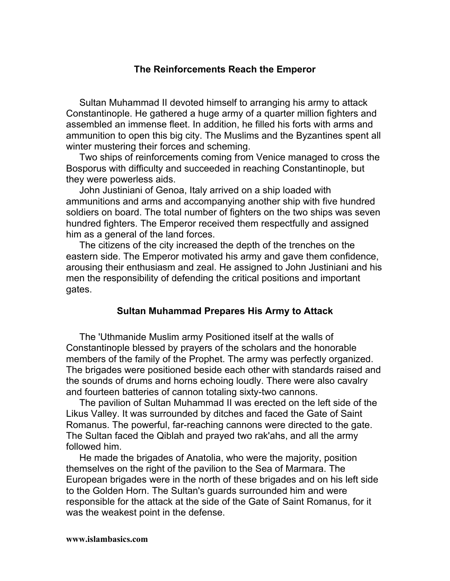## **The Reinforcements Reach the Emperor**

Sultan Muhammad II devoted himself to arranging his army to attack Constantinople. He gathered a huge army of a quarter million fighters and assembled an immense fleet. In addition, he filled his forts with arms and ammunition to open this big city. The Muslims and the Byzantines spent all winter mustering their forces and scheming.

Two ships of reinforcements coming from Venice managed to cross the Bosporus with difficulty and succeeded in reaching Constantinople, but they were powerless aids.

John Justiniani of Genoa, Italy arrived on a ship loaded with ammunitions and arms and accompanying another ship with five hundred soldiers on board. The total number of fighters on the two ships was seven hundred fighters. The Emperor received them respectfully and assigned him as a general of the land forces.

The citizens of the city increased the depth of the trenches on the eastern side. The Emperor motivated his army and gave them confidence, arousing their enthusiasm and zeal. He assigned to John Justiniani and his men the responsibility of defending the critical positions and important gates.

## **Sultan Muhammad Prepares His Army to Attack**

The 'Uthmanide Muslim army Positioned itself at the walls of Constantinople blessed by prayers of the scholars and the honorable members of the family of the Prophet. The army was perfectly organized. The brigades were positioned beside each other with standards raised and the sounds of drums and horns echoing loudly. There were also cavalry and fourteen batteries of cannon totaling sixty-two cannons.

The pavilion of Sultan Muhammad II was erected on the left side of the Likus Valley. It was surrounded by ditches and faced the Gate of Saint Romanus. The powerful, far-reaching cannons were directed to the gate. The Sultan faced the Qiblah and prayed two rak'ahs, and all the army followed him.

He made the brigades of Anatolia, who were the majority, position themselves on the right of the pavilion to the Sea of Marmara. The European brigades were in the north of these brigades and on his left side to the Golden Horn. The Sultan's guards surrounded him and were responsible for the attack at the side of the Gate of Saint Romanus, for it was the weakest point in the defense.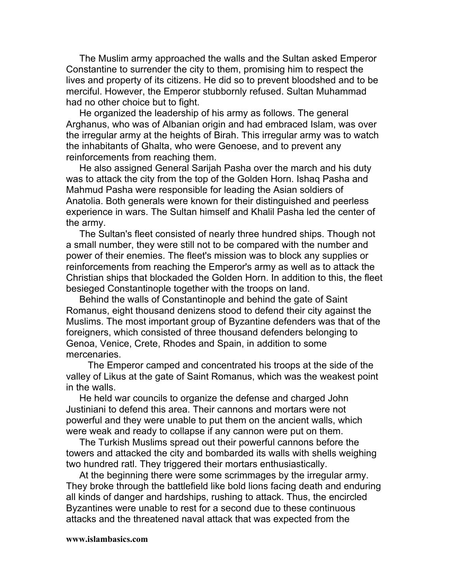The Muslim army approached the walls and the Sultan asked Emperor Constantine to surrender the city to them, promising him to respect the lives and property of its citizens. He did so to prevent bloodshed and to be merciful. However, the Emperor stubbornly refused. Sultan Muhammad had no other choice but to fight.

He organized the leadership of his army as follows. The general Arghanus, who was of Albanian origin and had embraced Islam, was over the irregular army at the heights of Birah. This irregular army was to watch the inhabitants of Ghalta, who were Genoese, and to prevent any reinforcements from reaching them.

He also assigned General Sarijah Pasha over the march and his duty was to attack the city from the top of the Golden Horn. Ishaq Pasha and Mahmud Pasha were responsible for leading the Asian soldiers of Anatolia. Both generals were known for their distinguished and peerless experience in wars. The Sultan himself and Khalil Pasha led the center of the army.

The Sultan's fleet consisted of nearly three hundred ships. Though not a small number, they were still not to be compared with the number and power of their enemies. The fleet's mission was to block any supplies or reinforcements from reaching the Emperor's army as well as to attack the Christian ships that blockaded the Golden Horn. In addition to this, the fleet besieged Constantinople together with the troops on land.

Behind the walls of Constantinople and behind the gate of Saint Romanus, eight thousand denizens stood to defend their city against the Muslims. The most important group of Byzantine defenders was that of the foreigners, which consisted of three thousand defenders belonging to Genoa, Venice, Crete, Rhodes and Spain, in addition to some mercenaries.

The Emperor camped and concentrated his troops at the side of the valley of Likus at the gate of Saint Romanus, which was the weakest point in the walls.

He held war councils to organize the defense and charged John Justiniani to defend this area. Their cannons and mortars were not powerful and they were unable to put them on the ancient walls, which were weak and ready to collapse if any cannon were put on them.

The Turkish Muslims spread out their powerful cannons before the towers and attacked the city and bombarded its walls with shells weighing two hundred ratl. They triggered their mortars enthusiastically.

At the beginning there were some scrimmages by the irregular army. They broke through the battlefield like bold lions facing death and enduring all kinds of danger and hardships, rushing to attack. Thus, the encircled Byzantines were unable to rest for a second due to these continuous attacks and the threatened naval attack that was expected from the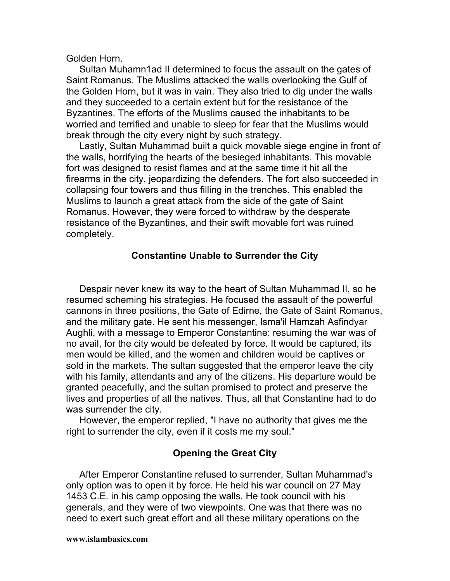Golden Horn.

Sultan Muhamn1ad II determined to focus the assault on the gates of Saint Romanus. The Muslims attacked the walls overlooking the Gulf of the Golden Horn, but it was in vain. They also tried to dig under the walls and they succeeded to a certain extent but for the resistance of the Byzantines. The efforts of the Muslims caused the inhabitants to be worried and terrified and unable to sleep for fear that the Muslims would break through the city every night by such strategy.

Lastly, Sultan Muhammad built a quick movable siege engine in front of the walls, horrifying the hearts of the besieged inhabitants. This movable fort was designed to resist flames and at the same time it hit all the firearms in the city, jeopardizing the defenders. The fort also succeeded in collapsing four towers and thus filling in the trenches. This enabled the Muslims to launch a great attack from the side of the gate of Saint Romanus. However, they were forced to withdraw by the desperate resistance of the Byzantines, and their swift movable fort was ruined completely.

## **Constantine Unable to Surrender the City**

Despair never knew its way to the heart of Sultan Muhammad II, so he resumed scheming his strategies. He focused the assault of the powerful cannons in three positions, the Gate of Edirne, the Gate of Saint Romanus, and the military gate. He sent his messenger, Isma'il Hamzah Asfindyar Aughli, with a message to Emperor Constantine: resuming the war was of no avail, for the city would be defeated by force. It would be captured, its men would be killed, and the women and children would be captives or sold in the markets. The sultan suggested that the emperor leave the city with his family, attendants and any of the citizens. His departure would be granted peacefully, and the sultan promised to protect and preserve the lives and properties of all the natives. Thus, all that Constantine had to do was surrender the city.

However, the emperor replied, "I have no authority that gives me the right to surrender the city, even if it costs me my soul."

# **Opening the Great City**

After Emperor Constantine refused to surrender, Sultan Muhammad's only option was to open it by force. He held his war council on 27 May 1453 C.E. in his camp opposing the walls. He took council with his generals, and they were of two viewpoints. One was that there was no need to exert such great effort and all these military operations on the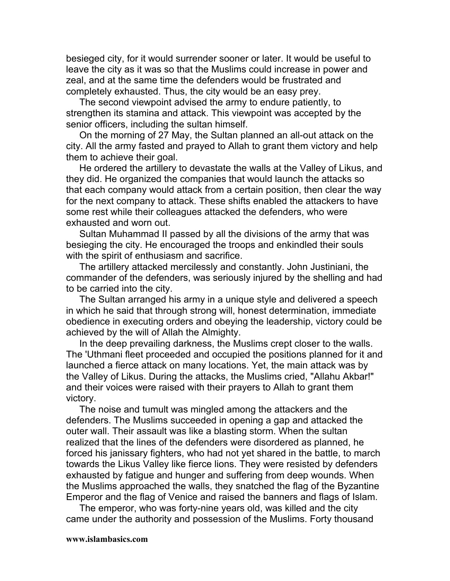besieged city, for it would surrender sooner or later. It would be useful to leave the city as it was so that the Muslims could increase in power and zeal, and at the same time the defenders would be frustrated and completely exhausted. Thus, the city would be an easy prey.

The second viewpoint advised the army to endure patiently, to strengthen its stamina and attack. This viewpoint was accepted by the senior officers, including the sultan himself.

On the morning of 27 May, the Sultan planned an all-out attack on the city. All the army fasted and prayed to Allah to grant them victory and help them to achieve their goal.

He ordered the artillery to devastate the walls at the Valley of Likus, and they did. He organized the companies that would launch the attacks so that each company would attack from a certain position, then clear the way for the next company to attack. These shifts enabled the attackers to have some rest while their colleagues attacked the defenders, who were exhausted and worn out.

Sultan Muhammad II passed by all the divisions of the army that was besieging the city. He encouraged the troops and enkindled their souls with the spirit of enthusiasm and sacrifice.

The artillery attacked mercilessly and constantly. John Justiniani, the commander of the defenders, was seriously injured by the shelling and had to be carried into the city.

The Sultan arranged his army in a unique style and delivered a speech in which he said that through strong will, honest determination, immediate obedience in executing orders and obeying the leadership, victory could be achieved by the will of Allah the Almighty.

In the deep prevailing darkness, the Muslims crept closer to the walls. The 'Uthmani fleet proceeded and occupied the positions planned for it and launched a fierce attack on many locations. Yet, the main attack was by the Valley of Likus. During the attacks, the Muslims cried, "Allahu Akbar!" and their voices were raised with their prayers to Allah to grant them victory.

The noise and tumult was mingled among the attackers and the defenders. The Muslims succeeded in opening a gap and attacked the outer wall. Their assault was like a blasting storm. When the sultan realized that the lines of the defenders were disordered as planned, he forced his janissary fighters, who had not yet shared in the battle, to march towards the Likus Valley like fierce lions. They were resisted by defenders exhausted by fatigue and hunger and suffering from deep wounds. When the Muslims approached the walls, they snatched the flag of the Byzantine Emperor and the flag of Venice and raised the banners and flags of Islam.

The emperor, who was forty-nine years old, was killed and the city came under the authority and possession of the Muslims. Forty thousand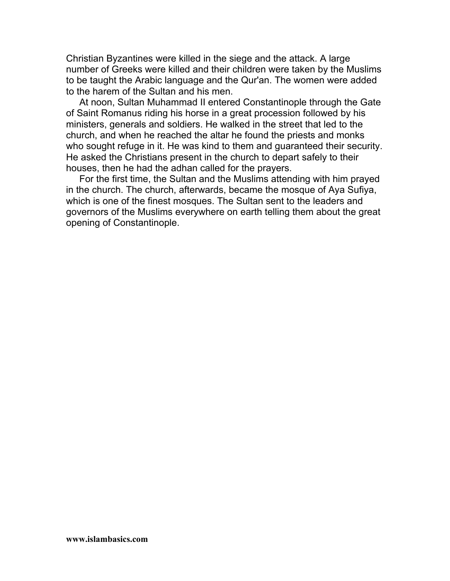Christian Byzantines were killed in the siege and the attack. A large number of Greeks were killed and their children were taken by the Muslims to be taught the Arabic language and the Qur'an. The women were added to the harem of the Sultan and his men.

At noon, Sultan Muhammad II entered Constantinople through the Gate of Saint Romanus riding his horse in a great procession followed by his ministers, generals and soldiers. He walked in the street that led to the church, and when he reached the altar he found the priests and monks who sought refuge in it. He was kind to them and guaranteed their security. He asked the Christians present in the church to depart safely to their houses, then he had the adhan called for the prayers.

For the first time, the Sultan and the Muslims attending with him prayed in the church. The church, afterwards, became the mosque of Aya Sufiya, which is one of the finest mosques. The Sultan sent to the leaders and governors of the Muslims everywhere on earth telling them about the great opening of Constantinople.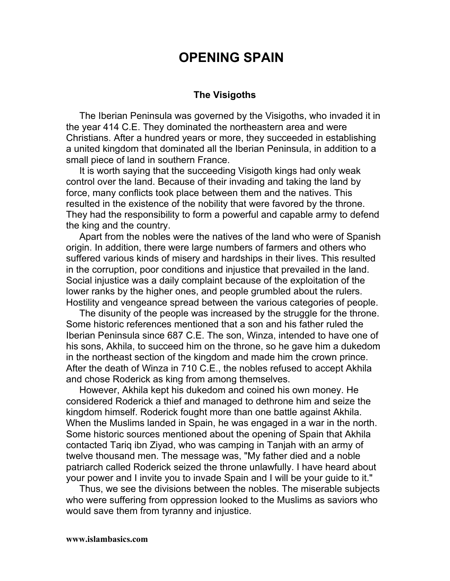# **OPENING SPAIN**

#### **The Visigoths**

The Iberian Peninsula was governed by the Visigoths, who invaded it in the year 414 C.E. They dominated the northeastern area and were Christians. After a hundred years or more, they succeeded in establishing a united kingdom that dominated all the Iberian Peninsula, in addition to a small piece of land in southern France.

It is worth saying that the succeeding Visigoth kings had only weak control over the land. Because of their invading and taking the land by force, many conflicts took place between them and the natives. This resulted in the existence of the nobility that were favored by the throne. They had the responsibility to form a powerful and capable army to defend the king and the country.

Apart from the nobles were the natives of the land who were of Spanish origin. In addition, there were large numbers of farmers and others who suffered various kinds of misery and hardships in their lives. This resulted in the corruption, poor conditions and injustice that prevailed in the land. Social injustice was a daily complaint because of the exploitation of the lower ranks by the higher ones, and people grumbled about the rulers. Hostility and vengeance spread between the various categories of people.

The disunity of the people was increased by the struggle for the throne. Some historic references mentioned that a son and his father ruled the Iberian Peninsula since 687 C.E. The son, Winza, intended to have one of his sons, Akhila, to succeed him on the throne, so he gave him a dukedom in the northeast section of the kingdom and made him the crown prince. After the death of Winza in 710 C.E., the nobles refused to accept Akhila and chose Roderick as king from among themselves.

However, Akhila kept his dukedom and coined his own money. He considered Roderick a thief and managed to dethrone him and seize the kingdom himself. Roderick fought more than one battle against Akhila. When the Muslims landed in Spain, he was engaged in a war in the north. Some historic sources mentioned about the opening of Spain that Akhila contacted Tariq ibn Ziyad, who was camping in Tanjah with an army of twelve thousand men. The message was, "My father died and a noble patriarch called Roderick seized the throne unlawfully. I have heard about your power and I invite you to invade Spain and I will be your guide to it."

Thus, we see the divisions between the nobles. The miserable subjects who were suffering from oppression looked to the Muslims as saviors who would save them from tyranny and injustice.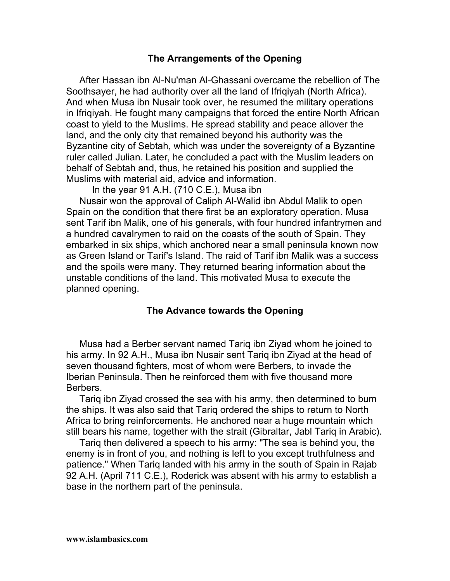# **The Arrangements of the Opening**

After Hassan ibn Al-Nu'man Al-Ghassani overcame the rebellion of The Soothsayer, he had authority over all the land of Ifriqiyah (North Africa). And when Musa ibn Nusair took over, he resumed the military operations in Ifriqiyah. He fought many campaigns that forced the entire North African coast to yield to the Muslims. He spread stability and peace allover the land, and the only city that remained beyond his authority was the Byzantine city of Sebtah, which was under the sovereignty of a Byzantine ruler called Julian. Later, he concluded a pact with the Muslim leaders on behalf of Sebtah and, thus, he retained his position and supplied the Muslims with material aid, advice and information.

In the year 91 A.H. (710 C.E.), Musa ibn

Nusair won the approval of Caliph Al-Walid ibn Abdul Malik to open Spain on the condition that there first be an exploratory operation. Musa sent Tarif ibn Malik, one of his generals, with four hundred infantrymen and a hundred cavalrymen to raid on the coasts of the south of Spain. They embarked in six ships, which anchored near a small peninsula known now as Green Island or Tarif's Island. The raid of Tarif ibn Malik was a success and the spoils were many. They returned bearing information about the unstable conditions of the land. This motivated Musa to execute the planned opening.

## **The Advance towards the Opening**

Musa had a Berber servant named Tariq ibn Ziyad whom he joined to his army. In 92 A.H., Musa ibn Nusair sent Tariq ibn Ziyad at the head of seven thousand fighters, most of whom were Berbers, to invade the Iberian Peninsula. Then he reinforced them with five thousand more Berbers.

Tariq ibn Ziyad crossed the sea with his army, then determined to bum the ships. It was also said that Tariq ordered the ships to return to North Africa to bring reinforcements. He anchored near a huge mountain which still bears his name, together with the strait (Gibraltar, Jabl Tariq in Arabic).

Tariq then delivered a speech to his army: "The sea is behind you, the enemy is in front of you, and nothing is left to you except truthfulness and patience." When Tariq landed with his army in the south of Spain in Rajab 92 A.H. (April 711 C.E.), Roderick was absent with his army to establish a base in the northern part of the peninsula.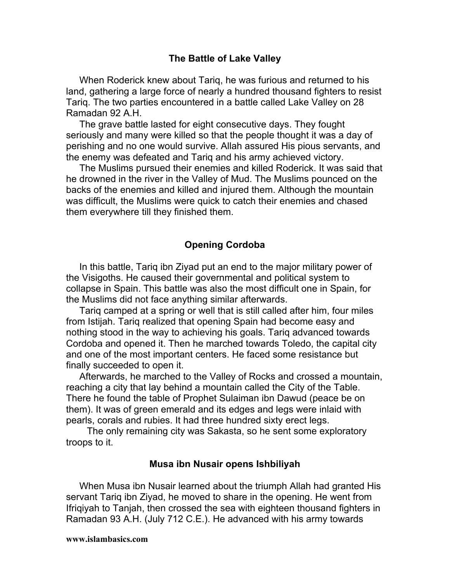## **The Battle of Lake Valley**

When Roderick knew about Tariq, he was furious and returned to his land, gathering a large force of nearly a hundred thousand fighters to resist Tariq. The two parties encountered in a battle called Lake Valley on 28 Ramadan 92 A.H.

The grave battle lasted for eight consecutive days. They fought seriously and many were killed so that the people thought it was a day of perishing and no one would survive. Allah assured His pious servants, and the enemy was defeated and Tariq and his army achieved victory.

The Muslims pursued their enemies and killed Roderick. It was said that he drowned in the river in the Valley of Mud. The Muslims pounced on the backs of the enemies and killed and injured them. Although the mountain was difficult, the Muslims were quick to catch their enemies and chased them everywhere till they finished them.

## **Opening Cordoba**

In this battle, Tariq ibn Ziyad put an end to the major military power of the Visigoths. He caused their governmental and political system to collapse in Spain. This battle was also the most difficult one in Spain, for the Muslims did not face anything similar afterwards.

Tariq camped at a spring or well that is still called after him, four miles from Istijah. Tariq realized that opening Spain had become easy and nothing stood in the way to achieving his goals. Tariq advanced towards Cordoba and opened it. Then he marched towards Toledo, the capital city and one of the most important centers. He faced some resistance but finally succeeded to open it.

Afterwards, he marched to the Valley of Rocks and crossed a mountain, reaching a city that lay behind a mountain called the City of the Table. There he found the table of Prophet Sulaiman ibn Dawud (peace be on them). It was of green emerald and its edges and legs were inlaid with pearls, corals and rubies. It had three hundred sixty erect legs.

The only remaining city was Sakasta, so he sent some exploratory troops to it.

#### **Musa ibn Nusair opens Ishbiliyah**

When Musa ibn Nusair learned about the triumph Allah had granted His servant Tariq ibn Ziyad, he moved to share in the opening. He went from Ifriqiyah to Tanjah, then crossed the sea with eighteen thousand fighters in Ramadan 93 A.H. (July 712 C.E.). He advanced with his army towards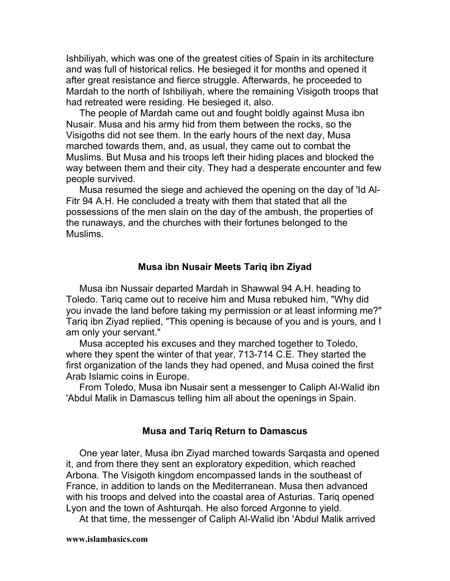Ishbiliyah, which was one of the greatest cities of Spain in its architecture and was full of historical relics. He besieged it for months and opened it after great resistance and fierce struggle. Afterwards, he proceeded to Mardah to the north of Ishbiliyah, where the remaining Visigoth troops that had retreated were residing. He besieged it, also.

The people of Mardah came out and fought boldly against Musa ibn Nusair. Musa and his army hid from them between the rocks, so the Visigoths did not see them. In the early hours of the next day, Musa marched towards them, and, as usual, they came out to combat the Muslims. But Musa and his troops left their hiding places and blocked the way between them and their city. They had a desperate encounter and few people survived.

Musa resumed the siege and achieved the opening on the day of 'Id Al-Fitr 94 A.H. He concluded a treaty with them that stated that all the possessions of the men slain on the day of the ambush, the properties of the runaways, and the churches with their fortunes belonged to the Muslims.

#### **Musa ibn Nusair Meets Tariq ibn Ziyad**

Musa ibn Nussair departed Mardah in Shawwal 94 A.H. heading to Toledo. Tariq came out to receive him and Musa rebuked him, "Why did you invade the land before taking my permission or at least informing me?" Tariq ibn Ziyad replied, "This opening is because of you and is yours, and I am only your servant."

Musa accepted his excuses and they marched together to Toledo, where they spent the winter of that year, 713-714 C.E. They started the first organization of the lands they had opened, and Musa coined the first Arab Islamic coins in Europe.

From Toledo, Musa ibn Nusair sent a messenger to Caliph Al-Walid ibn 'Abdul Malik in Damascus telling him all about the openings in Spain.

#### **Musa and Tariq Return to Damascus**

One year later, Musa ibn Ziyad marched towards Sarqasta and opened it, and from there they sent an exploratory expedition, which reached Arbona. The Visigoth kingdom encompassed lands in the southeast of France, in addition to lands on the Mediterranean. Musa then advanced with his troops and delved into the coastal area of Asturias. Tariq opened Lyon and the town of Ashturqah. He also forced Argonne to yield.

At that time, the messenger of Caliph Al-Walid ibn 'Abdul Malik arrived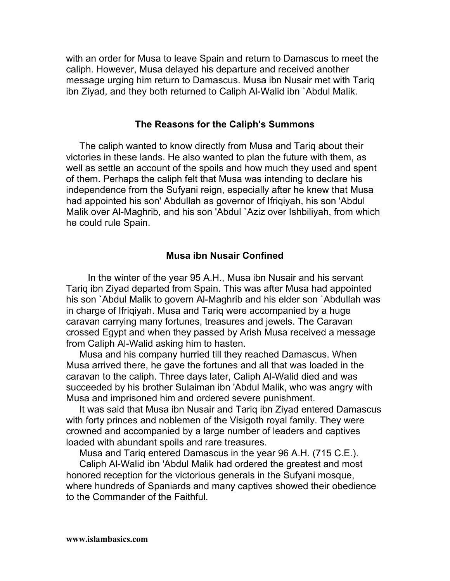with an order for Musa to leave Spain and return to Damascus to meet the caliph. However, Musa delayed his departure and received another message urging him return to Damascus. Musa ibn Nusair met with Tariq ibn Ziyad, and they both returned to Caliph Al-Walid ibn `Abdul Malik.

#### **The Reasons for the Caliph's Summons**

The caliph wanted to know directly from Musa and Tariq about their victories in these lands. He also wanted to plan the future with them, as well as settle an account of the spoils and how much they used and spent of them. Perhaps the caliph felt that Musa was intending to declare his independence from the Sufyani reign, especially after he knew that Musa had appointed his son' Abdullah as governor of Ifriqiyah, his son 'Abdul Malik over Al-Maghrib, and his son 'Abdul `Aziz over Ishbiliyah, from which he could rule Spain.

## **Musa ibn Nusair Confined**

In the winter of the year 95 A.H., Musa ibn Nusair and his servant Tariq ibn Ziyad departed from Spain. This was after Musa had appointed his son `Abdul Malik to govern Al-Maghrib and his elder son `Abdullah was in charge of Ifriqiyah. Musa and Tariq were accompanied by a huge caravan carrying many fortunes, treasures and jewels. The Caravan crossed Egypt and when they passed by Arish Musa received a message from Caliph Al-Walid asking him to hasten.

Musa and his company hurried till they reached Damascus. When Musa arrived there, he gave the fortunes and all that was loaded in the caravan to the caliph. Three days later, Caliph Al-Walid died and was succeeded by his brother Sulaiman ibn 'Abdul Malik, who was angry with Musa and imprisoned him and ordered severe punishment.

It was said that Musa ibn Nusair and Tariq ibn Ziyad entered Damascus with forty princes and noblemen of the Visigoth royal family. They were crowned and accompanied by a large number of leaders and captives loaded with abundant spoils and rare treasures.

Musa and Tariq entered Damascus in the year 96 A.H. (715 C.E.).

Caliph Al-Walid ibn 'Abdul Malik had ordered the greatest and most honored reception for the victorious generals in the Sufyani mosque, where hundreds of Spaniards and many captives showed their obedience to the Commander of the Faithful.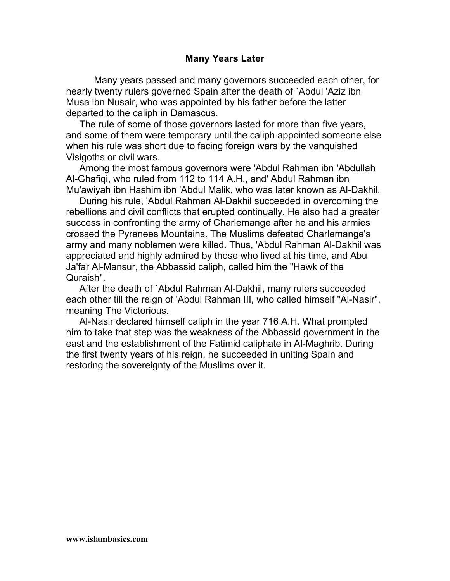# **Many Years Later**

Many years passed and many governors succeeded each other, for nearly twenty rulers governed Spain after the death of `Abdul 'Aziz ibn Musa ibn Nusair, who was appointed by his father before the latter departed to the caliph in Damascus.

The rule of some of those governors lasted for more than five years, and some of them were temporary until the caliph appointed someone else when his rule was short due to facing foreign wars by the vanquished Visigoths or civil wars.

Among the most famous governors were 'Abdul Rahman ibn 'Abdullah Al-Ghafiqi, who ruled from 112 to 114 A.H., and' Abdul Rahman ibn Mu'awiyah ibn Hashim ibn 'Abdul Malik, who was later known as Al-Dakhil.

During his rule, 'Abdul Rahman Al-Dakhil succeeded in overcoming the rebellions and civil conflicts that erupted continually. He also had a greater success in confronting the army of Charlemange after he and his armies crossed the Pyrenees Mountains. The Muslims defeated Charlemange's army and many noblemen were killed. Thus, 'Abdul Rahman Al-Dakhil was appreciated and highly admired by those who lived at his time, and Abu Ja'far Al-Mansur, the Abbassid caliph, called him the "Hawk of the Quraish".

After the death of `Abdul Rahman Al-Dakhil, many rulers succeeded each other till the reign of 'Abdul Rahman III, who called himself "Al-Nasir", meaning The Victorious.

Al-Nasir declared himself caliph in the year 716 A.H. What prompted him to take that step was the weakness of the Abbassid government in the east and the establishment of the Fatimid caliphate in Al-Maghrib. During the first twenty years of his reign, he succeeded in uniting Spain and restoring the sovereignty of the Muslims over it.